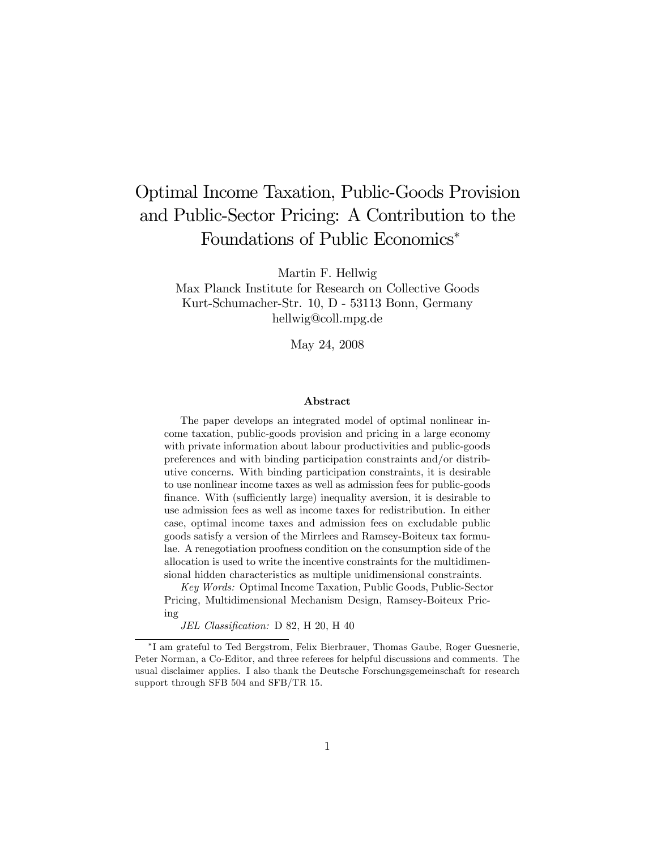# Optimal Income Taxation, Public-Goods Provision and Public-Sector Pricing: A Contribution to the Foundations of Public Economics

Martin F. Hellwig

Max Planck Institute for Research on Collective Goods Kurt-Schumacher-Str. 10, D - 53113 Bonn, Germany hellwig@coll.mpg.de

May 24, 2008

#### Abstract

The paper develops an integrated model of optimal nonlinear income taxation, public-goods provision and pricing in a large economy with private information about labour productivities and public-goods preferences and with binding participation constraints and/or distributive concerns. With binding participation constraints, it is desirable to use nonlinear income taxes as well as admission fees for public-goods finance. With (sufficiently large) inequality aversion, it is desirable to use admission fees as well as income taxes for redistribution. In either case, optimal income taxes and admission fees on excludable public goods satisfy a version of the Mirrlees and Ramsey-Boiteux tax formulae. A renegotiation proofness condition on the consumption side of the allocation is used to write the incentive constraints for the multidimensional hidden characteristics as multiple unidimensional constraints.

Key Words: Optimal Income Taxation, Public Goods, Public-Sector Pricing, Multidimensional Mechanism Design, Ramsey-Boiteux Pricing

JEL Classification: D 82, H 20, H 40

I am grateful to Ted Bergstrom, Felix Bierbrauer, Thomas Gaube, Roger Guesnerie, Peter Norman, a Co-Editor, and three referees for helpful discussions and comments. The usual disclaimer applies. I also thank the Deutsche Forschungsgemeinschaft for research support through SFB 504 and SFB/TR 15.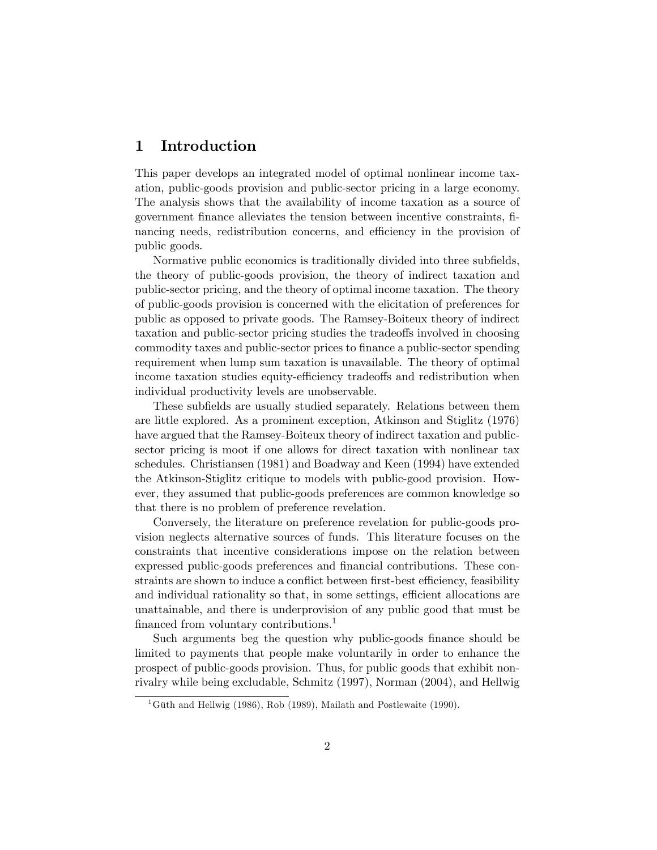# 1 Introduction

This paper develops an integrated model of optimal nonlinear income taxation, public-goods provision and public-sector pricing in a large economy. The analysis shows that the availability of income taxation as a source of government Önance alleviates the tension between incentive constraints, Önancing needs, redistribution concerns, and efficiency in the provision of public goods.

Normative public economics is traditionally divided into three subfields, the theory of public-goods provision, the theory of indirect taxation and public-sector pricing, and the theory of optimal income taxation. The theory of public-goods provision is concerned with the elicitation of preferences for public as opposed to private goods. The Ramsey-Boiteux theory of indirect taxation and public-sector pricing studies the tradeo§s involved in choosing commodity taxes and public-sector prices to finance a public-sector spending requirement when lump sum taxation is unavailable. The theory of optimal income taxation studies equity-efficiency tradeoffs and redistribution when individual productivity levels are unobservable.

These subfields are usually studied separately. Relations between them are little explored. As a prominent exception, Atkinson and Stiglitz (1976) have argued that the Ramsey-Boiteux theory of indirect taxation and publicsector pricing is moot if one allows for direct taxation with nonlinear tax schedules. Christiansen (1981) and Boadway and Keen (1994) have extended the Atkinson-Stiglitz critique to models with public-good provision. However, they assumed that public-goods preferences are common knowledge so that there is no problem of preference revelation.

Conversely, the literature on preference revelation for public-goods provision neglects alternative sources of funds. This literature focuses on the constraints that incentive considerations impose on the relation between expressed public-goods preferences and financial contributions. These constraints are shown to induce a conflict between first-best efficiency, feasibility and individual rationality so that, in some settings, efficient allocations are unattainable, and there is underprovision of any public good that must be financed from voluntary contributions.<sup>1</sup>

Such arguments beg the question why public-goods finance should be limited to payments that people make voluntarily in order to enhance the prospect of public-goods provision. Thus, for public goods that exhibit nonrivalry while being excludable, Schmitz (1997), Norman (2004), and Hellwig

<sup>&</sup>lt;sup>1</sup>Güth and Hellwig (1986), Rob (1989), Mailath and Postlewaite (1990).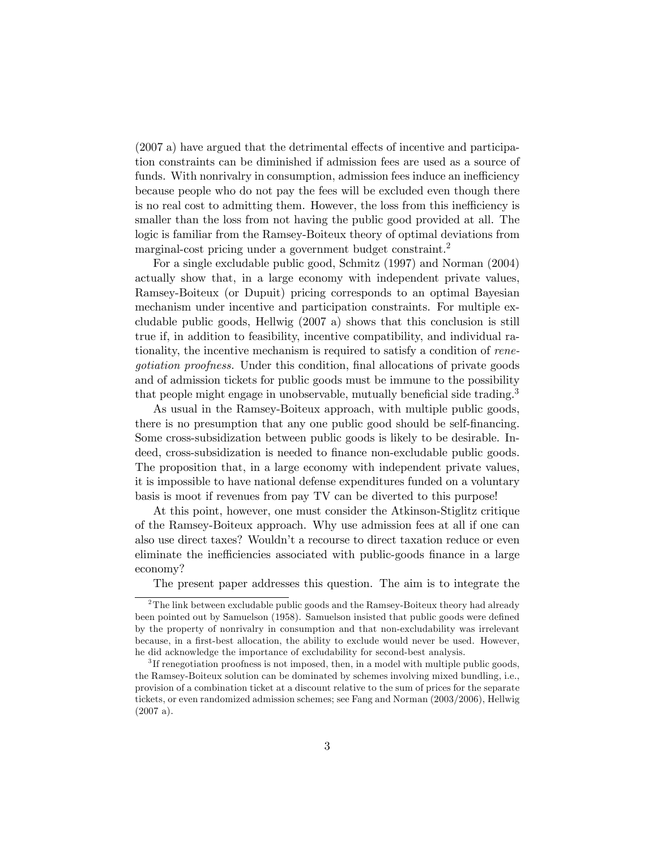$(2007 a)$  have argued that the detrimental effects of incentive and participation constraints can be diminished if admission fees are used as a source of funds. With nonrivalry in consumption, admission fees induce an inefficiency because people who do not pay the fees will be excluded even though there is no real cost to admitting them. However, the loss from this inefficiency is smaller than the loss from not having the public good provided at all. The logic is familiar from the Ramsey-Boiteux theory of optimal deviations from marginal-cost pricing under a government budget constraint.<sup>2</sup>

For a single excludable public good, Schmitz (1997) and Norman (2004) actually show that, in a large economy with independent private values, Ramsey-Boiteux (or Dupuit) pricing corresponds to an optimal Bayesian mechanism under incentive and participation constraints. For multiple excludable public goods, Hellwig (2007 a) shows that this conclusion is still true if, in addition to feasibility, incentive compatibility, and individual rationality, the incentive mechanism is required to satisfy a condition of renegotiation proofness. Under this condition, final allocations of private goods and of admission tickets for public goods must be immune to the possibility that people might engage in unobservable, mutually beneficial side trading.<sup>3</sup>

As usual in the Ramsey-Boiteux approach, with multiple public goods, there is no presumption that any one public good should be self-financing. Some cross-subsidization between public goods is likely to be desirable. Indeed, cross-subsidization is needed to finance non-excludable public goods. The proposition that, in a large economy with independent private values, it is impossible to have national defense expenditures funded on a voluntary basis is moot if revenues from pay TV can be diverted to this purpose!

At this point, however, one must consider the Atkinson-Stiglitz critique of the Ramsey-Boiteux approach. Why use admission fees at all if one can also use direct taxes? Wouldn't a recourse to direct taxation reduce or even eliminate the inefficiencies associated with public-goods finance in a large economy?

The present paper addresses this question. The aim is to integrate the

 $2$ The link between excludable public goods and the Ramsey-Boiteux theory had already been pointed out by Samuelson (1958). Samuelson insisted that public goods were defined by the property of nonrivalry in consumption and that non-excludability was irrelevant because, in a first-best allocation, the ability to exclude would never be used. However, he did acknowledge the importance of excludability for second-best analysis.

<sup>&</sup>lt;sup>3</sup>If renegotiation proofness is not imposed, then, in a model with multiple public goods, the Ramsey-Boiteux solution can be dominated by schemes involving mixed bundling, i.e., provision of a combination ticket at a discount relative to the sum of prices for the separate tickets, or even randomized admission schemes; see Fang and Norman (2003/2006), Hellwig (2007 a).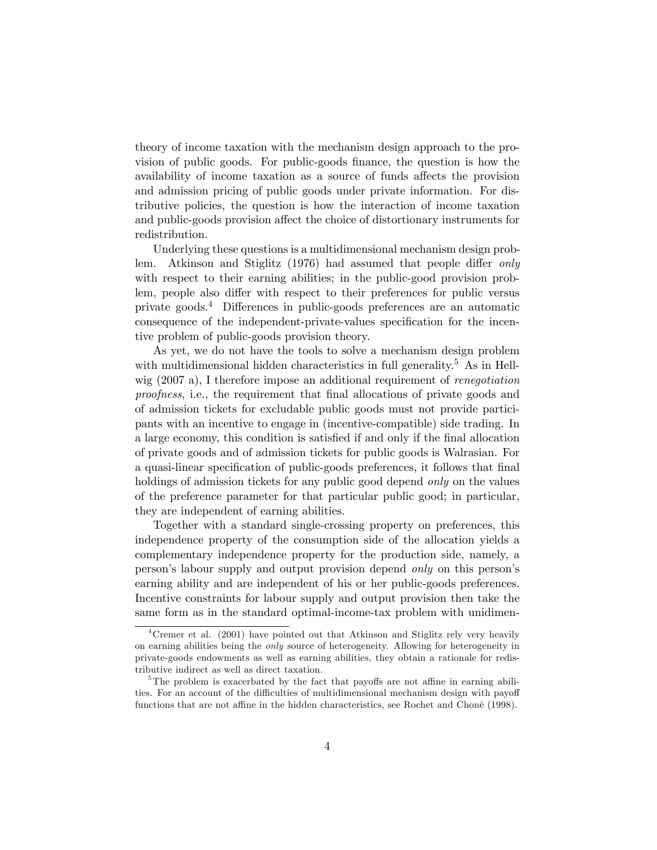theory of income taxation with the mechanism design approach to the provision of public goods. For public-goods finance, the question is how the availability of income taxation as a source of funds affects the provision and admission pricing of public goods under private information. For distributive policies, the question is how the interaction of income taxation and public-goods provision affect the choice of distortionary instruments for redistribution.

Underlying these questions is a multidimensional mechanism design problem. Atkinson and Stiglitz (1976) had assumed that people differ only with respect to their earning abilities; in the public-good provision problem, people also differ with respect to their preferences for public versus private goods.<sup>4</sup> Differences in public-goods preferences are an automatic consequence of the independent-private-values specification for the incentive problem of public-goods provision theory.

As yet, we do not have the tools to solve a mechanism design problem with multidimensional hidden characteristics in full generality.<sup>5</sup> As in Hellwig (2007 a), I therefore impose an additional requirement of *renegotiation* proofness, i.e., the requirement that final allocations of private goods and of admission tickets for excludable public goods must not provide participants with an incentive to engage in (incentive-compatible) side trading. In a large economy, this condition is satisfied if and only if the final allocation of private goods and of admission tickets for public goods is Walrasian. For a quasi-linear specification of public-goods preferences, it follows that final holdings of admission tickets for any public good depend *only* on the values of the preference parameter for that particular public good; in particular, they are independent of earning abilities.

Together with a standard single-crossing property on preferences, this independence property of the consumption side of the allocation yields a complementary independence property for the production side, namely, a person's labour supply and output provision depend *only* on this person's earning ability and are independent of his or her public-goods preferences. Incentive constraints for labour supply and output provision then take the same form as in the standard optimal-income-tax problem with unidimen-

<sup>&</sup>lt;sup>4</sup>Cremer et al. (2001) have pointed out that Atkinson and Stiglitz rely very heavily on earning abilities being the only source of heterogeneity. Allowing for heterogeneity in private-goods endowments as well as earning abilities, they obtain a rationale for redistributive indirect as well as direct taxation.

<sup>&</sup>lt;sup>5</sup>The problem is exacerbated by the fact that payoffs are not affine in earning abilities. For an account of the difficulties of multidimensional mechanism design with payoff functions that are not affine in the hidden characteristics, see Rochet and Choné (1998).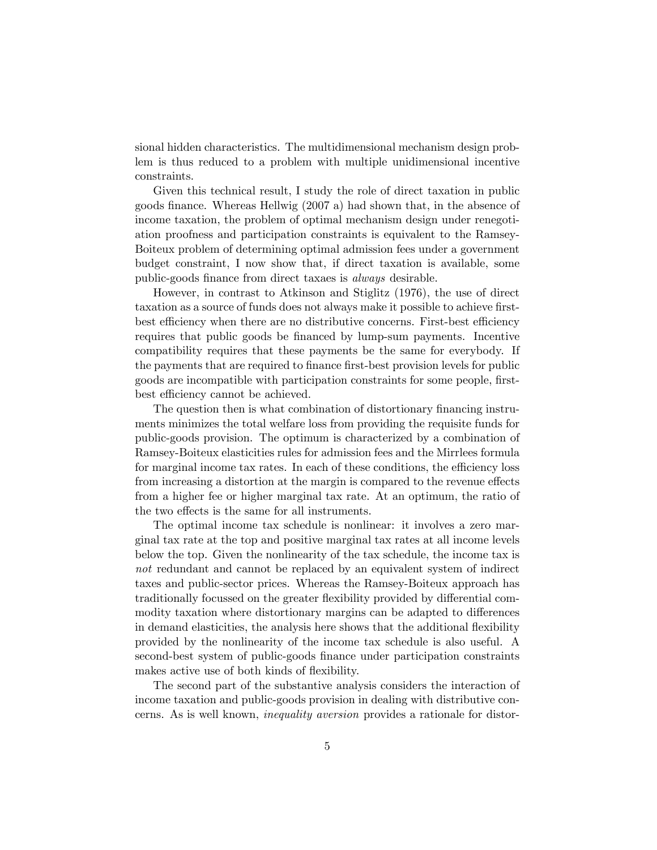sional hidden characteristics. The multidimensional mechanism design problem is thus reduced to a problem with multiple unidimensional incentive constraints.

Given this technical result, I study the role of direct taxation in public goods finance. Whereas Hellwig (2007 a) had shown that, in the absence of income taxation, the problem of optimal mechanism design under renegotiation proofness and participation constraints is equivalent to the Ramsey-Boiteux problem of determining optimal admission fees under a government budget constraint, I now show that, if direct taxation is available, some public-goods finance from direct taxaes is *always* desirable.

However, in contrast to Atkinson and Stiglitz (1976), the use of direct taxation as a source of funds does not always make it possible to achieve firstbest efficiency when there are no distributive concerns. First-best efficiency requires that public goods be financed by lump-sum payments. Incentive compatibility requires that these payments be the same for everybody. If the payments that are required to finance first-best provision levels for public goods are incompatible with participation constraints for some people, firstbest efficiency cannot be achieved.

The question then is what combination of distortionary financing instruments minimizes the total welfare loss from providing the requisite funds for public-goods provision. The optimum is characterized by a combination of Ramsey-Boiteux elasticities rules for admission fees and the Mirrlees formula for marginal income tax rates. In each of these conditions, the efficiency loss from increasing a distortion at the margin is compared to the revenue effects from a higher fee or higher marginal tax rate. At an optimum, the ratio of the two effects is the same for all instruments.

The optimal income tax schedule is nonlinear: it involves a zero marginal tax rate at the top and positive marginal tax rates at all income levels below the top. Given the nonlinearity of the tax schedule, the income tax is not redundant and cannot be replaced by an equivalent system of indirect taxes and public-sector prices. Whereas the Ramsey-Boiteux approach has traditionally focussed on the greater flexibility provided by differential commodity taxation where distortionary margins can be adapted to differences in demand elasticities, the analysis here shows that the additional flexibility provided by the nonlinearity of the income tax schedule is also useful. A second-best system of public-goods finance under participation constraints makes active use of both kinds of flexibility.

The second part of the substantive analysis considers the interaction of income taxation and public-goods provision in dealing with distributive concerns. As is well known, inequality aversion provides a rationale for distor-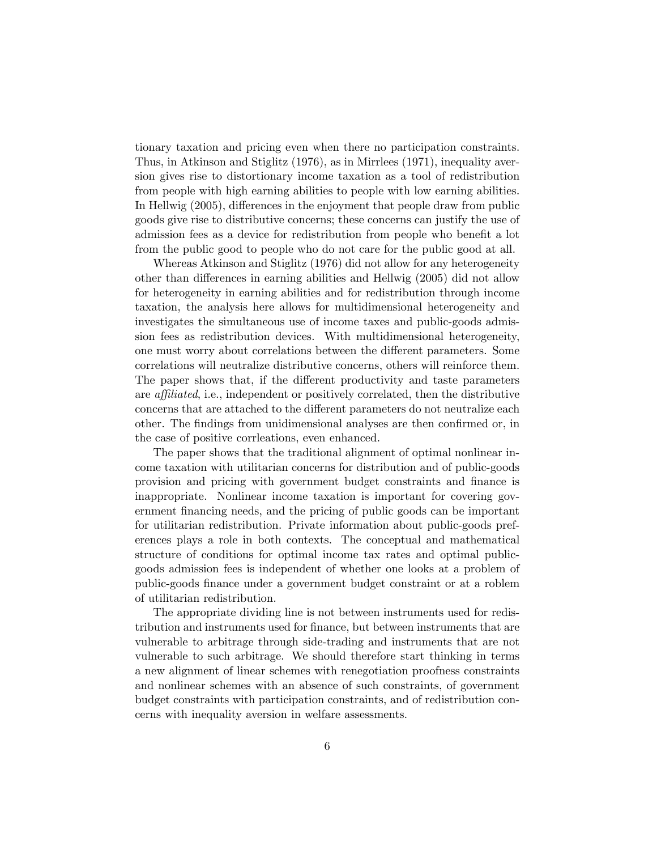tionary taxation and pricing even when there no participation constraints. Thus, in Atkinson and Stiglitz (1976), as in Mirrlees (1971), inequality aversion gives rise to distortionary income taxation as a tool of redistribution from people with high earning abilities to people with low earning abilities. In Hellwig (2005), differences in the enjoyment that people draw from public goods give rise to distributive concerns; these concerns can justify the use of admission fees as a device for redistribution from people who benefit a lot from the public good to people who do not care for the public good at all.

Whereas Atkinson and Stiglitz (1976) did not allow for any heterogeneity other than differences in earning abilities and Hellwig (2005) did not allow for heterogeneity in earning abilities and for redistribution through income taxation, the analysis here allows for multidimensional heterogeneity and investigates the simultaneous use of income taxes and public-goods admission fees as redistribution devices. With multidimensional heterogeneity, one must worry about correlations between the different parameters. Some correlations will neutralize distributive concerns, others will reinforce them. The paper shows that, if the different productivity and taste parameters are *affiliated*, i.e., independent or positively correlated, then the distributive concerns that are attached to the different parameters do not neutralize each other. The findings from unidimensional analyses are then confirmed or, in the case of positive corrleations, even enhanced.

The paper shows that the traditional alignment of optimal nonlinear income taxation with utilitarian concerns for distribution and of public-goods provision and pricing with government budget constraints and Önance is inappropriate. Nonlinear income taxation is important for covering government Önancing needs, and the pricing of public goods can be important for utilitarian redistribution. Private information about public-goods preferences plays a role in both contexts. The conceptual and mathematical structure of conditions for optimal income tax rates and optimal publicgoods admission fees is independent of whether one looks at a problem of public-goods Önance under a government budget constraint or at a roblem of utilitarian redistribution.

The appropriate dividing line is not between instruments used for redistribution and instruments used for finance, but between instruments that are vulnerable to arbitrage through side-trading and instruments that are not vulnerable to such arbitrage. We should therefore start thinking in terms a new alignment of linear schemes with renegotiation proofness constraints and nonlinear schemes with an absence of such constraints, of government budget constraints with participation constraints, and of redistribution concerns with inequality aversion in welfare assessments.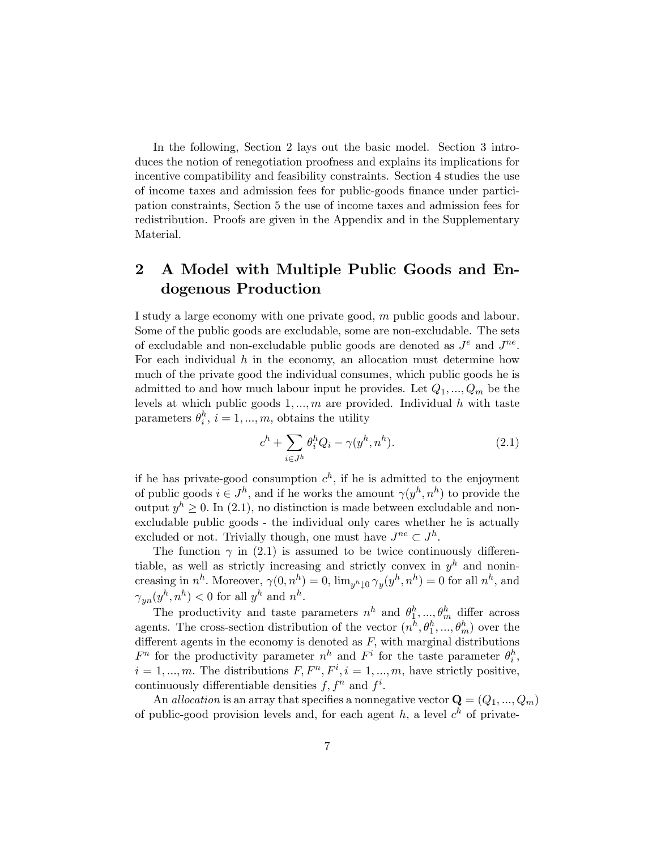In the following, Section 2 lays out the basic model. Section 3 introduces the notion of renegotiation proofness and explains its implications for incentive compatibility and feasibility constraints. Section 4 studies the use of income taxes and admission fees for public-goods Önance under participation constraints, Section 5 the use of income taxes and admission fees for redistribution. Proofs are given in the Appendix and in the Supplementary Material.

# 2 A Model with Multiple Public Goods and Endogenous Production

I study a large economy with one private good, m public goods and labour. Some of the public goods are excludable, some are non-excludable. The sets of excludable and non-excludable public goods are denoted as  $J<sup>e</sup>$  and  $J<sup>ne</sup>$ . For each individual  $h$  in the economy, an allocation must determine how much of the private good the individual consumes, which public goods he is admitted to and how much labour input he provides. Let  $Q_1, ..., Q_m$  be the levels at which public goods  $1, \ldots, m$  are provided. Individual h with taste parameters  $\theta_i^h$ ,  $i = 1, ..., m$ , obtains the utility

$$
c^h + \sum_{i \in J^h} \theta_i^h Q_i - \gamma(y^h, n^h). \tag{2.1}
$$

if he has private-good consumption  $c^h$ , if he is admitted to the enjoyment of public goods  $i \in J^h$ , and if he works the amount  $\gamma(y^h, n^h)$  to provide the output  $y^h \geq 0$ . In (2.1), no distinction is made between excludable and nonexcludable public goods - the individual only cares whether he is actually excluded or not. Trivially though, one must have  $J^{ne} \subset J^h$ .

The function  $\gamma$  in (2.1) is assumed to be twice continuously differentiable, as well as strictly increasing and strictly convex in  $y<sup>h</sup>$  and nonincreasing in  $n^h$ . Moreover,  $\gamma(0, n^h) = 0$ ,  $\lim_{y^h \downarrow 0} \gamma_y(y^h, n^h) = 0$  for all  $n^h$ , and  $\gamma_{yn}(y^h, n^h) < 0$  for all  $y^h$  and  $n^h$ .

The productivity and taste parameters  $n^h$  and  $\theta_1^h, ..., \theta_m^h$  differ across agents. The cross-section distribution of the vector  $(n^h, \theta_1^h, ..., \theta_m^h)$  over the different agents in the economy is denoted as  $F$ , with marginal distributions  $F^n$  for the productivity parameter  $n^h$  and  $F^i$  for the taste parameter  $\theta_i^h$ ,  $i = 1, ..., m$ . The distributions  $F, F^n, F^i, i = 1, ..., m$ , have strictly positive, continuously differentiable densities  $f, f^n$  and  $f^i$ .

An allocation is an array that specifies a nonnegative vector  $\mathbf{Q} = (Q_1, ..., Q_m)$ of public-good provision levels and, for each agent  $h$ , a level  $c<sup>h</sup>$  of private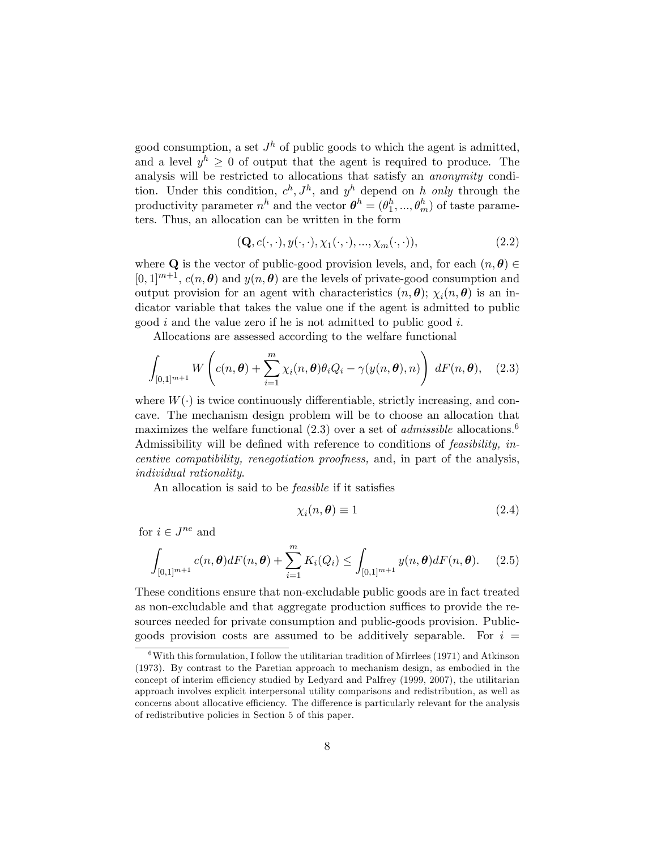good consumption, a set  $J<sup>h</sup>$  of public goods to which the agent is admitted, and a level  $y^h \geq 0$  of output that the agent is required to produce. The analysis will be restricted to allocations that satisfy an anonymity condition. Under this condition,  $c^h$ ,  $J^h$ , and  $y^h$  depend on h only through the productivity parameter  $n^h$  and the vector  $\boldsymbol{\theta}^h = (\theta_1^h, ..., \theta_m^h)$  of taste parameters. Thus, an allocation can be written in the form

$$
(\mathbf{Q}, c(\cdot, \cdot), y(\cdot, \cdot), \chi_1(\cdot, \cdot), \dots, \chi_m(\cdot, \cdot)),
$$
\n(2.2)

where **Q** is the vector of public-good provision levels, and, for each  $(n, \theta) \in$  $[0, 1]^{m+1}$ ,  $c(n, \theta)$  and  $y(n, \theta)$  are the levels of private-good consumption and output provision for an agent with characteristics  $(n, \theta)$ ;  $\chi_i(n, \theta)$  is an indicator variable that takes the value one if the agent is admitted to public good i and the value zero if he is not admitted to public good i.

Allocations are assessed according to the welfare functional

$$
\int_{[0,1]^{m+1}} W\left(c(n,\boldsymbol{\theta}) + \sum_{i=1}^m \chi_i(n,\boldsymbol{\theta}) \theta_i Q_i - \gamma(y(n,\boldsymbol{\theta}), n)\right) dF(n,\boldsymbol{\theta}), \quad (2.3)
$$

where  $W(\cdot)$  is twice continuously differentiable, strictly increasing, and concave. The mechanism design problem will be to choose an allocation that maximizes the welfare functional  $(2.3)$  over a set of *admissible* allocations.<sup>6</sup> Admissibility will be defined with reference to conditions of *feasibility*, *in*centive compatibility, renegotiation proofness, and, in part of the analysis, individual rationality.

An allocation is said to be *feasible* if it satisfies

$$
\chi_i(n,\boldsymbol{\theta}) \equiv 1 \tag{2.4}
$$

for  $i \in J^{ne}$  and

$$
\int_{[0,1]^{m+1}} c(n,\theta)dF(n,\theta) + \sum_{i=1}^{m} K_i(Q_i) \le \int_{[0,1]^{m+1}} y(n,\theta)dF(n,\theta). \tag{2.5}
$$

These conditions ensure that non-excludable public goods are in fact treated as non-excludable and that aggregate production suffices to provide the resources needed for private consumption and public-goods provision. Publicgoods provision costs are assumed to be additively separable. For  $i =$ 

 $6$ With this formulation, I follow the utilitarian tradition of Mirrlees (1971) and Atkinson (1973). By contrast to the Paretian approach to mechanism design, as embodied in the concept of interim efficiency studied by Ledyard and Palfrey (1999, 2007), the utilitarian approach involves explicit interpersonal utility comparisons and redistribution, as well as concerns about allocative efficiency. The difference is particularly relevant for the analysis of redistributive policies in Section 5 of this paper.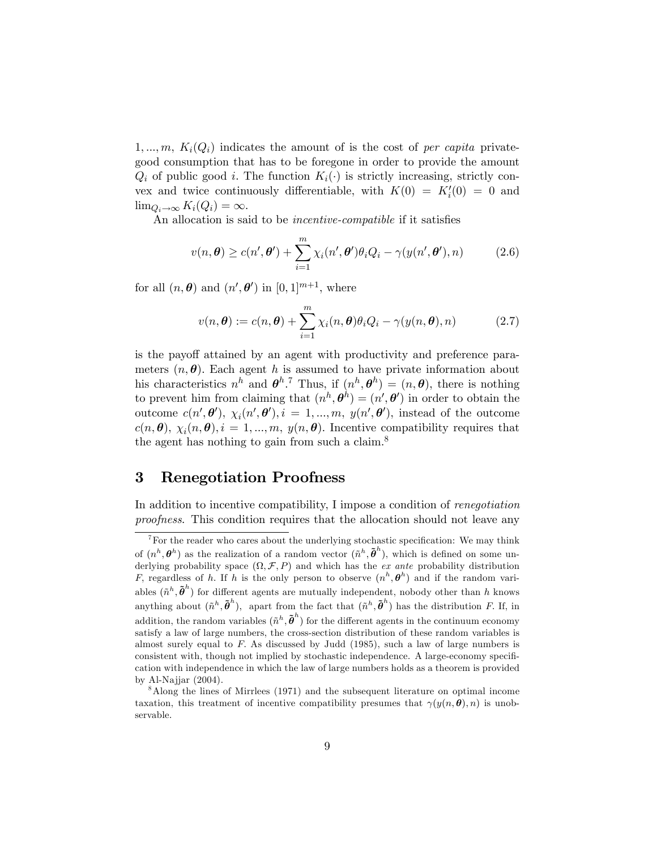$1, ..., m, K<sub>i</sub>(Q<sub>i</sub>)$  indicates the amount of is the cost of per capita privategood consumption that has to be foregone in order to provide the amount  $Q_i$  of public good i. The function  $K_i(\cdot)$  is strictly increasing, strictly convex and twice continuously differentiable, with  $K(0) = K'_i(0) = 0$  and  $\lim_{Q_i \to \infty} K_i(Q_i) = \infty.$ 

An allocation is said to be *incentive-compatible* if it satisfies

$$
v(n,\theta) \ge c(n',\theta') + \sum_{i=1}^{m} \chi_i(n',\theta')\theta_i Q_i - \gamma(y(n',\theta'),n)
$$
 (2.6)

for all  $(n, \theta)$  and  $(n', \theta')$  in  $[0, 1]^{m+1}$ , where

$$
v(n,\boldsymbol{\theta}) := c(n,\boldsymbol{\theta}) + \sum_{i=1}^{m} \chi_i(n,\boldsymbol{\theta}) \theta_i Q_i - \gamma(y(n,\boldsymbol{\theta}),n)
$$
 (2.7)

is the payoff attained by an agent with productivity and preference parameters  $(n, \theta)$ . Each agent h is assumed to have private information about his characteristics  $n^h$  and  $\theta^h$ .<sup>7</sup> Thus, if  $(n^h, \theta^h) = (n, \theta)$ , there is nothing to prevent him from claiming that  $(n^h, \theta^h) = (n', \theta')$  in order to obtain the outcome  $c(n', \theta'), \chi_i(n', \theta'), i = 1, ..., m, y(n', \theta'),$  instead of the outcome  $c(n, \theta), \chi_i(n, \theta), i = 1, ..., m, y(n, \theta)$ . Incentive compatibility requires that the agent has nothing to gain from such a claim.<sup>8</sup>

# 3 Renegotiation Proofness

In addition to incentive compatibility, I impose a condition of renegotiation proofness. This condition requires that the allocation should not leave any

 $^{7}$  For the reader who cares about the underlying stochastic specification: We may think of  $(n^h, \theta^h)$  as the realization of a random vector  $(\tilde{n}^h, \tilde{\theta}^h)$ , which is defined on some underlying probability space  $(\Omega, \mathcal{F}, P)$  and which has the *ex ante* probability distribution F, regardless of h. If h is the only person to observe  $(n^h, \theta^h)$  and if the random variables  $(\tilde{n}^h, \tilde{\boldsymbol{\theta}}^h)$  for different agents are mutually independent, nobody other than h knows anything about  $(\tilde{n}^h, \tilde{\theta}^h)$ , apart from the fact that  $(\tilde{n}^h, \tilde{\theta}^h)$  has the distribution F. If, in addition, the random variables  $(\tilde{n}^h, \tilde{\theta}^h)$  for the different agents in the continuum economy satisfy a law of large numbers, the cross-section distribution of these random variables is almost surely equal to F: As discussed by Judd (1985), such a law of large numbers is consistent with, though not implied by stochastic independence. A large-economy specification with independence in which the law of large numbers holds as a theorem is provided by Al-Najjar (2004).

<sup>8</sup>Along the lines of Mirrlees (1971) and the subsequent literature on optimal income taxation, this treatment of incentive compatibility presumes that  $\gamma(y(n, \theta), n)$  is unobservable.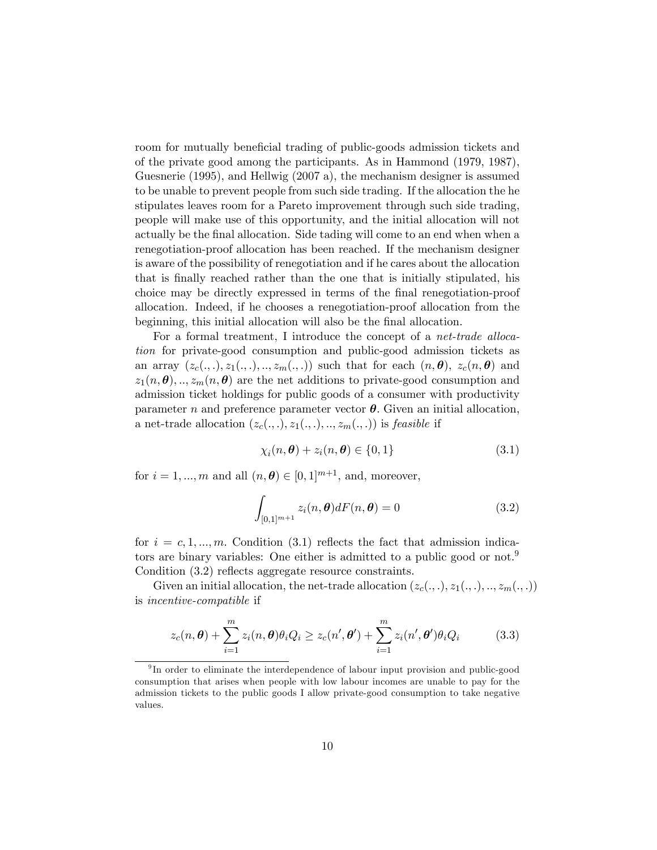room for mutually beneficial trading of public-goods admission tickets and of the private good among the participants. As in Hammond (1979, 1987), Guesnerie (1995), and Hellwig (2007 a), the mechanism designer is assumed to be unable to prevent people from such side trading. If the allocation the he stipulates leaves room for a Pareto improvement through such side trading, people will make use of this opportunity, and the initial allocation will not actually be the Önal allocation. Side tading will come to an end when when a renegotiation-proof allocation has been reached. If the mechanism designer is aware of the possibility of renegotiation and if he cares about the allocation that is Önally reached rather than the one that is initially stipulated, his choice may be directly expressed in terms of the Önal renegotiation-proof allocation. Indeed, if he chooses a renegotiation-proof allocation from the beginning, this initial allocation will also be the final allocation.

For a formal treatment, I introduce the concept of a *net-trade alloca*tion for private-good consumption and public-good admission tickets as an array  $(z_c(.,.), z_1(.,.),.., z_m(.,)))$  such that for each  $(n, \theta), z_c(n, \theta)$  and  $z_1(n, \theta), \ldots, z_m(n, \theta)$  are the net additions to private-good consumption and admission ticket holdings for public goods of a consumer with productivity parameter n and preference parameter vector  $\theta$ . Given an initial allocation, a net-trade allocation  $(z_c(.,.), z_1(.,.),.., z_m(.,.))$  is *feasible* if

$$
\chi_i(n,\boldsymbol{\theta}) + z_i(n,\boldsymbol{\theta}) \in \{0,1\} \tag{3.1}
$$

for  $i = 1, ..., m$  and all  $(n, \theta) \in [0, 1]^{m+1}$ , and, moreover,

$$
\int_{[0,1]^{m+1}} z_i(n,\boldsymbol{\theta}) dF(n,\boldsymbol{\theta}) = 0
$$
\n(3.2)

for  $i = c, 1, ..., m$ . Condition (3.1) reflects the fact that admission indicators are binary variables: One either is admitted to a public good or not.<sup>9</sup> Condition (3.2) reflects aggregate resource constraints.

Given an initial allocation, the net-trade allocation  $(z_c(.,.), z_1(.,.),.., z_m(.,.))$ is incentive-compatible if

$$
z_c(n,\boldsymbol{\theta}) + \sum_{i=1}^m z_i(n,\boldsymbol{\theta})\theta_i Q_i \ge z_c(n',\boldsymbol{\theta}') + \sum_{i=1}^m z_i(n',\boldsymbol{\theta}')\theta_i Q_i \qquad (3.3)
$$

<sup>&</sup>lt;sup>9</sup>In order to eliminate the interdependence of labour input provision and public-good consumption that arises when people with low labour incomes are unable to pay for the admission tickets to the public goods I allow private-good consumption to take negative values.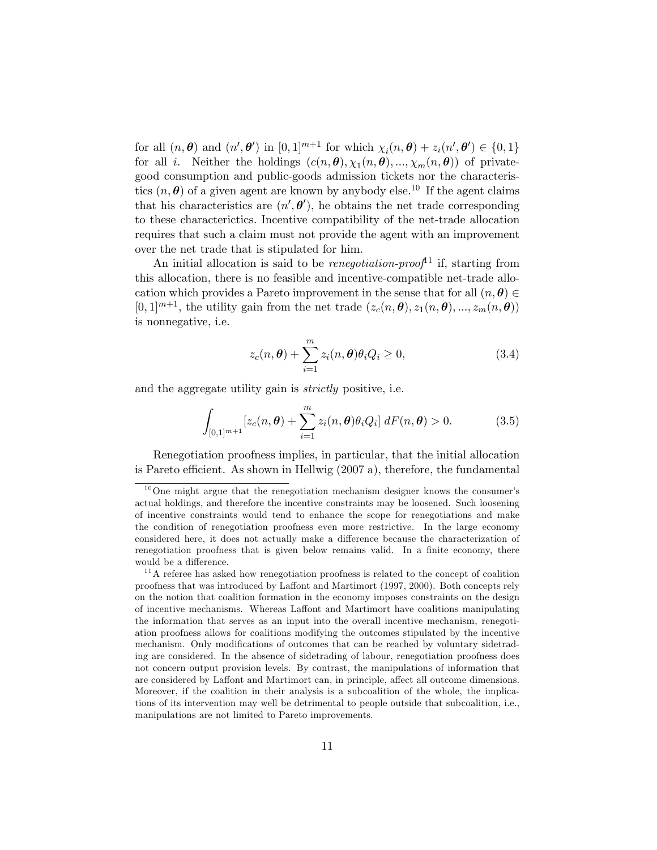for all  $(n, \theta)$  and  $(n', \theta')$  in  $[0, 1]^{m+1}$  for which  $\chi_i(n, \theta) + z_i(n', \theta') \in \{0, 1\}$ for all *i*. Neither the holdings  $(c(n, \theta), \chi_1(n, \theta), ..., \chi_m(n, \theta))$  of privategood consumption and public-goods admission tickets nor the characteristics  $(n, \theta)$  of a given agent are known by anybody else.<sup>10</sup> If the agent claims that his characteristics are  $(n', \theta')$ , he obtains the net trade corresponding to these characterictics: Incentive compatibility of the net-trade allocation requires that such a claim must not provide the agent with an improvement over the net trade that is stipulated for him.

An initial allocation is said to be *renegotiation-proof*<sup>11</sup> if, starting from this allocation, there is no feasible and incentive-compatible net-trade allocation which provides a Pareto improvement in the sense that for all  $(n, \theta) \in$  $[0,1]^{m+1}$ , the utility gain from the net trade  $(z_c(n, \theta), z_1(n, \theta), ..., z_m(n, \theta))$ is nonnegative, i.e.

$$
z_c(n,\boldsymbol{\theta}) + \sum_{i=1}^m z_i(n,\boldsymbol{\theta})\theta_i Q_i \ge 0,
$$
\n(3.4)

and the aggregate utility gain is strictly positive, i.e.

$$
\int_{[0,1]^{m+1}} \left[z_c(n,\boldsymbol{\theta}) + \sum_{i=1}^m z_i(n,\boldsymbol{\theta})\theta_i Q_i\right] dF(n,\boldsymbol{\theta}) > 0.
$$
 (3.5)

Renegotiation proofness implies, in particular, that the initial allocation is Pareto efficient. As shown in Hellwig  $(2007 a)$ , therefore, the fundamental

 $10$ One might argue that the renegotiation mechanism designer knows the consumer's actual holdings, and therefore the incentive constraints may be loosened. Such loosening of incentive constraints would tend to enhance the scope for renegotiations and make the condition of renegotiation proofness even more restrictive. In the large economy considered here, it does not actually make a difference because the characterization of renegotiation proofness that is given below remains valid. In a finite economy, there would be a difference.

<sup>&</sup>lt;sup>11</sup>A referee has asked how renegotiation proofness is related to the concept of coalition proofness that was introduced by Laffont and Martimort (1997, 2000). Both concepts rely on the notion that coalition formation in the economy imposes constraints on the design of incentive mechanisms. Whereas Laffont and Martimort have coalitions manipulating the information that serves as an input into the overall incentive mechanism, renegotiation proofness allows for coalitions modifying the outcomes stipulated by the incentive mechanism. Only modifications of outcomes that can be reached by voluntary sidetrading are considered. In the absence of sidetrading of labour, renegotiation proofness does not concern output provision levels. By contrast, the manipulations of information that are considered by Laffont and Martimort can, in principle, affect all outcome dimensions. Moreover, if the coalition in their analysis is a subcoalition of the whole, the implications of its intervention may well be detrimental to people outside that subcoalition, i.e., manipulations are not limited to Pareto improvements.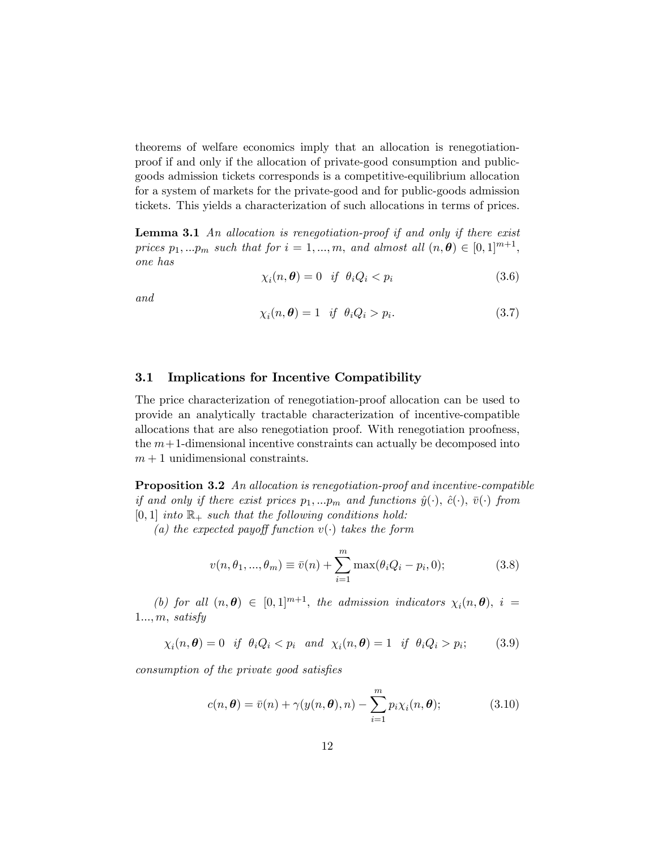theorems of welfare economics imply that an allocation is renegotiationproof if and only if the allocation of private-good consumption and publicgoods admission tickets corresponds is a competitive-equilibrium allocation for a system of markets for the private-good and for public-goods admission tickets. This yields a characterization of such allocations in terms of prices.

Lemma 3.1 An allocation is renegotiation-proof if and only if there exist prices  $p_1, ... p_m$  such that for  $i = 1, ..., m$ , and almost all  $(n, \theta) \in [0, 1]^{m+1}$ , one has

$$
\chi_i(n,\boldsymbol{\theta}) = 0 \quad \text{if} \quad \theta_i Q_i < p_i \tag{3.6}
$$

and

$$
\chi_i(n,\boldsymbol{\theta}) = 1 \quad \text{if} \quad \theta_i Q_i > p_i. \tag{3.7}
$$

#### 3.1 Implications for Incentive Compatibility

The price characterization of renegotiation-proof allocation can be used to provide an analytically tractable characterization of incentive-compatible allocations that are also renegotiation proof. With renegotiation proofness, the  $m+1$ -dimensional incentive constraints can actually be decomposed into  $m + 1$  unidimensional constraints.

Proposition 3.2 An allocation is renegotiation-proof and incentive-compatible if and only if there exist prices  $p_1, ... p_m$  and functions  $\hat{y}(\cdot), \hat{c}(\cdot), \bar{v}(\cdot)$  from  $[0, 1]$  into  $\mathbb{R}_+$  such that the following conditions hold:

(a) the expected payoff function  $v(\cdot)$  takes the form

$$
v(n, \theta_1, ..., \theta_m) \equiv \bar{v}(n) + \sum_{i=1}^{m} \max(\theta_i Q_i - p_i, 0);
$$
 (3.8)

(b) for all  $(n, \theta) \in [0, 1]^{m+1}$ , the admission indicators  $\chi_i(n, \theta)$ ,  $i =$  $1...$ , m, satisfy

 $\chi_i(n,\boldsymbol{\theta}) = 0 \ \ \ if \ \ \theta_i Q_i < p_i \ \ \ and \ \ \chi_i(n,\boldsymbol{\theta}) = 1 \ \ \ if \ \ \theta_i Q_i > p_i$  $(3.9)$ 

consumption of the private good satisfies

$$
c(n, \theta) = \bar{v}(n) + \gamma(y(n, \theta), n) - \sum_{i=1}^{m} p_i \chi_i(n, \theta); \qquad (3.10)
$$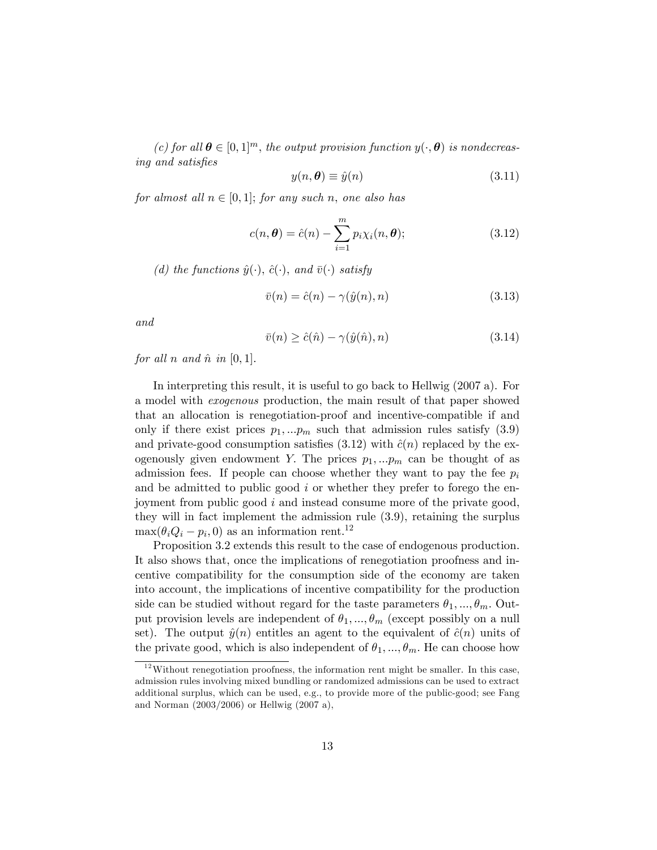(c) for all  $\theta \in [0, 1]^m$ , the output provision function  $y(\cdot, \theta)$  is nondecreasing and satisfies

$$
y(n, \theta) \equiv \hat{y}(n) \tag{3.11}
$$

for almost all  $n \in [0, 1]$ ; for any such n, one also has

$$
c(n, \theta) = \hat{c}(n) - \sum_{i=1}^{m} p_i \chi_i(n, \theta); \qquad (3.12)
$$

(d) the functions  $\hat{y}(\cdot), \hat{c}(\cdot)$ , and  $\bar{v}(\cdot)$  satisfy

$$
\bar{v}(n) = \hat{c}(n) - \gamma(\hat{y}(n), n) \tag{3.13}
$$

and

$$
\bar{v}(n) \ge \hat{c}(\hat{n}) - \gamma(\hat{y}(\hat{n}), n) \tag{3.14}
$$

for all n and  $\hat{n}$  in  $[0, 1]$ .

In interpreting this result, it is useful to go back to Hellwig (2007 a). For a model with exogenous production, the main result of that paper showed that an allocation is renegotiation-proof and incentive-compatible if and only if there exist prices  $p_1, \ldots, p_m$  such that admission rules satisfy (3.9) and private-good consumption satisfies (3.12) with  $\hat{c}(n)$  replaced by the exogenously given endowment Y. The prices  $p_1, \ldots, p_m$  can be thought of as admission fees. If people can choose whether they want to pay the fee  $p_i$ and be admitted to public good  $i$  or whether they prefer to forego the enjoyment from public good i and instead consume more of the private good, they will in fact implement the admission rule (3.9), retaining the surplus  $\max(\theta_i Q_i - p_i, 0)$  as an information rent.<sup>12</sup>

Proposition 3.2 extends this result to the case of endogenous production. It also shows that, once the implications of renegotiation proofness and incentive compatibility for the consumption side of the economy are taken into account, the implications of incentive compatibility for the production side can be studied without regard for the taste parameters  $\theta_1, ..., \theta_m$ . Output provision levels are independent of  $\theta_1, ..., \theta_m$  (except possibly on a null set). The output  $\hat{y}(n)$  entitles an agent to the equivalent of  $\hat{c}(n)$  units of the private good, which is also independent of  $\theta_1, ..., \theta_m$ . He can choose how

 $12$  Without renegotiation proofness, the information rent might be smaller. In this case, admission rules involving mixed bundling or randomized admissions can be used to extract additional surplus, which can be used, e.g., to provide more of the public-good; see Fang and Norman (2003/2006) or Hellwig (2007 a),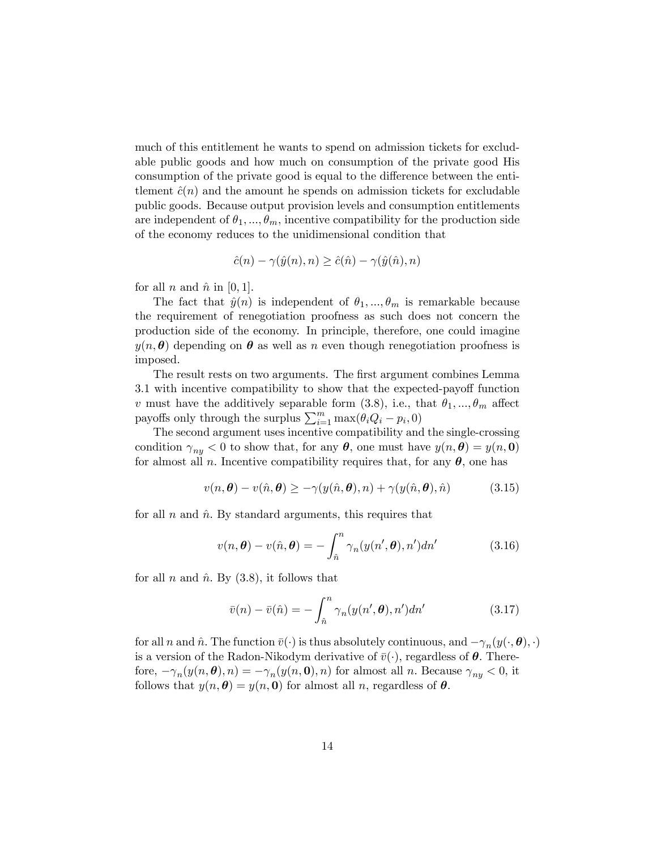much of this entitlement he wants to spend on admission tickets for excludable public goods and how much on consumption of the private good His consumption of the private good is equal to the difference between the entitlement  $\hat{c}(n)$  and the amount he spends on admission tickets for excludable public goods. Because output provision levels and consumption entitlements are independent of  $\theta_1, ..., \theta_m$ , incentive compatibility for the production side of the economy reduces to the unidimensional condition that

$$
\hat{c}(n) - \gamma(\hat{y}(n), n) \ge \hat{c}(\hat{n}) - \gamma(\hat{y}(\hat{n}), n)
$$

for all n and  $\hat{n}$  in [0, 1].

The fact that  $\hat{y}(n)$  is independent of  $\theta_1, ..., \theta_m$  is remarkable because the requirement of renegotiation proofness as such does not concern the production side of the economy. In principle, therefore, one could imagine  $y(n, \theta)$  depending on  $\theta$  as well as n even though renegotiation proofness is imposed.

The result rests on two arguments. The first argument combines Lemma 3.1 with incentive compatibility to show that the expected-payoff function v must have the additively separable form  $(3.8)$ , i.e., that  $\theta_1, ..., \theta_m$  affect payoffs only through the surplus  $\sum_{i=1}^{m} \max(\theta_i Q_i - p_i, 0)$ 

The second argument uses incentive compatibility and the single-crossing condition  $\gamma_{ny} < 0$  to show that, for any  $\theta$ , one must have  $y(n, \theta) = y(n, 0)$ for almost all n. Incentive compatibility requires that, for any  $\theta$ , one has

$$
v(n, \theta) - v(\hat{n}, \theta) \ge -\gamma(y(\hat{n}, \theta), n) + \gamma(y(\hat{n}, \theta), \hat{n}) \tag{3.15}
$$

for all n and  $\hat{n}$ . By standard arguments, this requires that

$$
v(n,\boldsymbol{\theta}) - v(\hat{n},\boldsymbol{\theta}) = -\int_{\hat{n}}^{n} \gamma_n(y(n',\boldsymbol{\theta}),n')dn'
$$
 (3.16)

for all n and  $\hat{n}$ . By (3.8), it follows that

$$
\bar{v}(n) - \bar{v}(\hat{n}) = -\int_{\hat{n}}^{n} \gamma_n(y(n', \theta), n') dn'
$$
\n(3.17)

for all n and  $\hat{n}$ . The function  $\bar{v}(\cdot)$  is thus absolutely continuous, and  $-\gamma_n(y(\cdot, \theta), \cdot)$ is a version of the Radon-Nikodym derivative of  $\bar{v}(\cdot)$ , regardless of  $\theta$ . Therefore,  $-\gamma_n(y(n, \theta), n) = -\gamma_n(y(n, 0), n)$  for almost all n. Because  $\gamma_{ny} < 0$ , it follows that  $y(n, \theta) = y(n, 0)$  for almost all n, regardless of  $\theta$ .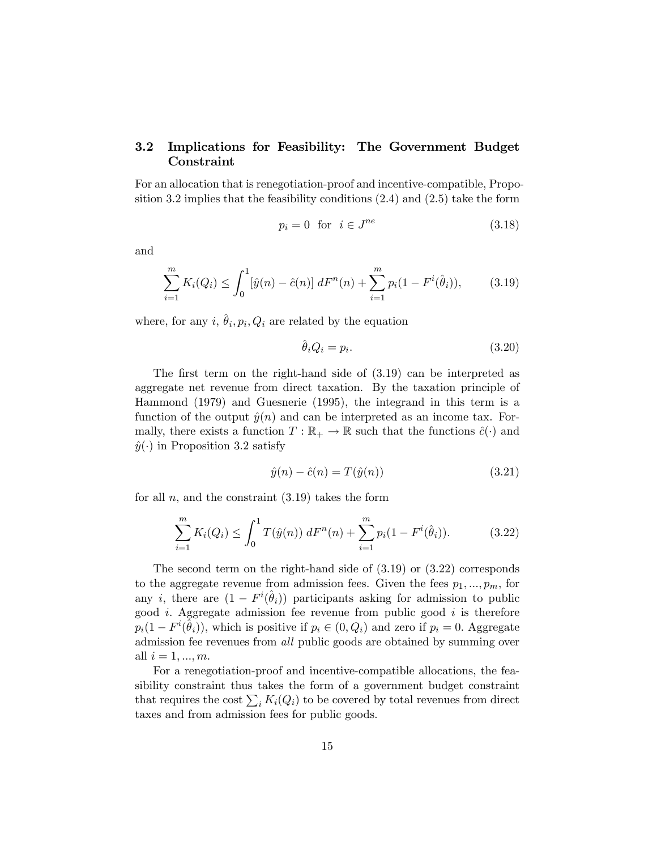### 3.2 Implications for Feasibility: The Government Budget Constraint

For an allocation that is renegotiation-proof and incentive-compatible, Proposition 3.2 implies that the feasibility conditions (2.4) and (2.5) take the form

$$
p_i = 0 \quad \text{for} \quad i \in J^{ne} \tag{3.18}
$$

and

$$
\sum_{i=1}^{m} K_i(Q_i) \le \int_0^1 [\hat{y}(n) - \hat{c}(n)] \, dF^n(n) + \sum_{i=1}^{m} p_i(1 - F^i(\hat{\theta}_i)), \tag{3.19}
$$

where, for any  $i, \hat{\theta}_i, p_i, Q_i$  are related by the equation

$$
\hat{\theta}_i Q_i = p_i. \tag{3.20}
$$

The first term on the right-hand side of  $(3.19)$  can be interpreted as aggregate net revenue from direct taxation. By the taxation principle of Hammond (1979) and Guesnerie (1995), the integrand in this term is a function of the output  $\hat{y}(n)$  and can be interpreted as an income tax. Formally, there exists a function  $T : \mathbb{R}_+ \to \mathbb{R}$  such that the functions  $\hat{c}(\cdot)$  and  $\hat{y}(\cdot)$  in Proposition 3.2 satisfy

$$
\hat{y}(n) - \hat{c}(n) = T(\hat{y}(n))
$$
\n(3.21)

for all n, and the constraint  $(3.19)$  takes the form

$$
\sum_{i=1}^{m} K_i(Q_i) \le \int_0^1 T(\hat{y}(n)) \, dF^n(n) + \sum_{i=1}^{m} p_i (1 - F^i(\hat{\theta}_i)). \tag{3.22}
$$

The second term on the right-hand side of (3.19) or (3.22) corresponds to the aggregate revenue from admission fees. Given the fees  $p_1, ..., p_m$ , for any *i*, there are  $(1 - F^{i}(\hat{\theta}_{i}))$  participants asking for admission to public good *i*. Aggregate admission fee revenue from public good *i* is therefore  $p_i(1 - F^i(\hat{\theta}_i))$ , which is positive if  $p_i \in (0, Q_i)$  and zero if  $p_i = 0$ . Aggregate admission fee revenues from *all* public goods are obtained by summing over all  $i = 1, ..., m$ .

For a renegotiation-proof and incentive-compatible allocations, the feasibility constraint thus takes the form of a government budget constraint that requires the cost  $\sum_i K_i(Q_i)$  to be covered by total revenues from direct taxes and from admission fees for public goods.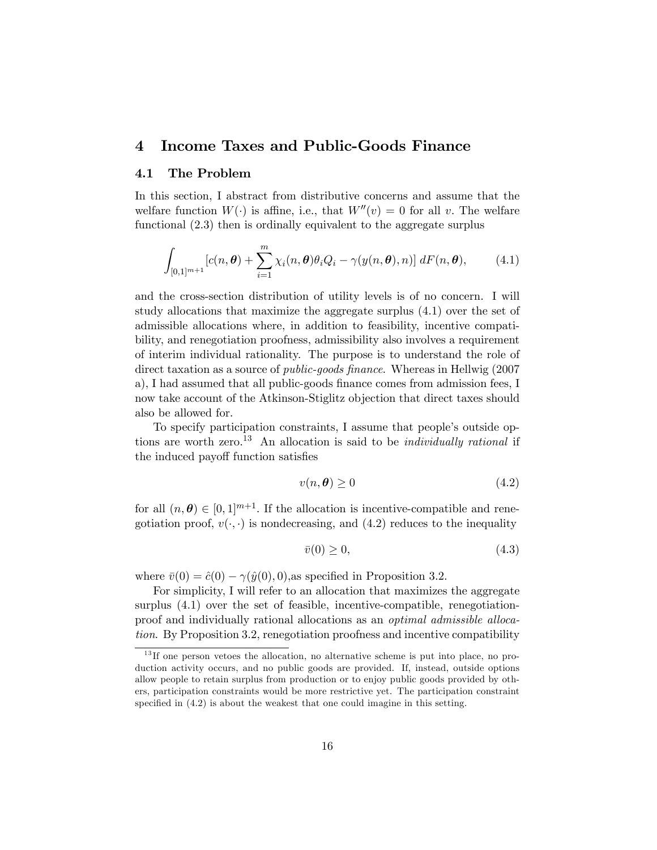# 4 Income Taxes and Public-Goods Finance

#### 4.1 The Problem

In this section, I abstract from distributive concerns and assume that the welfare function  $W(\cdot)$  is affine, i.e., that  $W''(v) = 0$  for all v. The welfare functional (2.3) then is ordinally equivalent to the aggregate surplus

$$
\int_{[0,1]^{m+1}} [c(n,\boldsymbol{\theta}) + \sum_{i=1}^m \chi_i(n,\boldsymbol{\theta}) \theta_i Q_i - \gamma(y(n,\boldsymbol{\theta}), n)] \, dF(n,\boldsymbol{\theta}), \tag{4.1}
$$

and the cross-section distribution of utility levels is of no concern. I will study allocations that maximize the aggregate surplus (4.1) over the set of admissible allocations where, in addition to feasibility, incentive compatibility, and renegotiation proofness, admissibility also involves a requirement of interim individual rationality. The purpose is to understand the role of direct taxation as a source of *public-goods finance*. Whereas in Hellwig (2007) a), I had assumed that all public-goods finance comes from admission fees, I now take account of the Atkinson-Stiglitz objection that direct taxes should also be allowed for.

To specify participation constraints, I assume that people's outside options are worth zero.<sup>13</sup> An allocation is said to be *individually rational* if the induced payoff function satisfies

$$
v(n, \theta) \ge 0 \tag{4.2}
$$

for all  $(n, \theta) \in [0, 1]^{m+1}$ . If the allocation is incentive-compatible and renegotiation proof,  $v(\cdot, \cdot)$  is nondecreasing, and (4.2) reduces to the inequality

$$
\bar{v}(0) \ge 0,\tag{4.3}
$$

where  $\bar{v}(0) = \hat{c}(0) - \gamma(\hat{y}(0), 0)$ , as specified in Proposition 3.2.

For simplicity, I will refer to an allocation that maximizes the aggregate surplus (4.1) over the set of feasible, incentive-compatible, renegotiationproof and individually rational allocations as an optimal admissible allocation. By Proposition 3.2, renegotiation proofness and incentive compatibility

 $13$  If one person vetoes the allocation, no alternative scheme is put into place, no production activity occurs, and no public goods are provided. If, instead, outside options allow people to retain surplus from production or to enjoy public goods provided by others, participation constraints would be more restrictive yet. The participation constraint specified in  $(4.2)$  is about the weakest that one could imagine in this setting.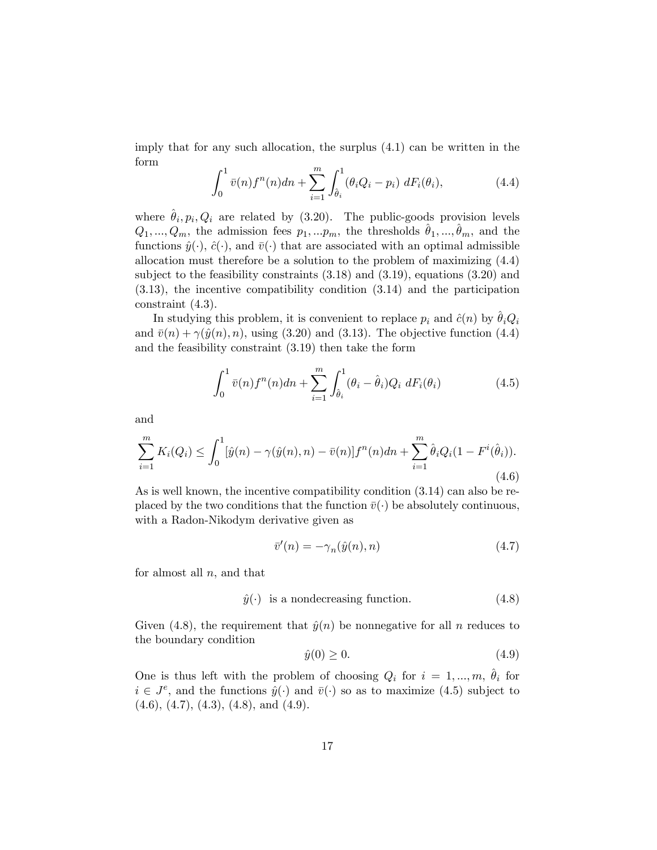imply that for any such allocation, the surplus (4.1) can be written in the form

$$
\int_0^1 \bar{v}(n) f^n(n) dn + \sum_{i=1}^m \int_{\hat{\theta}_i}^1 (\theta_i Q_i - p_i) \, dF_i(\theta_i), \tag{4.4}
$$

where  $\hat{\theta}_i, p_i, Q_i$  are related by (3.20). The public-goods provision levels  $Q_1, ..., Q_m$ , the admission fees  $p_1, ... p_m$ , the thresholds  $\hat{\theta}_1, ..., \hat{\theta}_m$ , and the functions  $\hat{y}(\cdot), \hat{c}(\cdot)$ , and  $\bar{v}(\cdot)$  that are associated with an optimal admissible allocation must therefore be a solution to the problem of maximizing (4.4) subject to the feasibility constraints (3.18) and (3.19), equations (3.20) and (3.13), the incentive compatibility condition (3.14) and the participation constraint (4.3).

In studying this problem, it is convenient to replace  $p_i$  and  $\hat{c}(n)$  by  $\theta_iQ_i$ and  $\bar{v}(n) + \gamma(\hat{y}(n), n)$ , using (3.20) and (3.13). The objective function (4.4) and the feasibility constraint (3.19) then take the form

$$
\int_0^1 \bar{v}(n) f^n(n) dn + \sum_{i=1}^m \int_{\hat{\theta}_i}^1 (\theta_i - \hat{\theta}_i) Q_i \, dF_i(\theta_i) \tag{4.5}
$$

and

$$
\sum_{i=1}^{m} K_i(Q_i) \le \int_0^1 [\hat{y}(n) - \gamma(\hat{y}(n), n) - \bar{v}(n)] f^n(n) dn + \sum_{i=1}^{m} \hat{\theta}_i Q_i (1 - F^i(\hat{\theta}_i)).
$$
\n(4.6)

As is well known, the incentive compatibility condition (3.14) can also be replaced by the two conditions that the function  $\bar{v}(\cdot)$  be absolutely continuous, with a Radon-Nikodym derivative given as

$$
\bar{v}'(n) = -\gamma_n(\hat{y}(n), n) \tag{4.7}
$$

for almost all  $n$ , and that

$$
\hat{y}(\cdot)
$$
 is a nondecreasing function. (4.8)

Given (4.8), the requirement that  $\hat{y}(n)$  be nonnegative for all n reduces to the boundary condition

$$
\hat{y}(0) \ge 0. \tag{4.9}
$$

One is thus left with the problem of choosing  $Q_i$  for  $i = 1, ..., m, \theta_i$  for  $i \in J<sup>e</sup>$ , and the functions  $\hat{y}(\cdot)$  and  $\bar{v}(\cdot)$  so as to maximize (4.5) subject to  $(4.6), (4.7), (4.3), (4.8), \text{ and } (4.9).$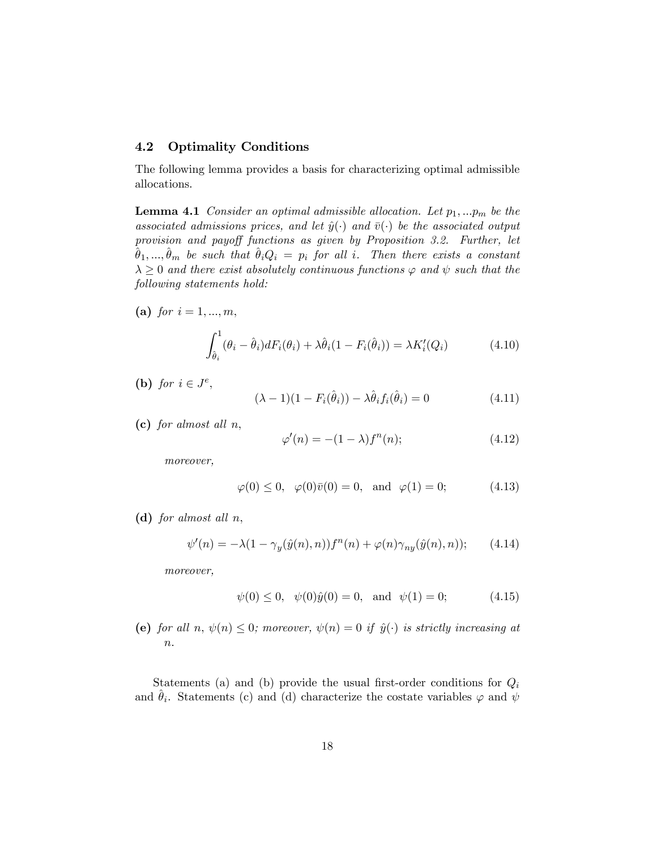#### 4.2 Optimality Conditions

The following lemma provides a basis for characterizing optimal admissible allocations.

**Lemma 4.1** Consider an optimal admissible allocation. Let  $p_1, \ldots, p_m$  be the associated admissions prices, and let  $\hat{y}(\cdot)$  and  $\bar{v}(\cdot)$  be the associated output provision and payoff functions as given by Proposition 3.2. Further, let  $\hat{\theta}_1,...,\hat{\theta}_m$  be such that  $\hat{\theta}_iQ_i = p_i$  for all i. Then there exists a constant  $\lambda \geq 0$  and there exist absolutely continuous functions  $\varphi$  and  $\psi$  such that the following statements hold:

(a) for  $i = 1, ..., m$ ,

$$
\int_{\hat{\theta}_i}^1 (\theta_i - \hat{\theta}_i) dF_i(\theta_i) + \lambda \hat{\theta}_i (1 - F_i(\hat{\theta}_i)) = \lambda K_i'(Q_i)
$$
\n(4.10)

(b) for  $i \in J^e$ ,

$$
(\lambda - 1)(1 - F_i(\hat{\theta}_i)) - \lambda \hat{\theta}_i f_i(\hat{\theta}_i) = 0 \qquad (4.11)
$$

(c) for almost all  $n$ ,

$$
\varphi'(n) = -(1 - \lambda)f^{n}(n); \qquad (4.12)
$$

moreover,

$$
\varphi(0) \le 0, \quad \varphi(0)\bar{v}(0) = 0, \text{ and } \varphi(1) = 0;
$$
\n(4.13)

(d) for almost all  $n$ ,

$$
\psi'(n) = -\lambda (1 - \gamma_y(\hat{y}(n), n)) f^n(n) + \varphi(n) \gamma_{ny}(\hat{y}(n), n)); \qquad (4.14)
$$

moreover,

$$
\psi(0) \le 0, \quad \psi(0)\hat{y}(0) = 0, \text{ and } \psi(1) = 0;
$$
\n(4.15)

(e) for all n,  $\psi(n) \leq 0$ ; moreover,  $\psi(n) = 0$  if  $\hat{y}(\cdot)$  is strictly increasing at  $\it n.$ 

Statements (a) and (b) provide the usual first-order conditions for  $Q_i$ and  $\hat{\theta}_i$ . Statements (c) and (d) characterize the costate variables  $\varphi$  and  $\psi$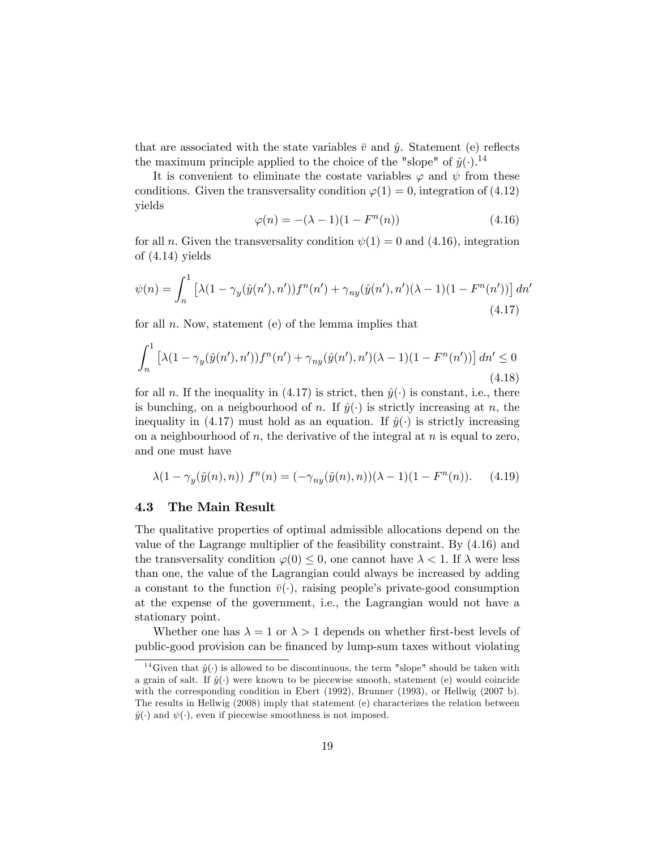that are associated with the state variables  $\bar{v}$  and  $\hat{y}$ . Statement (e) reflects the maximum principle applied to the choice of the "slope" of  $\hat{y}(\cdot)$ .<sup>14</sup>

It is convenient to eliminate the costate variables  $\varphi$  and  $\psi$  from these conditions. Given the transversality condition  $\varphi(1) = 0$ , integration of (4.12) yields

$$
\varphi(n) = -(\lambda - 1)(1 - F^n(n))
$$
\n(4.16)

for all *n*. Given the transversality condition  $\psi(1) = 0$  and (4.16), integration of (4.14) yields

$$
\psi(n) = \int_{n}^{1} \left[ \lambda (1 - \gamma_y(\hat{y}(n'), n')) f^n(n') + \gamma_{ny}(\hat{y}(n'), n') (\lambda - 1) (1 - F^n(n')) \right] dn' \tag{4.17}
$$

for all  $n.$  Now, statement (e) of the lemma implies that

$$
\int_{n}^{1} \left[ \lambda (1 - \gamma_y(\hat{y}(n'), n')) f^n(n') + \gamma_{ny}(\hat{y}(n'), n') (\lambda - 1) (1 - F^n(n')) \right] dn' \le 0
$$
\n(4.18)

for all n. If the inequality in (4.17) is strict, then  $\hat{y}(\cdot)$  is constant, i.e., there is bunching, on a neigbourhood of n. If  $\hat{y}(\cdot)$  is strictly increasing at n, the inequality in (4.17) must hold as an equation. If  $\hat{y}(\cdot)$  is strictly increasing on a neighbourhood of  $n$ , the derivative of the integral at  $n$  is equal to zero, and one must have

$$
\lambda(1 - \gamma_y(\hat{y}(n), n)) f^n(n) = (-\gamma_{ny}(\hat{y}(n), n))(\lambda - 1)(1 - F^n(n)). \tag{4.19}
$$

#### 4.3 The Main Result

The qualitative properties of optimal admissible allocations depend on the value of the Lagrange multiplier of the feasibility constraint: By (4.16) and the transversality condition  $\varphi(0) \leq 0$ , one cannot have  $\lambda < 1$ . If  $\lambda$  were less than one, the value of the Lagrangian could always be increased by adding a constant to the function  $\bar{v}(\cdot)$ , raising people's private-good consumption at the expense of the government, i.e., the Lagrangian would not have a stationary point.

Whether one has  $\lambda = 1$  or  $\lambda > 1$  depends on whether first-best levels of public-good provision can be Önanced by lump-sum taxes without violating

<sup>&</sup>lt;sup>14</sup>Given that  $\hat{y}(\cdot)$  is allowed to be discontinuous, the term "slope" should be taken with a grain of salt. If  $\hat{y}(\cdot)$  were known to be piecewise smooth, statement (e) would coincide with the corresponding condition in Ebert (1992), Brunner (1993), or Hellwig (2007 b). The results in Hellwig (2008) imply that statement (e) characterizes the relation between  $\hat{y}(\cdot)$  and  $\psi(\cdot)$ , even if piecewise smoothness is not imposed.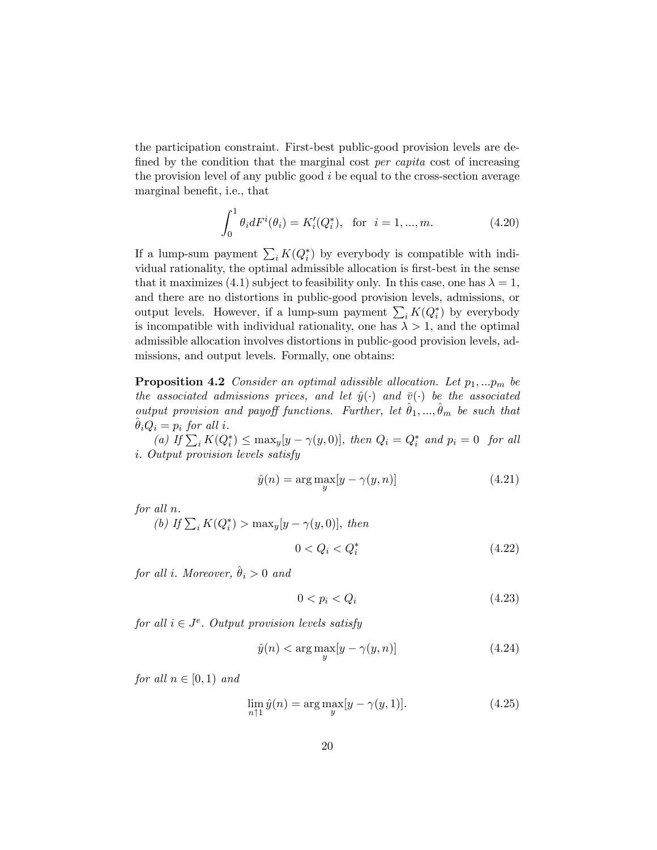the participation constraint. First-best public-good provision levels are defined by the condition that the marginal cost *per capita* cost of increasing the provision level of any public good  $i$  be equal to the cross-section average marginal benefit, i.e., that

$$
\int_0^1 \theta_i dF^i(\theta_i) = K'_i(Q_i^*), \text{ for } i = 1, ..., m.
$$
 (4.20)

If a lump-sum payment  $\sum_i K(Q_i^*)$  by everybody is compatible with individual rationality, the optimal admissible allocation is first-best in the sense that it maximizes (4.1) subject to feasibility only. In this case, one has  $\lambda = 1$ , and there are no distortions in public-good provision levels, admissions, or output levels. However, if a lump-sum payment  $\sum_i K(Q_i^*)$  by everybody is incompatible with individual rationality, one has  $\lambda > 1$ , and the optimal admissible allocation involves distortions in public-good provision levels, admissions, and output levels. Formally, one obtains:

**Proposition 4.2** Consider an optimal adissible allocation. Let  $p_1, \ldots, p_m$  be the associated admissions prices, and let  $\hat{y}(\cdot)$  and  $\bar{v}(\cdot)$  be the associated output provision and payoff functions. Further, let  $\hat{\theta}_1, ..., \hat{\theta}_m$  be such that  $\theta_iQ_i = p_i$  for all i.

(a) If  $\sum_i K(Q_i^*) \le \max_y [y - \gamma(y, 0)],$  then  $Q_i = Q_i^*$  and  $p_i = 0$  for all i: Output provision levels satisfy

$$
\hat{y}(n) = \arg \max_{y} [y - \gamma(y, n)] \tag{4.21}
$$

for all n.

(b) If  $\sum_i K(Q_i^*)$  > max<sub>y</sub>[y -  $\gamma(y, 0)$ ], then

$$
0 < Q_i < Q_i^* \tag{4.22}
$$

for all i. Moreover,  $\hat{\theta}_i > 0$  and

 $0 < p_i < Q_i$  (4.23)

for all  $i \in J<sup>e</sup>$ . Output provision levels satisfy

$$
\hat{y}(n) < \arg\max_{y} [y - \gamma(y, n)] \tag{4.24}
$$

for all  $n \in [0, 1)$  and

$$
\lim_{n \uparrow 1} \hat{y}(n) = \arg \max_{y} [y - \gamma(y, 1)]. \tag{4.25}
$$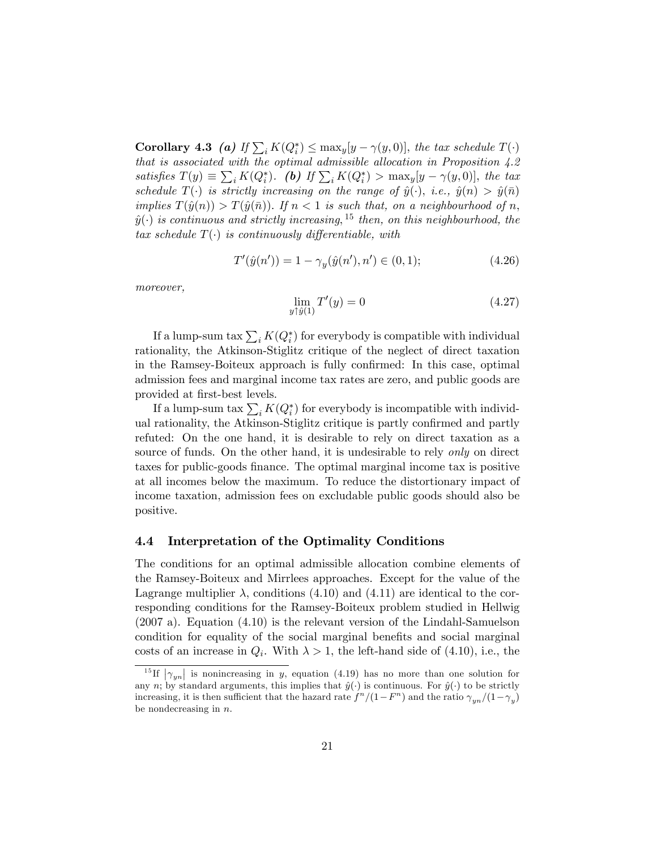**Corollary 4.3** (a) If  $\sum_i K(Q_i^*) \le \max_y [y - \gamma(y, 0)],$  the tax schedule  $T(\cdot)$ that is associated with the optimal admissible allocation in Proposition  $4.2$ satisfies  $T(y) \equiv \sum_i K(Q_i^*)$ . (b) If  $\sum_i K(Q_i^*) > \max_y [y - \gamma(y, 0)],$  the tax schedule  $T(\cdot)$  is strictly increasing on the range of  $\hat{y}(\cdot), i.e., \hat{y}(n) > \hat{y}(\bar{n})$ implies  $T(\hat{y}(n)) > T(\hat{y}(\bar{n}))$ . If  $n < 1$  is such that, on a neighbourhood of n,  $\hat{y}(\cdot)$  is continuous and strictly increasing,  $^{15}$  then, on this neighbourhood, the tax schedule  $T(\cdot)$  is continuously differentiable, with

$$
T'(\hat{y}(n')) = 1 - \gamma_y(\hat{y}(n'), n') \in (0, 1); \tag{4.26}
$$

moreover,

$$
\lim_{y \uparrow \hat{y}(1)} T'(y) = 0 \tag{4.27}
$$

If a lump-sum tax  $\sum_i K(Q_i^*)$  for everybody is compatible with individual rationality, the Atkinson-Stiglitz critique of the neglect of direct taxation in the Ramsey-Boiteux approach is fully confirmed: In this case, optimal admission fees and marginal income tax rates are zero, and public goods are provided at first-best levels.

If a lump-sum tax  $\sum_i K(Q_i^*)$  for everybody is incompatible with individual rationality, the Atkinson-Stiglitz critique is partly confirmed and partly refuted: On the one hand, it is desirable to rely on direct taxation as a source of funds. On the other hand, it is undesirable to rely *only* on direct taxes for public-goods finance. The optimal marginal income tax is positive at all incomes below the maximum. To reduce the distortionary impact of income taxation, admission fees on excludable public goods should also be positive.

#### 4.4 Interpretation of the Optimality Conditions

The conditions for an optimal admissible allocation combine elements of the Ramsey-Boiteux and Mirrlees approaches. Except for the value of the Lagrange multiplier  $\lambda$ , conditions (4.10) and (4.11) are identical to the corresponding conditions for the Ramsey-Boiteux problem studied in Hellwig (2007 a). Equation (4.10) is the relevant version of the Lindahl-Samuelson condition for equality of the social marginal benefits and social marginal costs of an increase in  $Q_i$ . With  $\lambda > 1$ , the left-hand side of (4.10), i.e., the

<sup>&</sup>lt;sup>15</sup>If  $|\gamma_{yn}|$  is nonincreasing in y, equation (4.19) has no more than one solution for any n; by standard arguments, this implies that  $\hat{y}(\cdot)$  is continuous. For  $\hat{y}(\cdot)$  to be strictly increasing, it is then sufficient that the hazard rate  $f^{n}/(1-F^{n})$  and the ratio  $\gamma_{yn}/(1-\gamma_{y})$ be nondecreasing in  $n$ .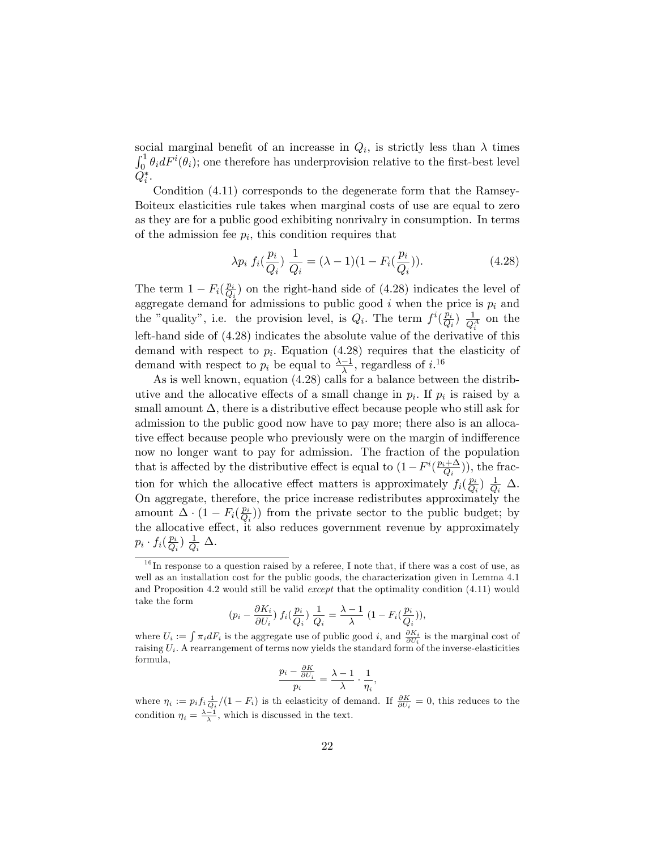social marginal benefit of an increasse in  $Q_i$ , is strictly less than  $\lambda$  times  $\int_0^1 \theta_i dF^i(\theta_i)$ ; one therefore has underprovision relative to the first-best level  $Q_i^*.$ 

Condition (4.11) corresponds to the degenerate form that the Ramsey-Boiteux elasticities rule takes when marginal costs of use are equal to zero as they are for a public good exhibiting nonrivalry in consumption. In terms of the admission fee  $p_i$ , this condition requires that

$$
\lambda p_i \ f_i(\frac{p_i}{Q_i}) \ \frac{1}{Q_i} = (\lambda - 1)(1 - F_i(\frac{p_i}{Q_i})). \tag{4.28}
$$

The term  $1-F_i(\frac{p_i}{Q_i})$  $\frac{p_i}{Q_i}$  on the right-hand side of (4.28) indicates the level of aggregate demand for admissions to public good  $i$  when the price is  $p_i$  and the "quality", i.e. the provision level, is  $Q_i$ . The term  $f^i(\frac{p_i}{Q_i})$  $\frac{p_i}{Q_i}$ )  $\frac{1}{Q_i^A}$  on the left-hand side of (4.28) indicates the absolute value of the derivative of this demand with respect to  $p_i$ . Equation (4.28) requires that the elasticity of demand with respect to  $p_i$  be equal to  $\frac{\lambda-1}{\lambda}$ , regardless of  $i^{16}$ 

As is well known, equation (4.28) calls for a balance between the distributive and the allocative effects of a small change in  $p_i$ . If  $p_i$  is raised by a small amount  $\Delta$ , there is a distributive effect because people who still ask for admission to the public good now have to pay more; there also is an allocative effect because people who previously were on the margin of indifference now no longer want to pay for admission. The fraction of the population that is affected by the distributive effect is equal to  $(1-F^i(\frac{p_i+\Delta}{Q_i})$  $(\frac{i+\Delta}{Q_i})$ , the fraction for which the allocative effect matters is approximately  $f_i(\frac{p_i}{Q_i})$  $\frac{p_i}{Q_i}$ )  $\frac{1}{Q}$  $\frac{1}{Q_i}$   $\Delta$ . On aggregate, therefore, the price increase redistributes approximately the amount  $\Delta \cdot (1 - F_i(\frac{p_i}{Q_i}))$  $\frac{p_i}{Q_i}$ ) from the private sector to the public budget; by the allocative effect, it also reduces government revenue by approximately  $p_i \cdot f_i(\frac{p_i}{Q_i}$  $\frac{p_i}{Q_i}$ )  $\frac{1}{Q}$  $\frac{1}{Q_i}$   $\Delta$ .

$$
(p_i - \frac{\partial K_i}{\partial U_i}) f_i(\frac{p_i}{Q_i}) \frac{1}{Q_i} = \frac{\lambda - 1}{\lambda} (1 - F_i(\frac{p_i}{Q_i})),
$$

$$
\frac{p_i - \frac{\partial K}{\partial U_i}}{p_i} = \frac{\lambda - 1}{\lambda} \cdot \frac{1}{\eta_i},
$$

 $1<sup>6</sup>$  In response to a question raised by a referee, I note that, if there was a cost of use, as well as an installation cost for the public goods, the characterization given in Lemma 4.1 and Proposition 4.2 would still be valid except that the optimality condition (4.11) would take the form

where  $U_i := \int \pi_i dF_i$  is the aggregate use of public good *i*, and  $\frac{\partial K_i}{\partial U_i}$  is the marginal cost of raising  $U_i$ . A rearrangement of terms now yields the standard form of the inverse-elasticities formula,

where  $\eta_i := p_i f_i \frac{1}{Q_i} / (1 - F_i)$  is the elasticity of demand. If  $\frac{\partial K}{\partial U_i} = 0$ , this reduces to the condition  $\eta_i = \frac{\lambda - 1}{\lambda}$ , which is discussed in the text.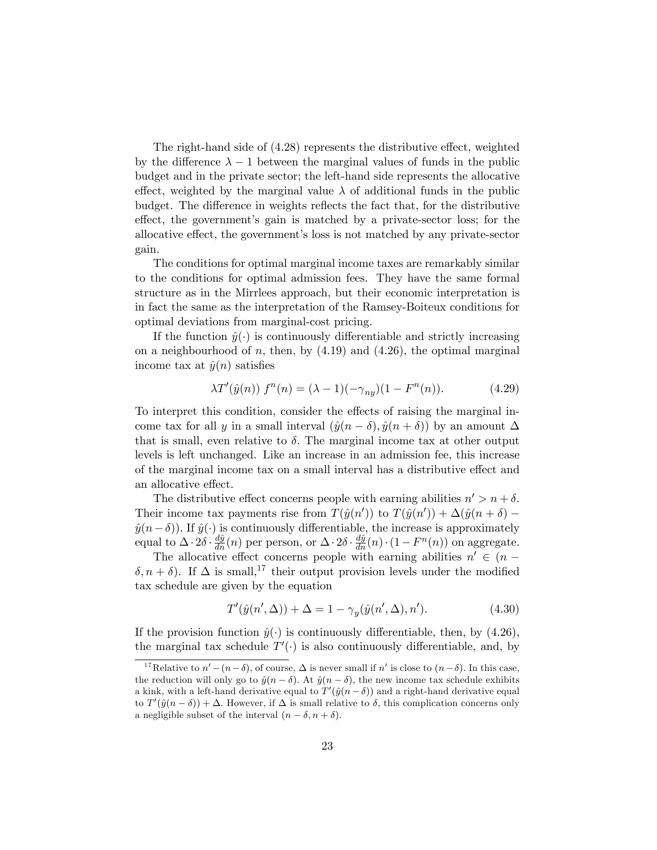The right-hand side of  $(4.28)$  represents the distributive effect, weighted by the difference  $\lambda - 1$  between the marginal values of funds in the public budget and in the private sector; the left-hand side represents the allocative effect, weighted by the marginal value  $\lambda$  of additional funds in the public budget. The difference in weights reflects the fact that, for the distributive effect, the government's gain is matched by a private-sector loss; for the allocative effect, the government's loss is not matched by any private-sector gain.

The conditions for optimal marginal income taxes are remarkably similar to the conditions for optimal admission fees. They have the same formal structure as in the Mirrlees approach, but their economic interpretation is in fact the same as the interpretation of the Ramsey-Boiteux conditions for optimal deviations from marginal-cost pricing.

If the function  $\hat{y}(\cdot)$  is continuously differentiable and strictly increasing on a neighbourhood of n, then, by  $(4.19)$  and  $(4.26)$ , the optimal marginal income tax at  $\hat{y}(n)$  satisfies

$$
\lambda T'(\hat{y}(n)) f^{n}(n) = (\lambda - 1)(-\gamma_{ny})(1 - F^{n}(n)). \tag{4.29}
$$

To interpret this condition, consider the effects of raising the marginal income tax for all y in a small interval  $(\hat{y}(n - \delta), \hat{y}(n + \delta))$  by an amount  $\Delta$ that is small, even relative to  $\delta$ . The marginal income tax at other output levels is left unchanged. Like an increase in an admission fee, this increase of the marginal income tax on a small interval has a distributive effect and an allocative effect.

The distributive effect concerns people with earning abilities  $n' > n + \delta$ . Their income tax payments rise from  $T(\hat{y}(n'))$  to  $T(\hat{y}(n')) + \Delta(\hat{y}(n + \delta) - \delta)$  $\hat{y}(n-\delta)$ ). If  $\hat{y}(\cdot)$  is continuously differentiable, the increase is approximately equal to  $\Delta \cdot 2\delta \cdot \frac{dj}{dn}(n)$  per person, or  $\Delta \cdot 2\delta \cdot \frac{dj}{dn}(n)\cdot(1-F^n(n))$  on aggregate.

The allocative effect concerns people with earning abilities  $n' \in (n \delta, n + \delta$ ). If  $\Delta$  is small,<sup>17</sup> their output provision levels under the modified tax schedule are given by the equation

$$
T'(\hat{y}(n', \Delta)) + \Delta = 1 - \gamma_y(\hat{y}(n', \Delta), n').
$$
 (4.30)

If the provision function  $\hat{y}(\cdot)$  is continuously differentiable, then, by (4.26), the marginal tax schedule  $T'(\cdot)$  is also continuously differentiable, and, by

<sup>&</sup>lt;sup>17</sup>Relative to  $n' - (n - \delta)$ , of course,  $\Delta$  is never small if n' is close to  $(n - \delta)$ . In this case, the reduction will only go to  $\hat{y}(n - \delta)$ . At  $\hat{y}(n - \delta)$ , the new income tax schedule exhibits a kink, with a left-hand derivative equal to  $T'(\hat{y}(n - \delta))$  and a right-hand derivative equal to  $T'(\hat{y}(n - \delta)) + \Delta$ . However, if  $\Delta$  is small relative to  $\delta$ , this complication concerns only a negligible subset of the interval  $(n - \delta, n + \delta)$ .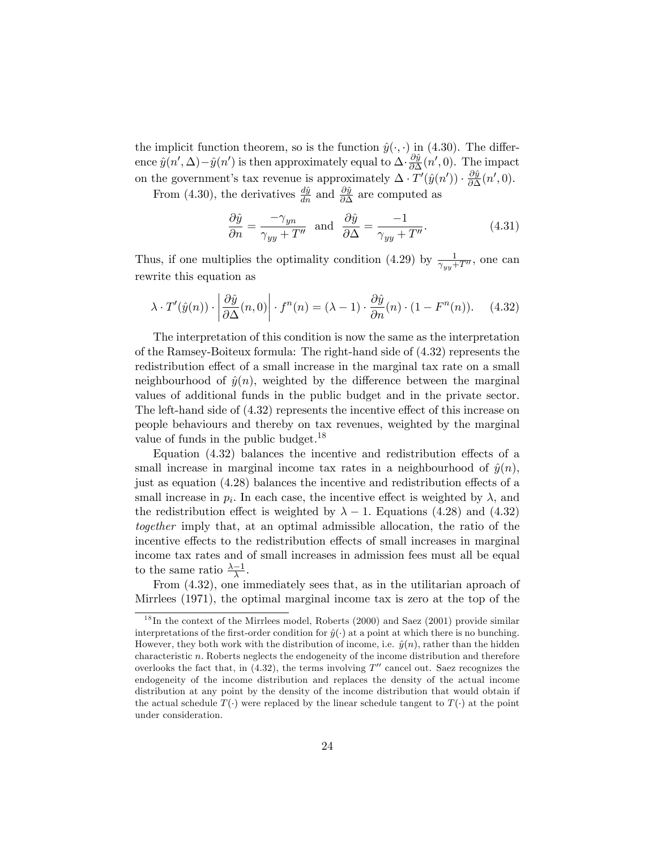the implicit function theorem, so is the function  $\hat{y}(\cdot, \cdot)$  in (4.30). The difference  $\hat{y}(n', \Delta) - \hat{y}(n')$  is then approximately equal to  $\Delta \cdot \frac{\partial \hat{y}}{\partial \Delta}$  $\frac{\partial y}{\partial \Delta}(n',0)$ . The impact on the government's tax revenue is approximately  $\Delta \cdot T'(\hat{y}(n')) \cdot \frac{\partial \hat{y}}{\partial \Delta}$  $\frac{\partial y}{\partial \Delta}(n',0).$ 

From (4.30), the derivatives  $\frac{d\hat{y}}{dn}$  and  $\frac{\partial\hat{y}}{\partial\Delta}$  are computed as

$$
\frac{\partial \hat{y}}{\partial n} = \frac{-\gamma_{yn}}{\gamma_{yy} + T''} \text{ and } \frac{\partial \hat{y}}{\partial \Delta} = \frac{-1}{\gamma_{yy} + T''}. \tag{4.31}
$$

Thus, if one multiplies the optimality condition (4.29) by  $\frac{1}{\gamma_{yy}+T''}$ , one can rewrite this equation as

$$
\lambda \cdot T'(\hat{y}(n)) \cdot \left| \frac{\partial \hat{y}}{\partial \Delta}(n,0) \right| \cdot f^{n}(n) = (\lambda - 1) \cdot \frac{\partial \hat{y}}{\partial n}(n) \cdot (1 - F^{n}(n)). \tag{4.32}
$$

The interpretation of this condition is now the same as the interpretation of the Ramsey-Boiteux formula: The right-hand side of (4.32) represents the redistribution effect of a small increase in the marginal tax rate on a small neighbourhood of  $\hat{y}(n)$ , weighted by the difference between the marginal values of additional funds in the public budget and in the private sector. The left-hand side of  $(4.32)$  represents the incentive effect of this increase on people behaviours and thereby on tax revenues, weighted by the marginal value of funds in the public budget.<sup>18</sup>

Equation  $(4.32)$  balances the incentive and redistribution effects of a small increase in marginal income tax rates in a neighbourhood of  $\hat{y}(n)$ ; just as equation  $(4.28)$  balances the incentive and redistribution effects of a small increase in  $p_i$ . In each case, the incentive effect is weighted by  $\lambda$ , and the redistribution effect is weighted by  $\lambda - 1$ . Equations (4.28) and (4.32) together imply that, at an optimal admissible allocation, the ratio of the incentive effects to the redistribution effects of small increases in marginal income tax rates and of small increases in admission fees must all be equal to the same ratio  $\frac{\lambda - 1}{\lambda}$ .

From (4.32), one immediately sees that, as in the utilitarian aproach of Mirrlees (1971), the optimal marginal income tax is zero at the top of the

 $^{18}$ In the context of the Mirrlees model, Roberts (2000) and Saez (2001) provide similar interpretations of the first-order condition for  $\hat{y}(\cdot)$  at a point at which there is no bunching. However, they both work with the distribution of income, i.e.  $\hat{y}(n)$ , rather than the hidden characteristic  $n$ . Roberts neglects the endogeneity of the income distribution and therefore overlooks the fact that, in  $(4.32)$ , the terms involving T'' cancel out. Saez recognizes the endogeneity of the income distribution and replaces the density of the actual income distribution at any point by the density of the income distribution that would obtain if the actual schedule  $T(\cdot)$  were replaced by the linear schedule tangent to  $T(\cdot)$  at the point under consideration.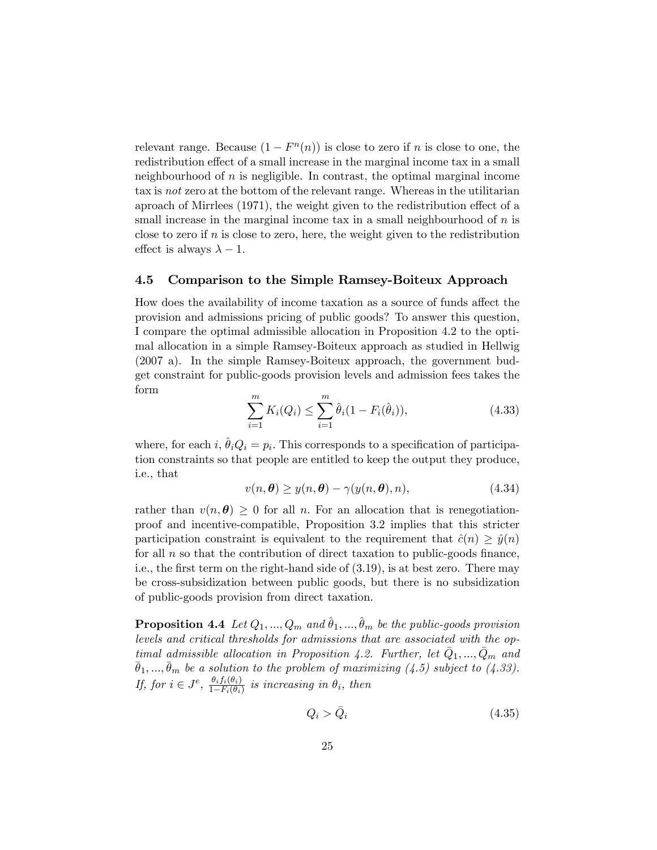relevant range. Because  $(1 - F<sup>n</sup>(n))$  is close to zero if *n* is close to one, the redistribution effect of a small increase in the marginal income tax in a small neighbourhood of  $n$  is negligible. In contrast, the optimal marginal income tax is not zero at the bottom of the relevant range. Whereas in the utilitarian aproach of Mirrlees  $(1971)$ , the weight given to the redistribution effect of a small increase in the marginal income tax in a small neighbourhood of  $n$  is close to zero if  $n$  is close to zero, here, the weight given to the redistribution effect is always  $\lambda - 1$ .

#### 4.5 Comparison to the Simple Ramsey-Boiteux Approach

How does the availability of income taxation as a source of funds affect the provision and admissions pricing of public goods? To answer this question, I compare the optimal admissible allocation in Proposition 4.2 to the optimal allocation in a simple Ramsey-Boiteux approach as studied in Hellwig (2007 a). In the simple Ramsey-Boiteux approach, the government budget constraint for public-goods provision levels and admission fees takes the form

$$
\sum_{i=1}^{m} K_i(Q_i) \le \sum_{i=1}^{m} \hat{\theta}_i (1 - F_i(\hat{\theta}_i)),
$$
\n(4.33)

where, for each i,  $\hat{\theta}_i Q_i = p_i$ . This corresponds to a specification of participation constraints so that people are entitled to keep the output they produce, i.e., that

$$
v(n, \theta) \ge y(n, \theta) - \gamma(y(n, \theta), n), \tag{4.34}
$$

rather than  $v(n, \theta) \geq 0$  for all n. For an allocation that is renegotiationproof and incentive-compatible, Proposition 3.2 implies that this stricter participation constraint is equivalent to the requirement that  $\hat{c}(n) \geq \hat{y}(n)$ for all  $n$  so that the contribution of direct taxation to public-goods finance, i.e., the first term on the right-hand side of  $(3.19)$ , is at best zero. There may be cross-subsidization between public goods, but there is no subsidization of public-goods provision from direct taxation.

**Proposition 4.4** Let  $Q_1, ..., Q_m$  and  $\hat{\theta}_1, ..., \hat{\theta}_m$  be the public-goods provision levels and critical thresholds for admissions that are associated with the optimal admissible allocation in Proposition 4.2. Further, let  $\bar{Q}_1, ..., \bar{Q}_m$  and  $\bar{\theta}_1, ..., \bar{\theta}_m$  be a solution to the problem of maximizing  $(4.5)$  subject to  $(4.33)$ . If, for  $i \in J^e$ ,  $\frac{\theta_i f_i(\theta_i)}{1 - F_i(\theta_i)}$  $\frac{\sigma_{i}j_{i}(\sigma_{i})}{1-F_{i}(\theta_{i})}$  is increasing in  $\theta_{i}$ , then

$$
Q_i > \bar{Q}_i \tag{4.35}
$$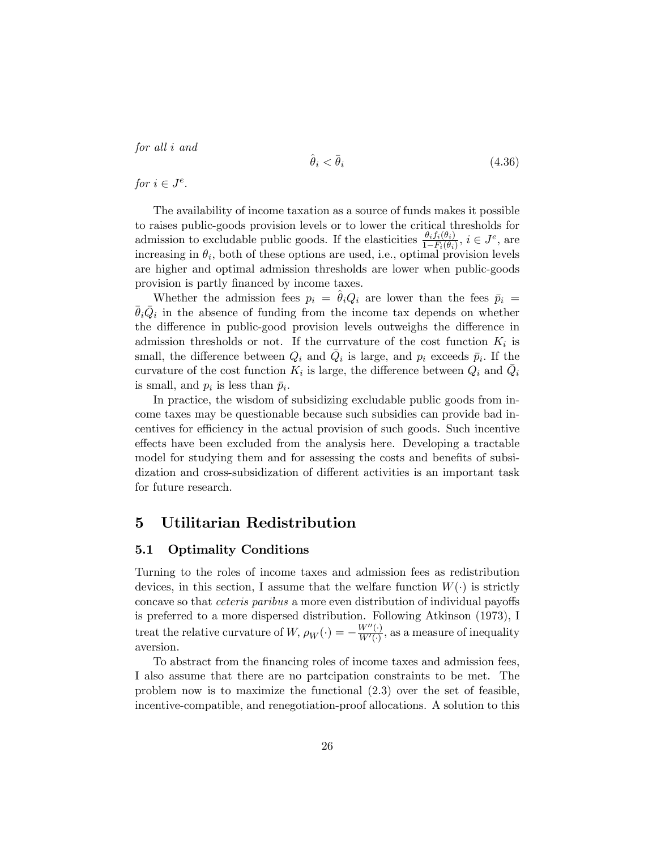for all i and

$$
\hat{\theta}_i < \bar{\theta}_i \tag{4.36}
$$

for  $i \in J^e$ .

The availability of income taxation as a source of funds makes it possible to raises public-goods provision levels or to lower the critical thresholds for admission to excludable public goods. If the elasticities  $\frac{\theta_i f_i(\theta_i)}{1-F_i(\theta_i)}$ ,  $i \in J^e$ , are increasing in  $\theta_i$ , both of these options are used, i.e., optimal provision levels are higher and optimal admission thresholds are lower when public-goods provision is partly financed by income taxes.

Whether the admission fees  $p_i = \theta_i Q_i$  are lower than the fees  $\bar{p}_i =$  $\bar{\theta}_i \bar{Q}_i$  in the absence of funding from the income tax depends on whether the difference in public-good provision levels outweighs the difference in admission thresholds or not. If the curryature of the cost function  $K_i$  is small, the difference between  $Q_i$  and  $\overline{Q}_i$  is large, and  $p_i$  exceeds  $\overline{p}_i$ . If the curvature of the cost function  $K_i$  is large, the difference between  $Q_i$  and  $\overline{Q}_i$ is small, and  $p_i$  is less than  $\bar{p}_i$ .

In practice, the wisdom of subsidizing excludable public goods from income taxes may be questionable because such subsidies can provide bad incentives for efficiency in the actual provision of such goods. Such incentive effects have been excluded from the analysis here. Developing a tractable model for studying them and for assessing the costs and benefits of subsidization and cross-subsidization of different activities is an important task for future research.

# 5 Utilitarian Redistribution

#### 5.1 Optimality Conditions

Turning to the roles of income taxes and admission fees as redistribution devices, in this section, I assume that the welfare function  $W(\cdot)$  is strictly concave so that *ceteris paribus* a more even distribution of individual payoffs is preferred to a more dispersed distribution. Following Atkinson (1973), I treat the relative curvature of  $W$ ,  $\rho_W(\cdot) = -\frac{W''(\cdot)}{W'(\cdot)}$  $\frac{W^{\alpha}(t)}{W'(t)}$ , as a measure of inequality aversion.

To abstract from the Önancing roles of income taxes and admission fees, I also assume that there are no partcipation constraints to be met. The problem now is to maximize the functional (2.3) over the set of feasible, incentive-compatible, and renegotiation-proof allocations. A solution to this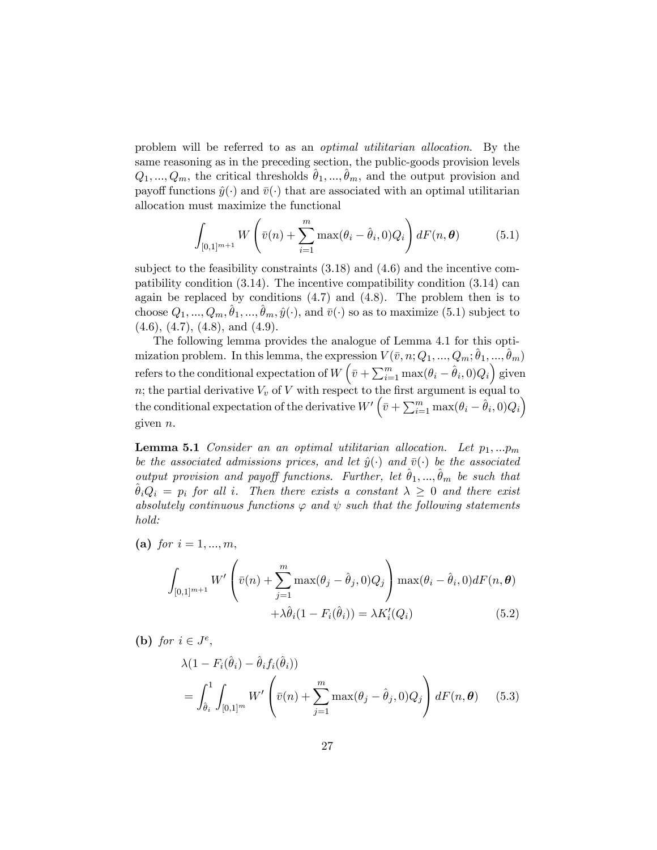problem will be referred to as an optimal utilitarian allocation. By the same reasoning as in the preceding section, the public-goods provision levels  $Q_1, ..., Q_m$ , the critical thresholds  $\hat{\theta}_1, ..., \hat{\theta}_m$ , and the output provision and payoff functions  $\hat{y}(\cdot)$  and  $\bar{v}(\cdot)$  that are associated with an optimal utilitarian allocation must maximize the functional

$$
\int_{[0,1]^{m+1}} W\left(\bar{v}(n) + \sum_{i=1}^m \max(\theta_i - \hat{\theta}_i, 0) Q_i\right) dF(n, \theta) \tag{5.1}
$$

subject to the feasibility constraints (3.18) and (4.6) and the incentive compatibility condition (3.14). The incentive compatibility condition (3.14) can again be replaced by conditions  $(4.7)$  and  $(4.8)$ . The problem then is to choose  $Q_1, ..., Q_m, \hat{\theta}_1, ..., \hat{\theta}_m, \hat{y}(\cdot)$ , and  $\bar{v}(\cdot)$  so as to maximize (5.1) subject to  $(4.6), (4.7), (4.8), \text{ and } (4.9).$ 

The following lemma provides the analogue of Lemma 4.1 for this optimization problem. In this lemma, the expression  $V(\bar{v}, n; Q_1, ..., Q_m; \hat{\theta}_1, ..., \hat{\theta}_m)$ refers to the conditional expectation of  $W\left(\bar{v}+\sum_{i=1}^m \max(\theta_i - \hat{\theta}_i,0)Q_i\right)$  given n; the partial derivative  $V_v$  of V with respect to the first argument is equal to the conditional expectation of the derivative  $W'\left(\bar{v}+\sum_{i=1}^m \max(\theta_i-\hat{\theta}_i,0)Q_i\right)$ given  $n$ .

**Lemma 5.1** Consider an an optimal utilitarian allocation. Let  $p_1,...p_m$ be the associated admissions prices, and let  $\hat{y}(\cdot)$  and  $\bar{v}(\cdot)$  be the associated output provision and payoff functions. Further, let  $\hat{\theta}_1, ..., \hat{\theta}_m$  be such that  $\theta_iQ_i = p_i$  for all i. Then there exists a constant  $\lambda \geq 0$  and there exist absolutely continuous functions  $\varphi$  and  $\psi$  such that the following statements hold:

(a) for  $i = 1, ..., m$ ,

$$
\int_{[0,1]^{m+1}} W' \left( \bar{v}(n) + \sum_{j=1}^{m} \max(\theta_j - \hat{\theta}_j, 0) Q_j \right) \max(\theta_i - \hat{\theta}_i, 0) dF(n, \theta)
$$

$$
+ \lambda \hat{\theta}_i (1 - F_i(\hat{\theta}_i)) = \lambda K'_i(Q_i)
$$
(5.2)

(b) for  $i \in J^e$ ,

$$
\lambda (1 - F_i(\hat{\theta}_i) - \hat{\theta}_i f_i(\hat{\theta}_i))
$$
  
= 
$$
\int_{\hat{\theta}_i}^{1} \int_{[0,1]^m} W' \left( \bar{v}(n) + \sum_{j=1}^{m} \max(\theta_j - \hat{\theta}_j, 0) Q_j \right) dF(n, \theta)
$$
 (5.3)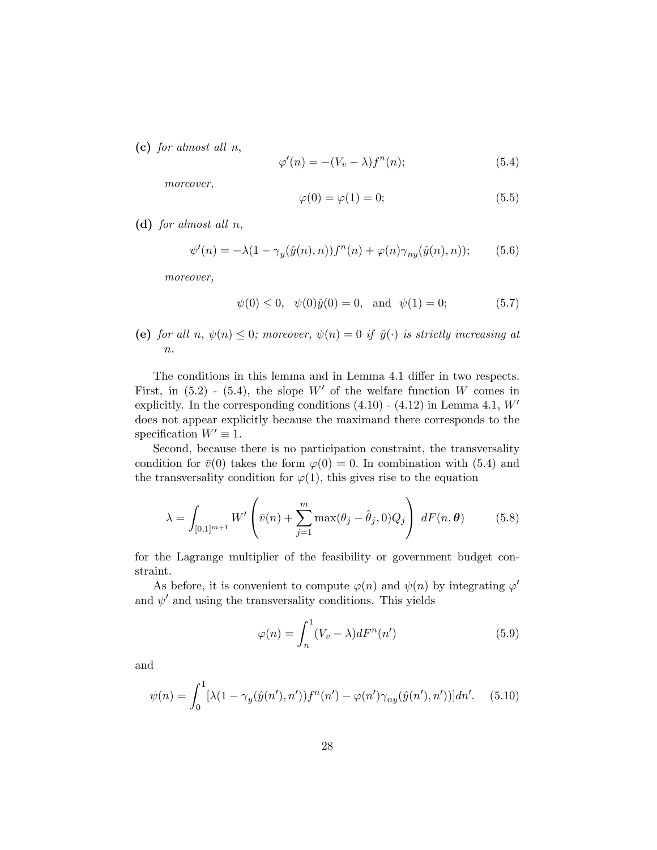(c) for almost all  $n$ ,

$$
\varphi'(n) = -(V_v - \lambda)f^n(n); \tag{5.4}
$$

moreover,

$$
\varphi(0) = \varphi(1) = 0; \tag{5.5}
$$

(d) for almost all n;

$$
\psi'(n) = -\lambda (1 - \gamma_y(\hat{y}(n), n)) f^n(n) + \varphi(n) \gamma_{ny}(\hat{y}(n), n)); \qquad (5.6)
$$

moreover,

$$
\psi(0) \le 0, \quad \psi(0)\hat{y}(0) = 0, \text{ and } \psi(1) = 0;
$$
\n(5.7)

(e) for all n,  $\psi(n) \leq 0$ ; moreover,  $\psi(n) = 0$  if  $\hat{y}(\cdot)$  is strictly increasing at  $\it n.$ 

The conditions in this lemma and in Lemma 4.1 differ in two respects. First, in  $(5.2)$  -  $(5.4)$ , the slope W' of the welfare function W comes in explicitly. In the corresponding conditions  $(4.10)$  -  $(4.12)$  in Lemma 4.1,  $W'$ does not appear explicitly because the maximand there corresponds to the specification  $W' \equiv 1$ .

Second, because there is no participation constraint, the transversality condition for  $\bar{v}(0)$  takes the form  $\varphi(0) = 0$ . In combination with (5.4) and the transversality condition for  $\varphi(1)$ , this gives rise to the equation

$$
\lambda = \int_{[0,1]^{m+1}} W' \left( \bar{v}(n) + \sum_{j=1}^{m} \max(\theta_j - \hat{\theta}_j, 0) Q_j \right) dF(n, \theta)
$$
(5.8)

for the Lagrange multiplier of the feasibility or government budget constraint.

As before, it is convenient to compute  $\varphi(n)$  and  $\psi(n)$  by integrating  $\varphi'$ and  $\psi'$  and using the transversality conditions. This yields

$$
\varphi(n) = \int_{n}^{1} (V_v - \lambda) dF^n(n')
$$
\n(5.9)

and

$$
\psi(n) = \int_0^1 [\lambda(1 - \gamma_y(\hat{y}(n'), n')) f^n(n') - \varphi(n') \gamma_{ny}(\hat{y}(n'), n'))] dn'. \quad (5.10)
$$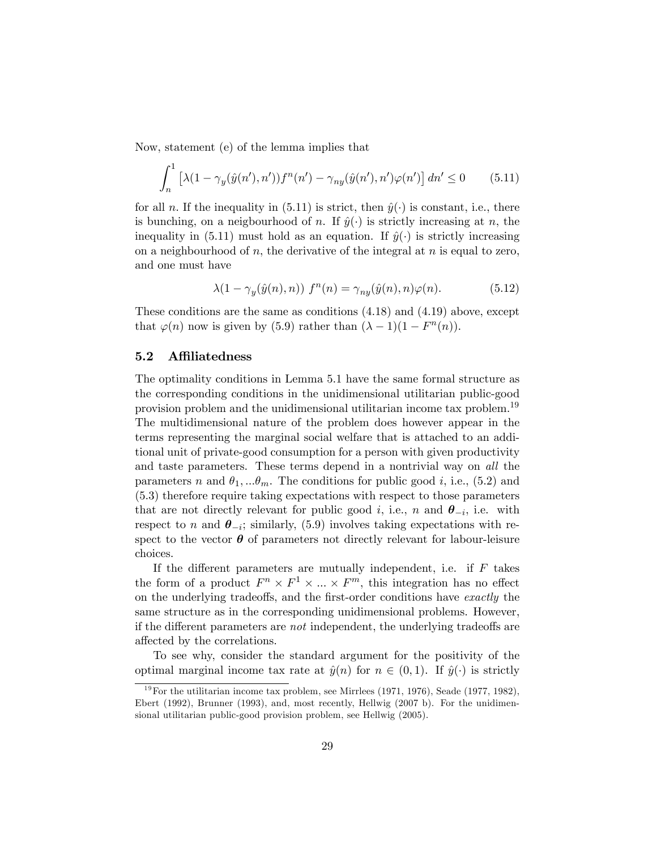Now, statement (e) of the lemma implies that

$$
\int_{n}^{1} \left[ \lambda (1 - \gamma_y(\hat{y}(n'), n')) f^n(n') - \gamma_{ny}(\hat{y}(n'), n') \varphi(n') \right] dn' \le 0 \qquad (5.11)
$$

for all n. If the inequality in (5.11) is strict, then  $\hat{y}(\cdot)$  is constant, i.e., there is bunching, on a neigbourhood of n. If  $\hat{y}(\cdot)$  is strictly increasing at n, the inequality in (5.11) must hold as an equation. If  $\hat{y}(\cdot)$  is strictly increasing on a neighbourhood of  $n$ , the derivative of the integral at  $n$  is equal to zero, and one must have

$$
\lambda(1 - \gamma_y(\hat{y}(n), n)) f^n(n) = \gamma_{ny}(\hat{y}(n), n)\varphi(n). \tag{5.12}
$$

These conditions are the same as conditions (4.18) and (4.19) above, except that  $\varphi(n)$  now is given by (5.9) rather than  $(\lambda - 1)(1 - F^n(n))$ .

#### 5.2 Affiliatedness

The optimality conditions in Lemma 5.1 have the same formal structure as the corresponding conditions in the unidimensional utilitarian public-good provision problem and the unidimensional utilitarian income tax problem.<sup>19</sup> The multidimensional nature of the problem does however appear in the terms representing the marginal social welfare that is attached to an additional unit of private-good consumption for a person with given productivity and taste parameters. These terms depend in a nontrivial way on *all* the parameters n and  $\theta_1, \dots, \theta_m$ . The conditions for public good i, i.e., (5.2) and (5.3) therefore require taking expectations with respect to those parameters that are not directly relevant for public good *i*, i.e., *n* and  $\theta_{-i}$ , i.e. with respect to n and  $\theta_{-i}$ ; similarly, (5.9) involves taking expectations with respect to the vector  $\boldsymbol{\theta}$  of parameters not directly relevant for labour-leisure choices.

If the different parameters are mutually independent, i.e. if  $F$  takes the form of a product  $F^n \times F^1 \times \dots \times F^m$ , this integration has no effect on the underlying tradeoffs, and the first-order conditions have  $\emph{exactly}$  the same structure as in the corresponding unidimensional problems. However, if the different parameters are *not* independent, the underlying tradeoffs are affected by the correlations.

To see why, consider the standard argument for the positivity of the optimal marginal income tax rate at  $\hat{y}(n)$  for  $n \in (0, 1)$ . If  $\hat{y}(\cdot)$  is strictly

 $19$ For the utilitarian income tax problem, see Mirrlees (1971, 1976), Seade (1977, 1982), Ebert (1992), Brunner (1993), and, most recently, Hellwig (2007 b). For the unidimensional utilitarian public-good provision problem, see Hellwig (2005).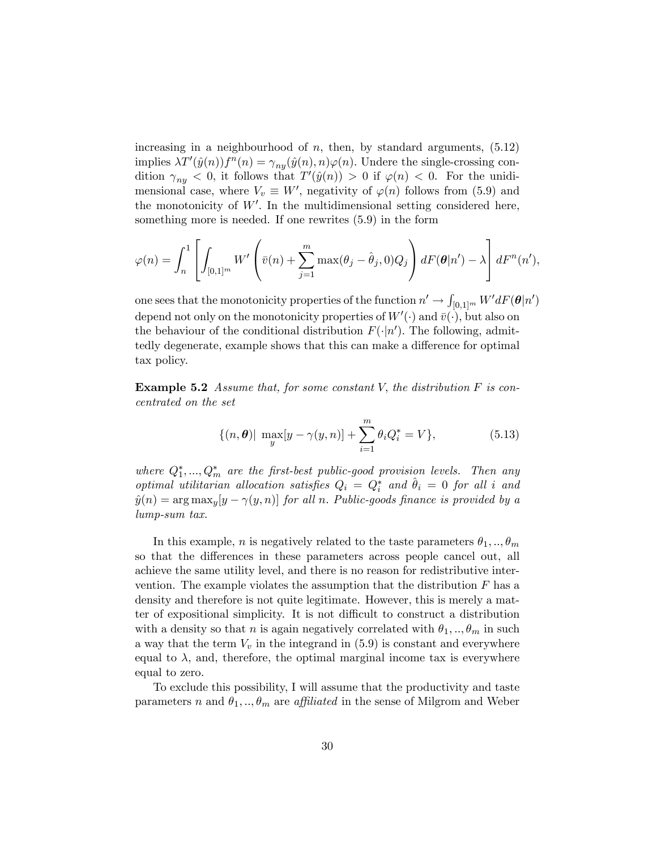increasing in a neighbourhood of  $n$ , then, by standard arguments,  $(5.12)$ implies  $\lambda T'(\hat{y}(n))f^{n}(n) = \gamma_{ny}(\hat{y}(n), n)\varphi(n)$ . Undere the single-crossing condition  $\gamma_{ny} < 0$ , it follows that  $T'(\hat{y}(n)) > 0$  if  $\varphi(n) < 0$ . For the unidimensional case, where  $V_v \equiv W'$ , negativity of  $\varphi(n)$  follows from (5.9) and the monotonicity of  $W'$ . In the multidimensional setting considered here, something more is needed. If one rewrites (5.9) in the form

$$
\varphi(n) = \int_n^1 \left[ \int_{[0,1]^m} W' \left( \bar{v}(n) + \sum_{j=1}^m \max(\theta_j - \hat{\theta}_j, 0) Q_j \right) dF(\theta | n') - \lambda \right] dF^n(n'),
$$

one sees that the monotonicity properties of the function  $n' \to \int_{[0,1]^m} W' dF(\boldsymbol\theta|n')$ depend not only on the monotonicity properties of  $W'(\cdot)$  and  $\bar{v}(\cdot)$ , but also on the behaviour of the conditional distribution  $F(\cdot | n')$ . The following, admittedly degenerate, example shows that this can make a difference for optimal tax policy.

**Example 5.2** Assume that, for some constant V, the distribution  $F$  is concentrated on the set

$$
\{(n,\theta)|\ \max_{y}[y-\gamma(y,n)]+\sum_{i=1}^{m}\theta_iQ_i^*=V\},\qquad(5.13)
$$

where  $Q_1^*,...,Q_m^*$  are the first-best public-good provision levels. Then any optimal utilitarian allocation satisfies  $Q_i = Q_i^*$  and  $\hat{\theta}_i = 0$  for all i and  $\hat{y}(n) = \arg \max_{y} [y - \gamma(y, n)]$  for all n. Public-goods finance is provided by a lump-sum tax.

In this example, *n* is negatively related to the taste parameters  $\theta_1, \ldots, \theta_m$ so that the differences in these parameters across people cancel out, all achieve the same utility level, and there is no reason for redistributive intervention. The example violates the assumption that the distribution  $F$  has a density and therefore is not quite legitimate. However, this is merely a matter of expositional simplicity. It is not difficult to construct a distribution with a density so that *n* is again negatively correlated with  $\theta_1, \ldots, \theta_m$  in such a way that the term  $V_v$  in the integrand in  $(5.9)$  is constant and everywhere equal to  $\lambda$ , and, therefore, the optimal marginal income tax is everywhere equal to zero.

To exclude this possibility, I will assume that the productivity and taste parameters n and  $\theta_1, \ldots, \theta_m$  are *affiliated* in the sense of Milgrom and Weber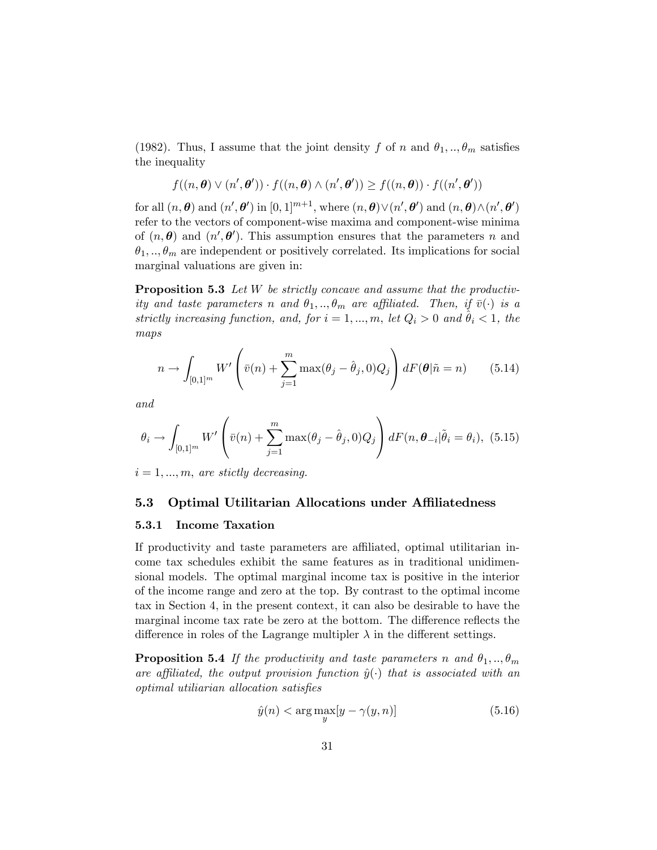(1982). Thus, I assume that the joint density f of n and  $\theta_1, \ldots, \theta_m$  satisfies the inequality

$$
f((n, \theta) \vee (n', \theta')) \cdot f((n, \theta) \wedge (n', \theta')) \ge f((n, \theta)) \cdot f((n', \theta'))
$$

for all  $(n, \theta)$  and  $(n', \theta')$  in  $[0, 1]^{m+1}$ , where  $(n, \theta) \vee (n', \theta')$  and  $(n, \theta) \wedge (n', \theta')$ refer to the vectors of component-wise maxima and component-wise minima of  $(n, \theta)$  and  $(n', \theta')$ . This assumption ensures that the parameters n and  $\theta_1, \ldots, \theta_m$  are independent or positively correlated. Its implications for social marginal valuations are given in:

**Proposition 5.3** Let  $W$  be strictly concave and assume that the productivity and taste parameters n and  $\theta_1, \ldots, \theta_m$  are affiliated. Then, if  $\bar{v}(\cdot)$  is a strictly increasing function, and, for  $i = 1, ..., m$ , let  $Q_i > 0$  and  $\hat{\theta}_i < 1$ , the maps

$$
n \to \int_{[0,1]^m} W' \left( \bar{v}(n) + \sum_{j=1}^m \max(\theta_j - \hat{\theta}_j, 0) Q_j \right) dF(\theta | \tilde{n} = n) \qquad (5.14)
$$

and

$$
\theta_i \to \int_{[0,1]^m} W' \left( \bar{v}(n) + \sum_{j=1}^m \max(\theta_j - \hat{\theta}_j, 0) Q_j \right) dF(n, \theta_{-i} | \tilde{\theta}_i = \theta_i), \tag{5.15}
$$

 $i = 1, ..., m$ , are stictly decreasing.

#### 5.3 Optimal Utilitarian Allocations under Affiliatedness

#### 5.3.1 Income Taxation

If productivity and taste parameters are affiliated, optimal utilitarian income tax schedules exhibit the same features as in traditional unidimensional models. The optimal marginal income tax is positive in the interior of the income range and zero at the top. By contrast to the optimal income tax in Section 4, in the present context, it can also be desirable to have the marginal income tax rate be zero at the bottom. The difference reflects the difference in roles of the Lagrange multipler  $\lambda$  in the different settings.

**Proposition 5.4** If the productivity and taste parameters n and  $\theta_1, \ldots, \theta_m$ are affiliated, the output provision function  $\hat{y}(\cdot)$  that is associated with an optimal utiliarian allocation satisfies

$$
\hat{y}(n) < \arg\max_{y} [y - \gamma(y, n)] \tag{5.16}
$$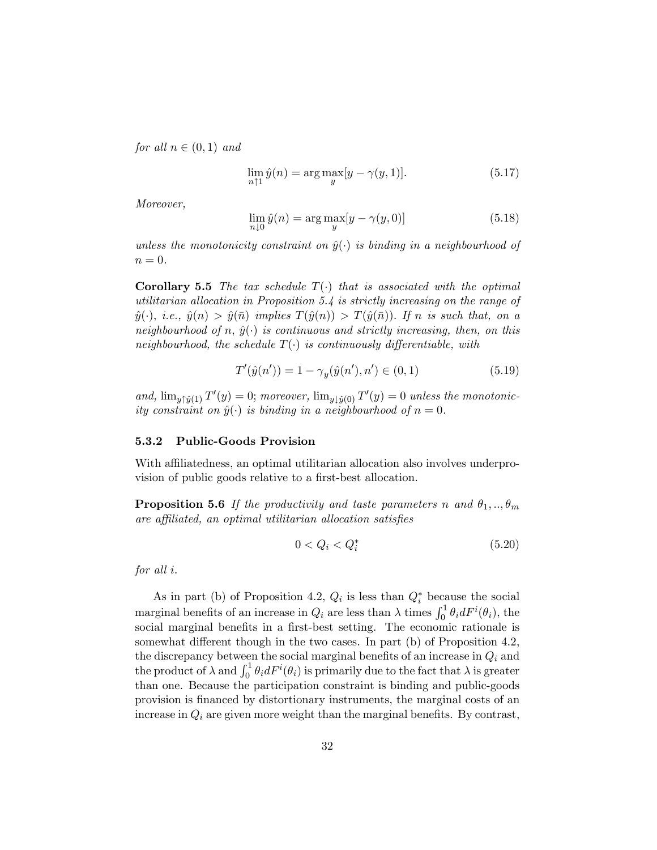for all  $n \in (0, 1)$  and

$$
\lim_{n \uparrow 1} \hat{y}(n) = \arg \max_{y} [y - \gamma(y, 1)]. \tag{5.17}
$$

Moreover,

$$
\lim_{n \downarrow 0} \hat{y}(n) = \arg \max_{y} [y - \gamma(y, 0)] \tag{5.18}
$$

unless the monotonicity constraint on  $\hat{y}(\cdot)$  is binding in a neighbourhood of  $n=0.$ 

**Corollary 5.5** The tax schedule  $T(\cdot)$  that is associated with the optimal utilitarian allocation in Proposition 5.4 is strictly increasing on the range of  $\hat{y}(\cdot),$  i.e.,  $\hat{y}(n) > \hat{y}(\bar{n})$  implies  $T(\hat{y}(n)) > T(\hat{y}(\bar{n}))$ . If n is such that, on a neighbourhood of n,  $\hat{y}(\cdot)$  is continuous and strictly increasing, then, on this neighbourhood, the schedule  $T(\cdot)$  is continuously differentiable, with

$$
T'(\hat{y}(n')) = 1 - \gamma_y(\hat{y}(n'), n') \in (0, 1)
$$
\n(5.19)

and,  $\lim_{y \uparrow \hat{y}(1)} T'(y) = 0$ ; moreover,  $\lim_{y \downarrow \hat{y}(0)} T'(y) = 0$  unless the monotonicity constraint on  $\hat{y}(\cdot)$  is binding in a neighbourhood of  $n = 0$ .

#### 5.3.2 Public-Goods Provision

With affiliatedness, an optimal utilitarian allocation also involves underprovision of public goods relative to a first-best allocation.

**Proposition 5.6** If the productivity and taste parameters n and  $\theta_1, \ldots, \theta_m$ are affiliated, an optimal utilitarian allocation satisfies

$$
0 < Q_i < Q_i^* \tag{5.20}
$$

for all *i*.

As in part (b) of Proposition 4.2,  $Q_i$  is less than  $Q_i^*$  because the social marginal benefits of an increase in  $Q_i$  are less than  $\lambda$  times  $\int_0^1 \theta_i dF^i(\theta_i)$ , the social marginal benefits in a first-best setting. The economic rationale is somewhat different though in the two cases. In part  $(b)$  of Proposition 4.2, the discrepancy between the social marginal benefits of an increase in  $Q_i$  and the product of  $\lambda$  and  $\int_0^1 \theta_i dF^i(\theta_i)$  is primarily due to the fact that  $\lambda$  is greater than one. Because the participation constraint is binding and public-goods provision is Önanced by distortionary instruments, the marginal costs of an increase in  $Q_i$  are given more weight than the marginal benefits. By contrast,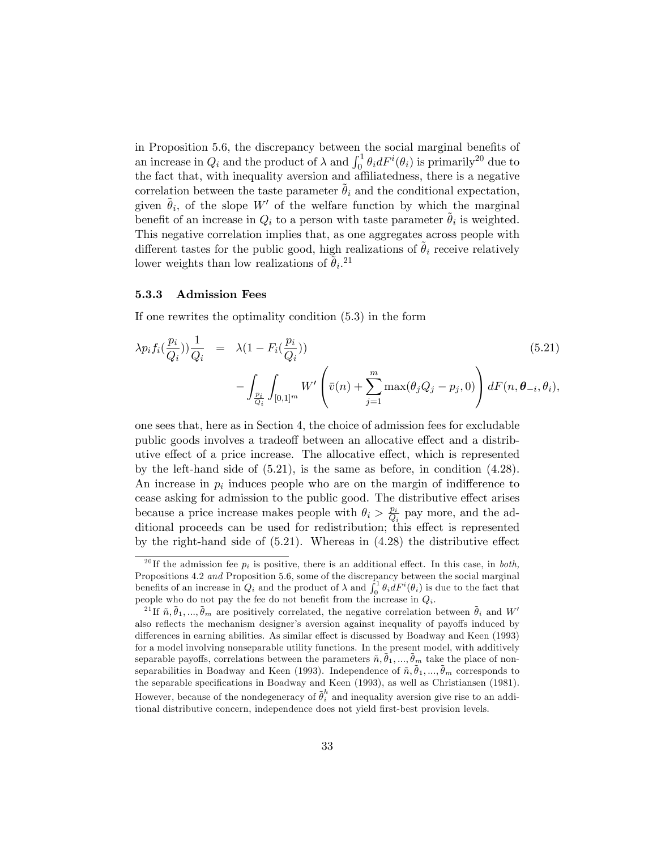in Proposition 5.6, the discrepancy between the social marginal benefits of an increase in  $Q_i$  and the product of  $\lambda$  and  $\int_0^1 \theta_i dF^i(\theta_i)$  is primarily<sup>20</sup> due to the fact that, with inequality aversion and affiliatedness, there is a negative correlation between the taste parameter  $\theta_i$  and the conditional expectation, given  $\tilde{\theta}_i$ , of the slope W' of the welfare function by which the marginal benefit of an increase in  $Q_i$  to a person with taste parameter  $\tilde{\theta}_i$  is weighted. This negative correlation implies that, as one aggregates across people with different tastes for the public good, high realizations of  $\ddot{\theta}_i$  receive relatively lower weights than low realizations of  $\tilde{\theta}_i$ <sup>21</sup>

#### 5.3.3 Admission Fees

If one rewrites the optimality condition (5.3) in the form

$$
\lambda p_i f_i(\frac{p_i}{Q_i}) \frac{1}{Q_i} = \lambda (1 - F_i(\frac{p_i}{Q_i})) - \int_{\frac{p_i}{Q_i}} \int_{[0,1]^m} W' \left( \bar{v}(n) + \sum_{j=1}^m \max(\theta_j Q_j - p_j, 0) \right) dF(n, \theta_{-i}, \theta_i),
$$
\n(5.21)

one sees that, here as in Section 4, the choice of admission fees for excludable public goods involves a tradeoff between an allocative effect and a distributive effect of a price increase. The allocative effect, which is represented by the left-hand side of (5.21), is the same as before, in condition (4.28). An increase in  $p_i$  induces people who are on the margin of indifference to cease asking for admission to the public good. The distributive effect arises because a price increase makes people with  $\theta_i > \frac{p_i}{Q_i}$  $\frac{p_i}{Q_i}$  pay more, and the additional proceeds can be used for redistribution; this effect is represented by the right-hand side of  $(5.21)$ . Whereas in  $(4.28)$  the distributive effect

<sup>&</sup>lt;sup>20</sup> If the admission fee  $p_i$  is positive, there is an additional effect. In this case, in *both*, Propositions 4.2 and Proposition 5.6, some of the discrepancy between the social marginal benefits of an increase in  $Q_i$  and the product of  $\lambda$  and  $\int_0^1 \theta_i dF^i(\theta_i)$  is due to the fact that people who do not pay the fee do not benefit from the increase in  $Q_i$ .

<sup>&</sup>lt;sup>21</sup>If  $\tilde{n}, \tilde{\theta}_1, ..., \tilde{\theta}_m$  are positively correlated, the negative correlation between  $\tilde{\theta}_i$  and W' also reflects the mechanism designer's aversion against inequality of payoffs induced by differences in earning abilities. As similar effect is discussed by Boadway and Keen (1993) for a model involving nonseparable utility functions. In the present model, with additively separable payoffs, correlations between the parameters  $\tilde{n}, \tilde{\theta}_1, ..., \tilde{\theta}_m$  take the place of nonseparabilities in Boadway and Keen (1993). Independence of  $\tilde{n}, \tilde{\theta}_1, ..., \tilde{\theta}_m$  corresponds to the separable specifications in Boadway and Keen (1993), as well as Christiansen (1981). However, because of the nondegeneracy of  $\tilde{\theta}^h_i$  and inequality aversion give rise to an additional distributive concern, independence does not yield first-best provision levels.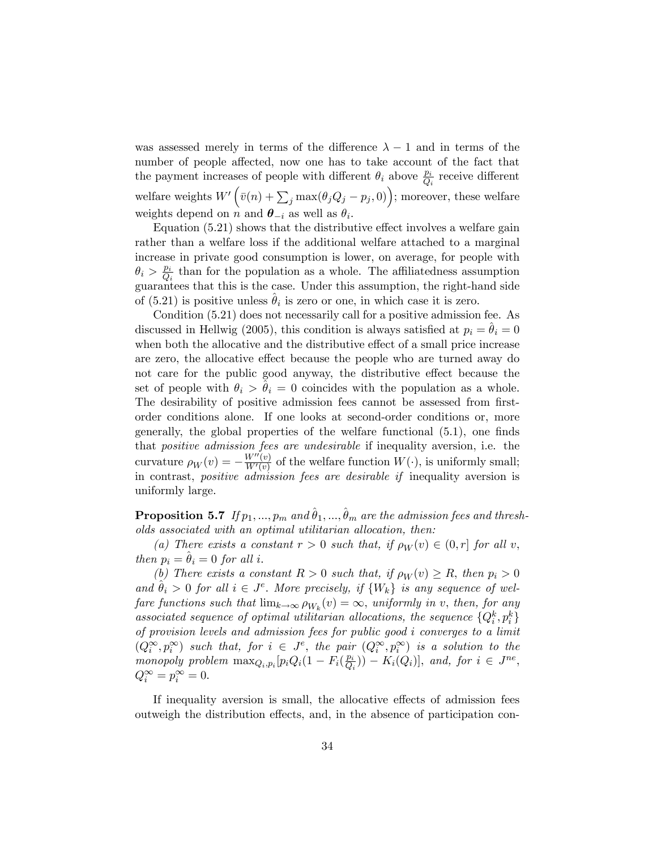was assessed merely in terms of the difference  $\lambda - 1$  and in terms of the number of people affected, now one has to take account of the fact that the payment increases of people with different  $\theta_i$  above  $\frac{p_i}{Q_i}$  receive different welfare weights  $W'\left(\bar{v}(n) + \sum_j \max(\theta_j Q_j - p_j, 0)\right)$ ; moreover, these welfare weights depend on n and  $\boldsymbol{\theta}_{-i}$  as well as  $\theta_i$ .

Equation  $(5.21)$  shows that the distributive effect involves a welfare gain rather than a welfare loss if the additional welfare attached to a marginal increase in private good consumption is lower, on average, for people with  $\theta_i > \frac{p_i}{Q_i}$  $\frac{p_i}{Q_i}$  than for the population as a whole. The affiliatedness assumption guarantees that this is the case. Under this assumption, the right-hand side of (5.21) is positive unless  $\hat{\theta}_i$  is zero or one, in which case it is zero.

Condition (5.21) does not necessarily call for a positive admission fee. As discussed in Hellwig (2005), this condition is always satisfied at  $p_i = \theta_i = 0$ when both the allocative and the distributive effect of a small price increase are zero, the allocative effect because the people who are turned away do not care for the public good anyway, the distributive effect because the set of people with  $\theta_i > \theta_i = 0$  coincides with the population as a whole. The desirability of positive admission fees cannot be assessed from firstorder conditions alone. If one looks at second-order conditions or, more generally, the global properties of the welfare functional  $(5.1)$ , one finds that positive admission fees are undesirable if inequality aversion, i.e. the curvature  $\rho_W(v) = -\frac{W''(v)}{W'(v)}$  $\frac{W^-(v)}{W'(v)}$  of the welfare function  $W(\cdot)$ , is uniformly small; in contrast, positive admission fees are desirable if inequality aversion is uniformly large.

**Proposition 5.7** If  $p_1, ..., p_m$  and  $\hat{\theta}_1, ..., \hat{\theta}_m$  are the admission fees and thresholds associated with an optimal utilitarian allocation, then:

(a) There exists a constant  $r > 0$  such that, if  $\rho_W(v) \in (0, r]$  for all v, then  $p_i = \theta_i = 0$  for all i.

(b) There exists a constant  $R > 0$  such that, if  $\rho_W(v) \ge R$ , then  $p_i > 0$ and  $\hat{\theta}_i > 0$  for all  $i \in J^e$ . More precisely, if  $\{W_k\}$  is any sequence of welfare functions such that  $\lim_{k\to\infty} \rho_{W_k}(v) = \infty$ , uniformly in v, then, for any associated sequence of optimal utilitarian allocations, the sequence  $\{Q_i^k, p_i^k\}$ of provision levels and admission fees for public good i converges to a limit  $(Q_i^{\infty}, p_i^{\infty})$  such that, for  $i \in J^e$ , the pair  $(Q_i^{\infty}, p_i^{\infty})$  is a solution to the monopoly problem  $\max_{Q_i, p_i} [p_i Q_i (1 - F_i(\frac{p_i}{Q_i}$  $\frac{p_i}{Q_i})$  –  $K_i(Q_i)$ , and, for  $i \in J^{ne}$ ,  $Q_i^{\infty} = p_i^{\infty} = 0.$ 

If inequality aversion is small, the allocative effects of admission fees outweigh the distribution effects, and, in the absence of participation con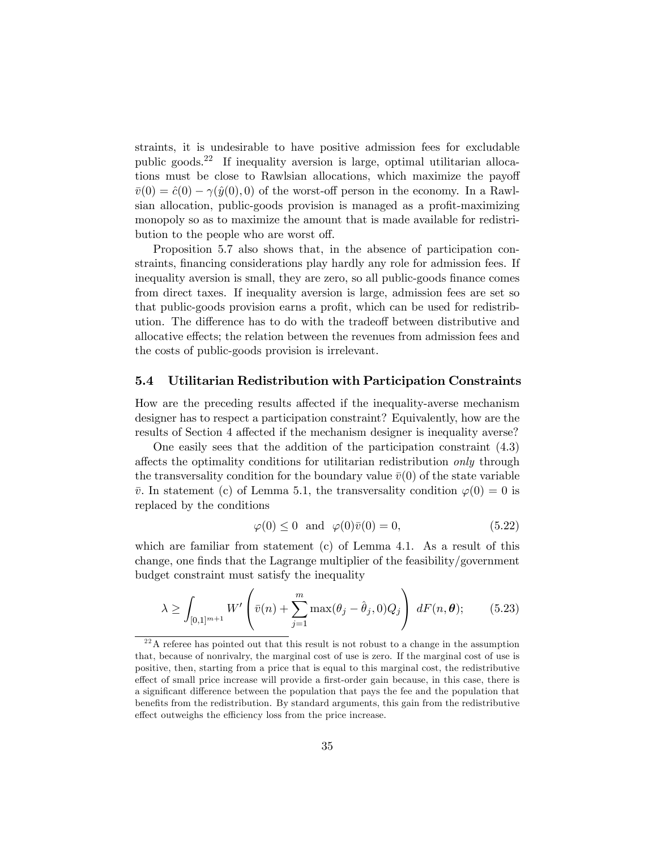straints, it is undesirable to have positive admission fees for excludable public goods.<sup>22</sup> If inequality aversion is large, optimal utilitarian allocations must be close to Rawlsian allocations, which maximize the payoff  $\bar{v}(0) = \hat{c}(0) - \gamma(\hat{y}(0), 0)$  of the worst-off person in the economy. In a Rawlsian allocation, public-goods provision is managed as a profit-maximizing monopoly so as to maximize the amount that is made available for redistribution to the people who are worst off.

Proposition 5.7 also shows that, in the absence of participation constraints, financing considerations play hardly any role for admission fees. If inequality aversion is small, they are zero, so all public-goods finance comes from direct taxes. If inequality aversion is large, admission fees are set so that public-goods provision earns a profit, which can be used for redistribution. The difference has to do with the tradeoff between distributive and allocative effects; the relation between the revenues from admission fees and the costs of public-goods provision is irrelevant.

#### 5.4 Utilitarian Redistribution with Participation Constraints

How are the preceding results affected if the inequality-averse mechanism designer has to respect a participation constraint? Equivalently, how are the results of Section 4 affected if the mechanism designer is inequality averse?

One easily sees that the addition of the participation constraint (4.3) affects the optimality conditions for utilitarian redistribution *only* through the transversality condition for the boundary value  $\bar{v}(0)$  of the state variable  $\bar{v}$ . In statement (c) of Lemma 5.1, the transversality condition  $\varphi(0) = 0$  is replaced by the conditions

$$
\varphi(0) \le 0 \quad \text{and} \quad \varphi(0)\bar{v}(0) = 0,\tag{5.22}
$$

which are familiar from statement  $(c)$  of Lemma 4.1. As a result of this change, one finds that the Lagrange multiplier of the feasibility/government budget constraint must satisfy the inequality

$$
\lambda \ge \int_{[0,1]^{m+1}} W' \left( \bar{v}(n) + \sum_{j=1}^m \max(\theta_j - \hat{\theta}_j, 0) Q_j \right) dF(n, \theta); \quad (5.23)
$$

 $2<sup>22</sup>A$  referee has pointed out that this result is not robust to a change in the assumption that, because of nonrivalry, the marginal cost of use is zero. If the marginal cost of use is positive, then, starting from a price that is equal to this marginal cost, the redistributive effect of small price increase will provide a first-order gain because, in this case, there is a significant difference between the population that pays the fee and the population that benefits from the redistribution. By standard arguments, this gain from the redistributive effect outweighs the efficiency loss from the price increase.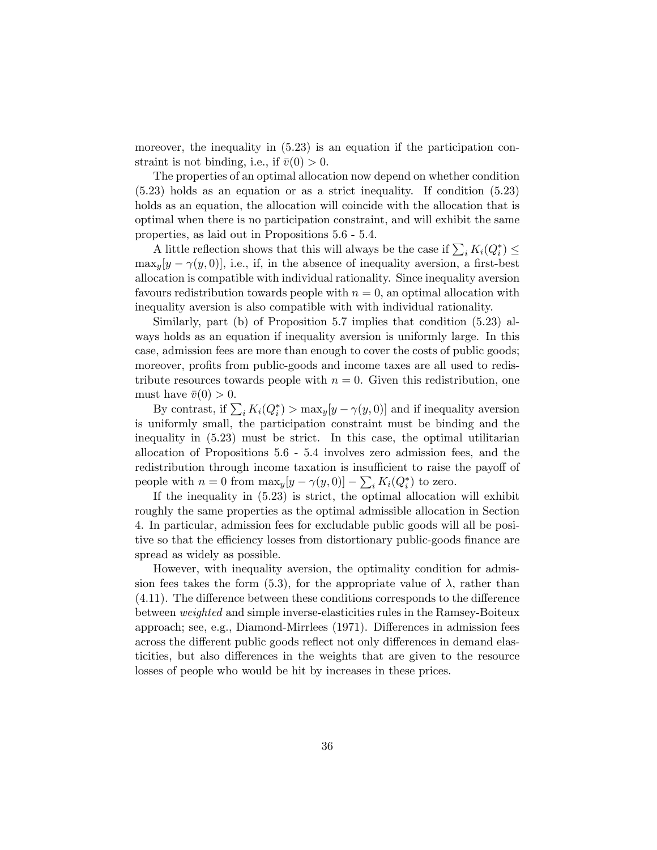moreover, the inequality in  $(5.23)$  is an equation if the participation constraint is not binding, i.e., if  $\bar{v}(0) > 0$ .

The properties of an optimal allocation now depend on whether condition (5.23) holds as an equation or as a strict inequality. If condition (5.23) holds as an equation, the allocation will coincide with the allocation that is optimal when there is no participation constraint, and will exhibit the same properties, as laid out in Propositions 5.6 - 5.4.

A little reflection shows that this will always be the case if  $\sum_i K_i(Q_i^*) \leq$  $\max_{y}[y-\gamma(y,0)],$  i.e., if, in the absence of inequality aversion, a first-best allocation is compatible with individual rationality. Since inequality aversion favours redistribution towards people with  $n = 0$ , an optimal allocation with inequality aversion is also compatible with with individual rationality.

Similarly, part (b) of Proposition 5.7 implies that condition (5.23) always holds as an equation if inequality aversion is uniformly large. In this case, admission fees are more than enough to cover the costs of public goods; moreover, profits from public-goods and income taxes are all used to redistribute resources towards people with  $n = 0$ . Given this redistribution, one must have  $\bar{v}(0) > 0$ .

By contrast, if  $\sum_i K_i(Q_i^*)$  >  $\max_y[y - \gamma(y, 0)]$  and if inequality aversion is uniformly small, the participation constraint must be binding and the inequality in (5.23) must be strict. In this case, the optimal utilitarian allocation of Propositions 5.6 - 5.4 involves zero admission fees, and the redistribution through income taxation is insufficient to raise the payoff of people with  $n = 0$  from  $\max_y [y - \gamma(y, 0)] - \sum_i K_i(Q_i^*)$  to zero.

If the inequality in (5.23) is strict, the optimal allocation will exhibit roughly the same properties as the optimal admissible allocation in Section 4. In particular, admission fees for excludable public goods will all be positive so that the efficiency losses from distortionary public-goods finance are spread as widely as possible.

However, with inequality aversion, the optimality condition for admission fees takes the form (5.3), for the appropriate value of  $\lambda$ , rather than  $(4.11)$ . The difference between these conditions corresponds to the difference between weighted and simple inverse-elasticities rules in the Ramsey-Boiteux approach; see, e.g., Diamond-Mirrlees (1971). Differences in admission fees across the different public goods reflect not only differences in demand elasticities, but also differences in the weights that are given to the resource losses of people who would be hit by increases in these prices.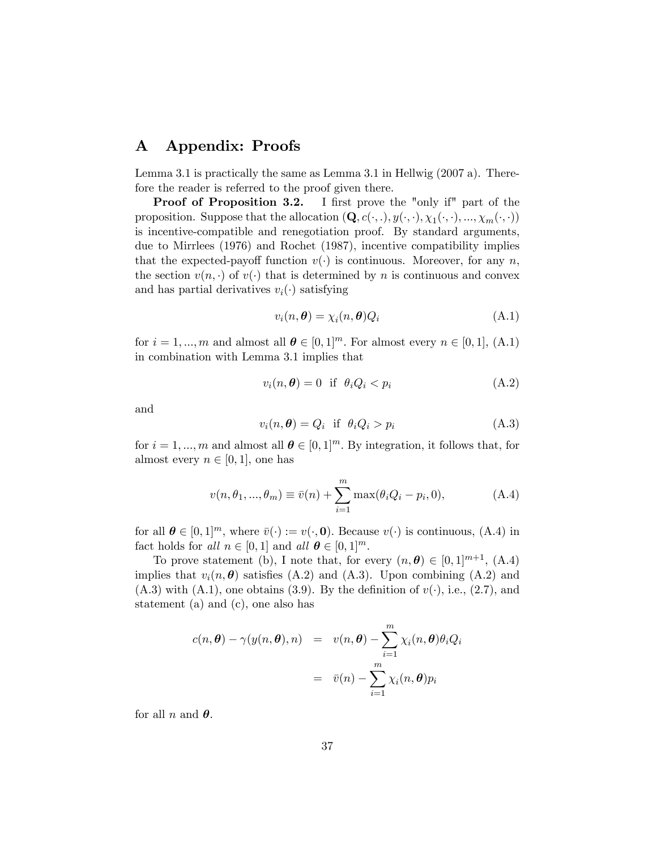# A Appendix: Proofs

Lemma 3.1 is practically the same as Lemma 3.1 in Hellwig (2007 a). Therefore the reader is referred to the proof given there.

Proof of Proposition 3.2. I first prove the "only if" part of the proposition. Suppose that the allocation  $(Q, c(.,.), y(.,.), \chi_1(.,.), ..., \chi_m(., .))$ is incentive-compatible and renegotiation proof. By standard arguments, due to Mirrlees (1976) and Rochet (1987), incentive compatibility implies that the expected-payoff function  $v(\cdot)$  is continuous. Moreover, for any n, the section  $v(n, \cdot)$  of  $v(\cdot)$  that is determined by n is continuous and convex and has partial derivatives  $v_i(\cdot)$  satisfying

$$
v_i(n, \theta) = \chi_i(n, \theta) Q_i \tag{A.1}
$$

for  $i = 1, ..., m$  and almost all  $\theta \in [0, 1]^m$ . For almost every  $n \in [0, 1]$ , (A.1) in combination with Lemma 3.1 implies that

$$
v_i(n, \theta) = 0 \quad \text{if} \quad \theta_i Q_i < p_i \tag{A.2}
$$

and

$$
v_i(n, \theta) = Q_i \quad \text{if} \quad \theta_i Q_i > p_i \tag{A.3}
$$

for  $i = 1, ..., m$  and almost all  $\theta \in [0, 1]^m$ . By integration, it follows that, for almost every  $n \in [0, 1]$ , one has

$$
v(n, \theta_1, ..., \theta_m) \equiv \bar{v}(n) + \sum_{i=1}^{m} \max(\theta_i Q_i - p_i, 0),
$$
 (A.4)

for all  $\theta \in [0, 1]^m$ , where  $\bar{v}(\cdot) := v(\cdot, 0)$ . Because  $v(\cdot)$  is continuous, (A.4) in fact holds for all  $n \in [0, 1]$  and all  $\boldsymbol{\theta} \in [0, 1]^m$ .

To prove statement (b), I note that, for every  $(n, \theta) \in [0, 1]^{m+1}$ , (A.4) implies that  $v_i(n, \theta)$  satisfies (A.2) and (A.3). Upon combining (A.2) and  $(A.3)$  with  $(A.1)$ , one obtains  $(3.9)$ . By the definition of  $v(\cdot)$ , i.e.,  $(2.7)$ , and statement (a) and (c), one also has

$$
c(n, \theta) - \gamma(y(n, \theta), n) = v(n, \theta) - \sum_{i=1}^{m} \chi_i(n, \theta) \theta_i Q_i
$$

$$
= \bar{v}(n) - \sum_{i=1}^{m} \chi_i(n, \theta) p_i
$$

for all n and  $\theta$ .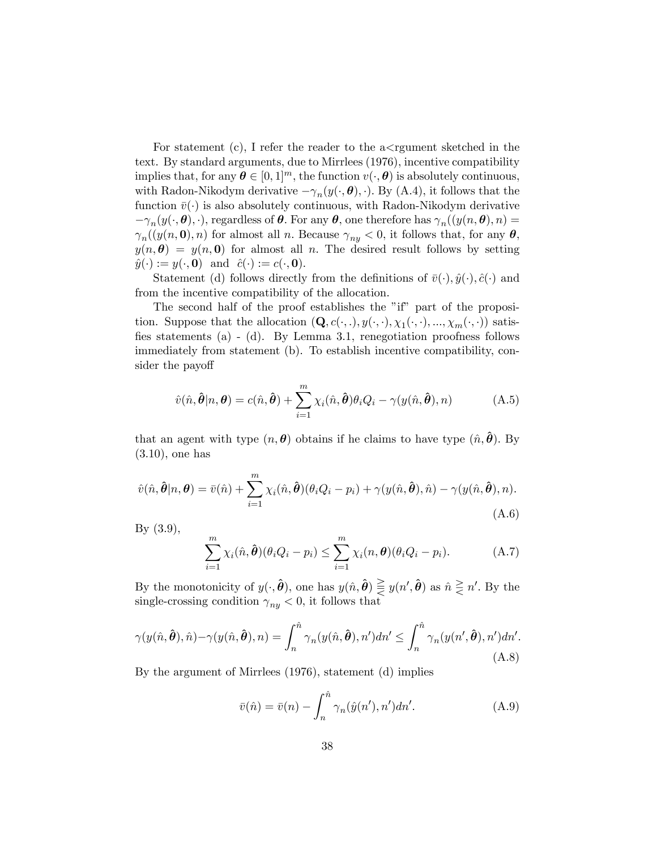For statement (c), I refer the reader to the  $a <$ rgument sketched in the text. By standard arguments, due to Mirrlees (1976), incentive compatibility implies that, for any  $\boldsymbol{\theta} \in [0, 1]^m$ , the function  $v(\cdot, \boldsymbol{\theta})$  is absolutely continuous, with Radon-Nikodym derivative  $-\gamma_n(y(\cdot, \theta), \cdot)$ . By (A.4), it follows that the function  $\bar{v}(\cdot)$  is also absolutely continuous, with Radon-Nikodym derivative  $-\gamma_n(y(\cdot,\boldsymbol{\theta}),\cdot)$ , regardless of  $\boldsymbol{\theta}$ . For any  $\boldsymbol{\theta}$ , one therefore has  $\gamma_n((y(n,\boldsymbol{\theta}),n)$  $\gamma_n((y(n, \mathbf{0}), n)$  for almost all n. Because  $\gamma_{ny} < 0$ , it follows that, for any  $\theta$ ,  $y(n, \theta) = y(n, 0)$  for almost all n. The desired result follows by setting  $\hat{y}(\cdot) := y(\cdot, \mathbf{0})$  and  $\hat{c}(\cdot) := c(\cdot, \mathbf{0}).$ 

Statement (d) follows directly from the definitions of  $\bar{v}(\cdot), \hat{y}(\cdot), \hat{c}(\cdot)$  and from the incentive compatibility of the allocation.

The second half of the proof establishes the "if" part of the proposition. Suppose that the allocation  $(\mathbf{Q}, c(\cdot, .), y(\cdot, \cdot), \chi_1(\cdot, \cdot), ..., \chi_m(\cdot, \cdot))$  satisfies statements (a) - (d). By Lemma 3.1, renegotiation proofness follows immediately from statement (b). To establish incentive compatibility, consider the payoff

$$
\hat{v}(\hat{n},\hat{\boldsymbol{\theta}}|n,\boldsymbol{\theta})=c(\hat{n},\hat{\boldsymbol{\theta}})+\sum_{i=1}^{m}\chi_{i}(\hat{n},\hat{\boldsymbol{\theta}})\theta_{i}Q_{i}-\gamma(y(\hat{n},\hat{\boldsymbol{\theta}}),n) \tag{A.5}
$$

that an agent with type  $(n, \theta)$  obtains if he claims to have type  $(\hat{n}, \theta)$ . By (3.10), one has

$$
\hat{v}(\hat{n},\hat{\boldsymbol{\theta}}|n,\boldsymbol{\theta}) = \bar{v}(\hat{n}) + \sum_{i=1}^{m} \chi_i(\hat{n},\hat{\boldsymbol{\theta}})(\theta_i Q_i - p_i) + \gamma(y(\hat{n},\hat{\boldsymbol{\theta}}),\hat{n}) - \gamma(y(\hat{n},\hat{\boldsymbol{\theta}}),n). \tag{A.6}
$$

By (3.9),

$$
\sum_{i=1}^{m} \chi_i(\hat{n}, \hat{\boldsymbol{\theta}})(\theta_i Q_i - p_i) \leq \sum_{i=1}^{m} \chi_i(n, \boldsymbol{\theta})(\theta_i Q_i - p_i).
$$
 (A.7)

By the monotonicity of  $y(\cdot, \hat{\boldsymbol{\theta}})$ , one has  $y(\hat{n}, \hat{\boldsymbol{\theta}}) \geq y(n', \hat{\boldsymbol{\theta}})$  as  $\hat{n} \geq n'$ . By the single-crossing condition  $\gamma_{ny} < 0$ , it follows that

$$
\gamma(y(\hat{n},\hat{\boldsymbol{\theta}}),\hat{n}) - \gamma(y(\hat{n},\hat{\boldsymbol{\theta}}),n) = \int_n^{\hat{n}} \gamma_n(y(\hat{n},\hat{\boldsymbol{\theta}}),n')dn' \le \int_n^{\hat{n}} \gamma_n(y(n',\hat{\boldsymbol{\theta}}),n')dn'.
$$
\n(A.8)

By the argument of Mirrlees (1976), statement (d) implies

$$
\bar{v}(\hat{n}) = \bar{v}(n) - \int_n^{\hat{n}} \gamma_n(\hat{y}(n'), n') dn'. \tag{A.9}
$$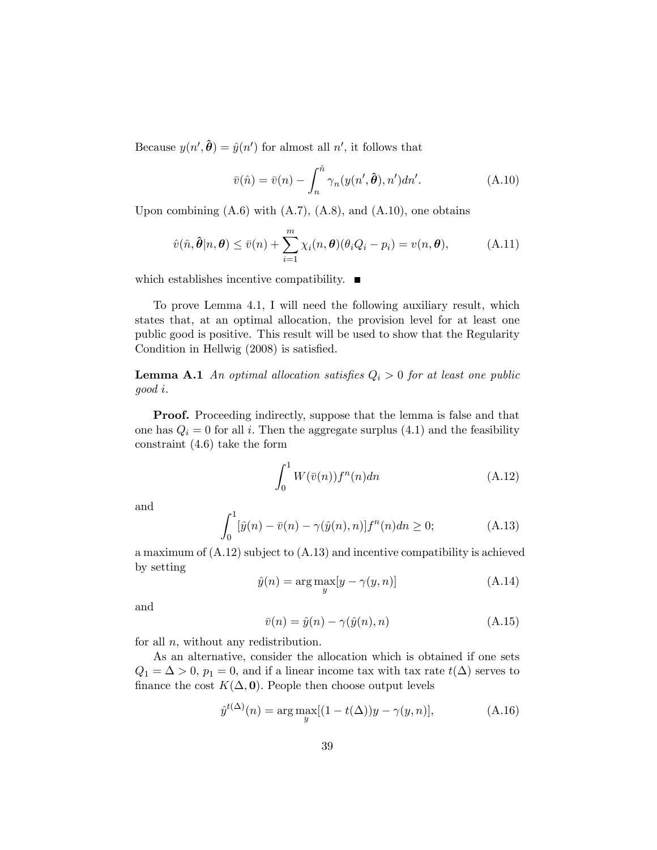Because  $y(n', \hat{\theta}) = \hat{y}(n')$  for almost all n', it follows that

$$
\bar{v}(\hat{n}) = \bar{v}(n) - \int_{n}^{\hat{n}} \gamma_n(y(n', \hat{\boldsymbol{\theta}}), n')dn'. \tag{A.10}
$$

Upon combining  $(A.6)$  with  $(A.7)$ ,  $(A.8)$ , and  $(A.10)$ , one obtains

$$
\hat{v}(\hat{n},\hat{\boldsymbol{\theta}}|n,\boldsymbol{\theta}) \leq \bar{v}(n) + \sum_{i=1}^{m} \chi_i(n,\boldsymbol{\theta})(\theta_i Q_i - p_i) = v(n,\boldsymbol{\theta}), \tag{A.11}
$$

which establishes incentive compatibility.  $\blacksquare$ 

To prove Lemma 4.1, I will need the following auxiliary result, which states that, at an optimal allocation, the provision level for at least one public good is positive. This result will be used to show that the Regularity Condition in Hellwig  $(2008)$  is satisfied.

**Lemma A.1** An optimal allocation satisfies  $Q_i > 0$  for at least one public good i:

**Proof.** Proceeding indirectly, suppose that the lemma is false and that one has  $Q_i = 0$  for all i. Then the aggregate surplus (4.1) and the feasibility constraint (4.6) take the form

$$
\int_0^1 W(\bar{v}(n))f^n(n)dn\tag{A.12}
$$

and

$$
\int_0^1 [\hat{y}(n) - \bar{v}(n) - \gamma(\hat{y}(n), n)] f^n(n) dn \ge 0; \tag{A.13}
$$

a maximum of (A.12) subject to (A.13) and incentive compatibility is achieved by setting

$$
\hat{y}(n) = \arg \max_{y} [y - \gamma(y, n)] \tag{A.14}
$$

and

$$
\bar{v}(n) = \hat{y}(n) - \gamma(\hat{y}(n), n) \tag{A.15}
$$

for all  $n$ , without any redistribution.

As an alternative, consider the allocation which is obtained if one sets  $Q_1 = \Delta > 0$ ,  $p_1 = 0$ , and if a linear income tax with tax rate  $t(\Delta)$  serves to finance the cost  $K(\Delta, 0)$ . People then choose output levels

$$
\hat{y}^{t(\Delta)}(n) = \arg \max_{y} [(1 - t(\Delta))y - \gamma(y, n)], \tag{A.16}
$$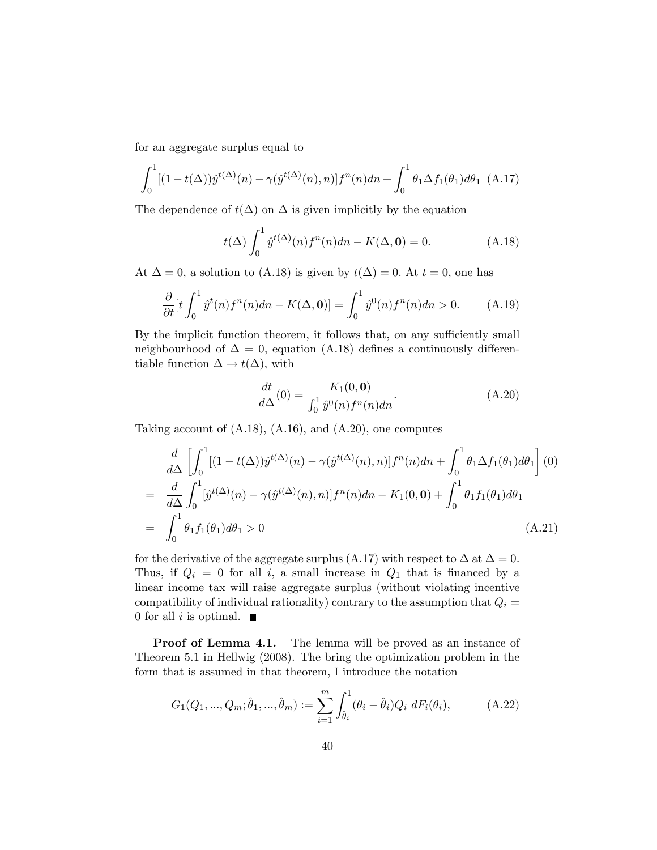for an aggregate surplus equal to

$$
\int_0^1 [(1 - t(\Delta))\hat{y}^{t(\Delta)}(n) - \gamma(\hat{y}^{t(\Delta)}(n), n)] f^n(n) dn + \int_0^1 \theta_1 \Delta f_1(\theta_1) d\theta_1
$$
 (A.17)

The dependence of  $t(\Delta)$  on  $\Delta$  is given implicitly by the equation

$$
t(\Delta) \int_0^1 \hat{y}^{t(\Delta)}(n) f^n(n) dn - K(\Delta, \mathbf{0}) = 0.
$$
 (A.18)

At  $\Delta = 0$ , a solution to (A.18) is given by  $t(\Delta) = 0$ . At  $t = 0$ , one has

$$
\frac{\partial}{\partial t}[t\int_0^1 \hat{y}^t(n)f^n(n)dn - K(\Delta, \mathbf{0})] = \int_0^1 \hat{y}^0(n)f^n(n)dn > 0. \tag{A.19}
$$

By the implicit function theorem, it follows that, on any sufficiently small neighbourhood of  $\Delta = 0$ , equation (A.18) defines a continuously differentiable function  $\Delta \to t(\Delta)$ , with

$$
\frac{dt}{d\Delta}(0) = \frac{K_1(0, \mathbf{0})}{\int_0^1 \hat{y}^0(n) f^n(n) dn}.
$$
\n(A.20)

Taking account of (A.18), (A.16), and (A.20), one computes

$$
\frac{d}{d\Delta} \left[ \int_0^1 [(1 - t(\Delta))\hat{y}^{t(\Delta)}(n) - \gamma(\hat{y}^{t(\Delta)}(n), n)] f^n(n) dn + \int_0^1 \theta_1 \Delta f_1(\theta_1) d\theta_1 \right] (0)
$$
\n
$$
= \frac{d}{d\Delta} \int_0^1 [\hat{y}^{t(\Delta)}(n) - \gamma(\hat{y}^{t(\Delta)}(n), n)] f^n(n) dn - K_1(0, \mathbf{0}) + \int_0^1 \theta_1 f_1(\theta_1) d\theta_1
$$
\n
$$
= \int_0^1 \theta_1 f_1(\theta_1) d\theta_1 > 0
$$
\n(A.21)

for the derivative of the aggregate surplus (A.17) with respect to  $\Delta$  at  $\Delta = 0$ . Thus, if  $Q_i = 0$  for all i, a small increase in  $Q_1$  that is financed by a linear income tax will raise aggregate surplus (without violating incentive compatibility of individual rationality) contrary to the assumption that  $Q_i =$ 0 for all i is optimal.  $\blacksquare$ 

Proof of Lemma 4.1. The lemma will be proved as an instance of Theorem 5.1 in Hellwig (2008). The bring the optimization problem in the form that is assumed in that theorem, I introduce the notation

$$
G_1(Q_1, ..., Q_m; \hat{\theta}_1, ..., \hat{\theta}_m) := \sum_{i=1}^m \int_{\hat{\theta}_i}^1 (\theta_i - \hat{\theta}_i) Q_i \, dF_i(\theta_i), \tag{A.22}
$$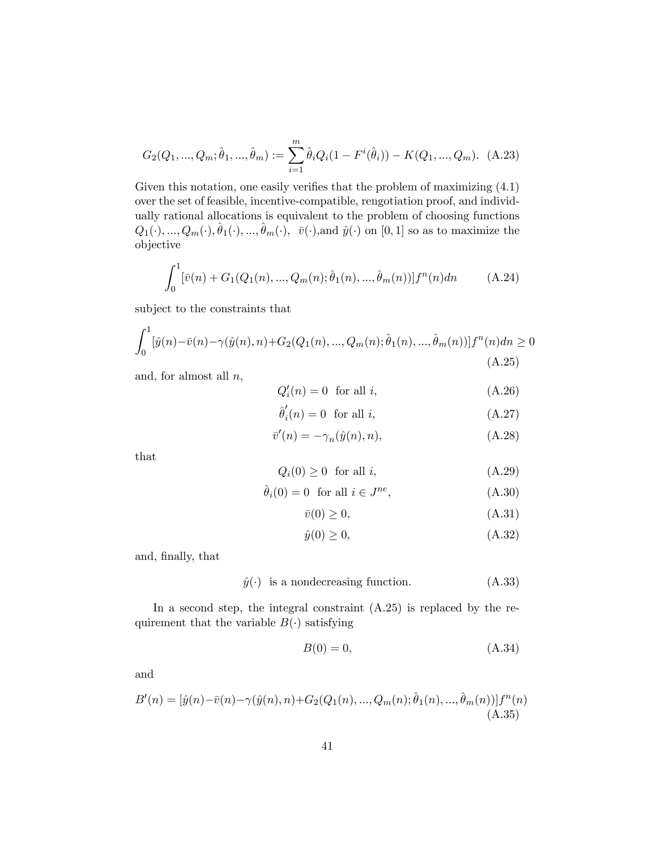$$
G_2(Q_1, ..., Q_m; \hat{\theta}_1, ..., \hat{\theta}_m) := \sum_{i=1}^m \hat{\theta}_i Q_i (1 - F^i(\hat{\theta}_i)) - K(Q_1, ..., Q_m). \tag{A.23}
$$

Given this notation, one easily verifies that the problem of maximizing  $(4.1)$ over the set of feasible, incentive-compatible, rengotiation proof, and individually rational allocations is equivalent to the problem of choosing functions  $Q_1(\cdot), ..., Q_m(\cdot), \hat{\theta}_1(\cdot), ..., \hat{\theta}_m(\cdot), \bar{v}(\cdot)$ , and  $\hat{y}(\cdot)$  on [0, 1] so as to maximize the objective

$$
\int_0^1 [\bar{v}(n) + G_1(Q_1(n), ..., Q_m(n); \hat{\theta}_1(n), ..., \hat{\theta}_m(n))] f^n(n) dn \qquad (A.24)
$$

subject to the constraints that

$$
\int_0^1 [\hat{y}(n) - \bar{v}(n) - \gamma(\hat{y}(n), n) + G_2(Q_1(n), ..., Q_m(n); \hat{\theta}_1(n), ..., \hat{\theta}_m(n))] f^n(n) dn \ge 0
$$
\n(A.25)

and, for almost all  $n$ ,

$$
Q_i'(n) = 0 \quad \text{for all } i,\tag{A.26}
$$

$$
\hat{\theta}'_i(n) = 0 \quad \text{for all } i,\tag{A.27}
$$

$$
\bar{v}'(n) = -\gamma_n(\hat{y}(n), n),\tag{A.28}
$$

that

$$
Q_i(0) \ge 0 \quad \text{for all } i,\tag{A.29}
$$

$$
\hat{\theta}_i(0) = 0 \quad \text{for all } i \in J^{ne}, \tag{A.30}
$$

$$
\bar{v}(0) \ge 0,\tag{A.31}
$$

$$
\hat{y}(0) \ge 0,\tag{A.32}
$$

and, Önally, that

$$
\hat{y}(\cdot)
$$
 is a nondecreasing function. (A.33)

In a second step, the integral constraint  $(A.25)$  is replaced by the requirement that the variable  $B(\cdot)$  satisfying

$$
B(0) = 0,\tag{A.34}
$$

and

$$
B'(n) = [\hat{y}(n) - \bar{v}(n) - \gamma(\hat{y}(n), n) + G_2(Q_1(n), ..., Q_m(n); \hat{\theta}_1(n), ..., \hat{\theta}_m(n))]f^n(n)
$$
\n(A.35)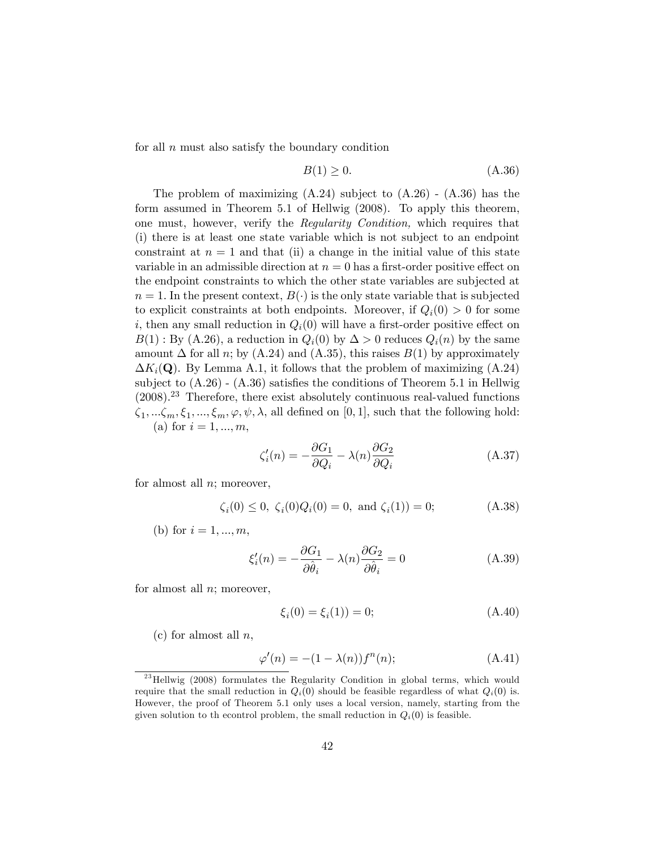for all  $n$  must also satisfy the boundary condition

$$
B(1) \ge 0. \tag{A.36}
$$

The problem of maximizing  $(A.24)$  subject to  $(A.26)$  -  $(A.36)$  has the form assumed in Theorem 5.1 of Hellwig (2008). To apply this theorem, one must, however, verify the Regularity Condition, which requires that (i) there is at least one state variable which is not subject to an endpoint constraint at  $n = 1$  and that (ii) a change in the initial value of this state variable in an admissible direction at  $n = 0$  has a first-order positive effect on the endpoint constraints to which the other state variables are subjected at  $n = 1$ . In the present context,  $B(\cdot)$  is the only state variable that is subjected to explicit constraints at both endpoints. Moreover, if  $Q_i(0) > 0$  for some i, then any small reduction in  $Q_i(0)$  will have a first-order positive effect on  $B(1)$ : By (A.26), a reduction in  $Q_i(0)$  by  $\Delta > 0$  reduces  $Q_i(n)$  by the same amount  $\Delta$  for all n; by (A.24) and (A.35), this raises  $B(1)$  by approximately  $\Delta K_i(\mathbf{Q})$ . By Lemma A.1, it follows that the problem of maximizing  $(A.24)$ subject to  $(A.26)$  -  $(A.36)$  satisfies the conditions of Theorem 5.1 in Hellwig  $(2008).^{23}$  Therefore, there exist absolutely continuous real-valued functions  $\zeta_1, \ldots, \zeta_m, \xi_1, \ldots, \xi_m, \varphi, \psi, \lambda$ , all defined on [0, 1], such that the following hold: (a) for  $i = 1, ..., m$ ,

$$
\zeta_i'(n) = -\frac{\partial G_1}{\partial Q_i} - \lambda(n) \frac{\partial G_2}{\partial Q_i}
$$
\n(A.37)

for almost all  $n$ ; moreover,

$$
\zeta_i(0) \le 0, \ \zeta_i(0)Q_i(0) = 0, \text{ and } \zeta_i(1)) = 0;
$$
\n(A.38)

(b) for  $i = 1, ..., m$ ,

$$
\xi_i'(n) = -\frac{\partial G_1}{\partial \hat{\theta}_i} - \lambda(n) \frac{\partial G_2}{\partial \hat{\theta}_i} = 0
$$
\n(A.39)

for almost all  $n$ ; moreover,

$$
\xi_i(0) = \xi_i(1) = 0; \tag{A.40}
$$

(c) for almost all  $n$ ,

$$
\varphi'(n) = -(1 - \lambda(n))f^n(n); \tag{A.41}
$$

 $^{23}$  Hellwig (2008) formulates the Regularity Condition in global terms, which would require that the small reduction in  $Q_i(0)$  should be feasible regardless of what  $Q_i(0)$  is. However, the proof of Theorem 5.1 only uses a local version, namely, starting from the given solution to the control problem, the small reduction in  $Q_i(0)$  is feasible.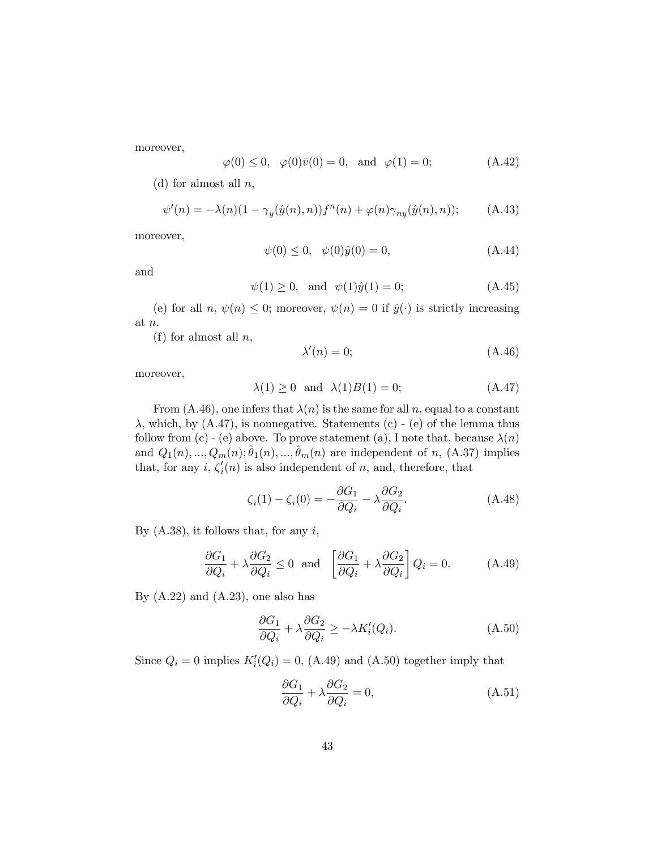moreover,

$$
\varphi(0) \le 0, \quad \varphi(0)\bar{v}(0) = 0, \text{ and } \varphi(1) = 0;
$$
\n(A.42)

(d) for almost all  $n$ ,

$$
\psi'(n) = -\lambda(n)(1 - \gamma_y(\hat{y}(n), n))f^n(n) + \varphi(n)\gamma_{ny}(\hat{y}(n), n)); \quad (A.43)
$$

moreover,

$$
\psi(0) \le 0, \quad \psi(0)\hat{y}(0) = 0,\tag{A.44}
$$

and

$$
\psi(1) \ge 0
$$
, and  $\psi(1)\hat{y}(1) = 0$ ;\n(A.45)

(e) for all n,  $\psi(n) \leq 0$ ; moreover,  $\psi(n) = 0$  if  $\hat{y}(\cdot)$  is strictly increasing at n:

(f) for almost all  $n$ ,

$$
\lambda'(n) = 0; \tag{A.46}
$$

moreover,

$$
\lambda(1) \ge 0 \quad \text{and} \quad \lambda(1)B(1) = 0; \tag{A.47}
$$

From (A.46), one infers that  $\lambda(n)$  is the same for all n, equal to a constant  $\lambda$ , which, by  $(A.47)$ , is nonnegative. Statements (c) - (e) of the lemma thus follow from (c) - (e) above. To prove statement (a), I note that, because  $\lambda(n)$ and  $Q_1(n), ..., Q_m(n); \hat{\theta}_1(n), ..., \hat{\theta}_m(n)$  are independent of n, (A.37) implies that, for any  $i, \zeta_i'(n)$  is also independent of n, and, therefore, that

$$
\zeta_i(1) - \zeta_i(0) = -\frac{\partial G_1}{\partial Q_i} - \lambda \frac{\partial G_2}{\partial Q_i}.\tag{A.48}
$$

By  $(A.38)$ , it follows that, for any i,

$$
\frac{\partial G_1}{\partial Q_i} + \lambda \frac{\partial G_2}{\partial Q_i} \le 0 \quad \text{and} \quad \left[ \frac{\partial G_1}{\partial Q_i} + \lambda \frac{\partial G_2}{\partial Q_i} \right] Q_i = 0. \tag{A.49}
$$

By  $(A.22)$  and  $(A.23)$ , one also has

$$
\frac{\partial G_1}{\partial Q_i} + \lambda \frac{\partial G_2}{\partial Q_i} \ge -\lambda K_i'(Q_i). \tag{A.50}
$$

Since  $Q_i = 0$  implies  $K_i'(Q_i) = 0$ , (A.49) and (A.50) together imply that

$$
\frac{\partial G_1}{\partial Q_i} + \lambda \frac{\partial G_2}{\partial Q_i} = 0, \tag{A.51}
$$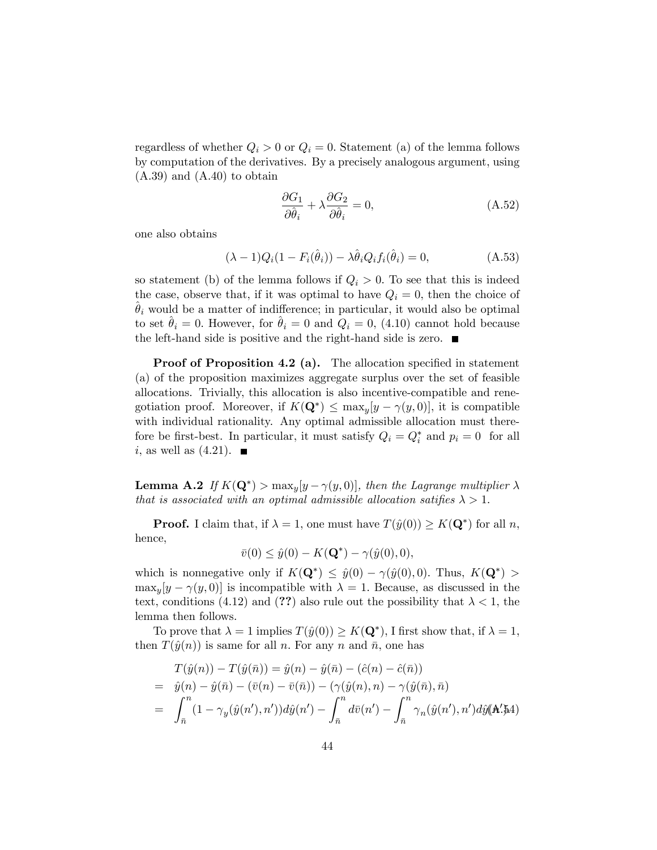regardless of whether  $Q_i > 0$  or  $Q_i = 0$ . Statement (a) of the lemma follows by computation of the derivatives. By a precisely analogous argument, using  $(A.39)$  and  $(A.40)$  to obtain

$$
\frac{\partial G_1}{\partial \hat{\theta}_i} + \lambda \frac{\partial G_2}{\partial \hat{\theta}_i} = 0, \tag{A.52}
$$

one also obtains

$$
(\lambda - 1)Q_i(1 - F_i(\hat{\theta}_i)) - \lambda \hat{\theta}_i Q_i f_i(\hat{\theta}_i) = 0,
$$
\n(A.53)

so statement (b) of the lemma follows if  $Q_i > 0$ . To see that this is indeed the case, observe that, if it was optimal to have  $Q_i = 0$ , then the choice of  $\theta_i$  would be a matter of indifference; in particular, it would also be optimal to set  $\theta_i = 0$ . However, for  $\theta_i = 0$  and  $Q_i = 0$ , (4.10) cannot hold because the left-hand side is positive and the right-hand side is zero.

**Proof of Proposition 4.2 (a).** The allocation specified in statement (a) of the proposition maximizes aggregate surplus over the set of feasible allocations. Trivially, this allocation is also incentive-compatible and renegotiation proof. Moreover, if  $K(\mathbf{Q}^*) \leq \max_y [y - \gamma(y, 0)],$  it is compatible with individual rationality. Any optimal admissible allocation must therefore be first-best. In particular, it must satisfy  $Q_i = Q_i^*$  and  $p_i = 0$  for all i, as well as  $(4.21)$ .

**Lemma A.2** If  $K(\mathbf{Q}^*)$  >  $\max_y [y - \gamma(y, 0)]$ , then the Lagrange multiplier  $\lambda$ that is associated with an optimal admissible allocation satifies  $\lambda > 1$ .

**Proof.** I claim that, if  $\lambda = 1$ , one must have  $T(\hat{y}(0)) \ge K(\mathbf{Q}^*)$  for all n, hence,

$$
\bar{v}(0) \leq \hat{y}(0) - K(\mathbf{Q}^*) - \gamma(\hat{y}(0), 0),
$$

which is nonnegative only if  $K(\mathbf{Q}^*) \leq \hat{y}(0) - \gamma(\hat{y}(0), 0)$ . Thus,  $K(\mathbf{Q}^*)$  $\max_{y} [y - \gamma(y, 0)]$  is incompatible with  $\lambda = 1$ . Because, as discussed in the text, conditions (4.12) and (??) also rule out the possibility that  $\lambda < 1$ , the lemma then follows.

To prove that  $\lambda = 1$  implies  $T(\hat{y}(0)) \ge K(\mathbf{Q}^*)$ , I first show that, if  $\lambda = 1$ , then  $T(\hat{y}(n))$  is same for all n. For any n and  $\bar{n}$ , one has

$$
T(\hat{y}(n)) - T(\hat{y}(\bar{n})) = \hat{y}(n) - \hat{y}(\bar{n}) - (\hat{c}(n) - \hat{c}(\bar{n}))
$$
  
=  $\hat{y}(n) - \hat{y}(\bar{n}) - (\bar{v}(n) - \bar{v}(\bar{n})) - (\gamma(\hat{y}(n), n) - \gamma(\hat{y}(\bar{n}), \bar{n})$   
=  $\int_{\bar{n}}^{n} (1 - \gamma_y(\hat{y}(n'), n')) d\hat{y}(n') - \int_{\bar{n}}^{n} d\bar{v}(n') - \int_{\bar{n}}^{n} \gamma_n(\hat{y}(n'), n') d\hat{y}(\mathbf{A}', \mathbf{A})$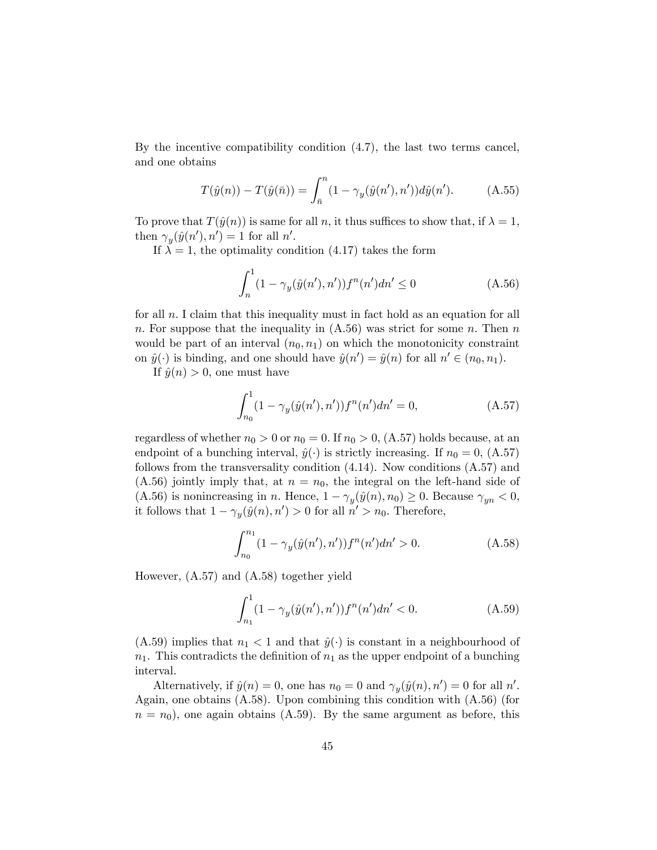By the incentive compatibility condition (4.7), the last two terms cancel, and one obtains

$$
T(\hat{y}(n)) - T(\hat{y}(\bar{n})) = \int_{\bar{n}}^{n} (1 - \gamma_y(\hat{y}(n'), n')) d\hat{y}(n').
$$
 (A.55)

To prove that  $T(\hat{y}(n))$  is same for all n, it thus suffices to show that, if  $\lambda = 1$ , then  $\gamma_y(\hat{y}(n'), n') = 1$  for all n'.

If  $\lambda = 1$ , the optimality condition (4.17) takes the form

$$
\int_{n}^{1} (1 - \gamma_y(\hat{y}(n'), n')) f^n(n') dn' \le 0
$$
\n(A.56)

for all  $n.$  I claim that this inequality must in fact hold as an equation for all n. For suppose that the inequality in  $(A.56)$  was strict for some n. Then n would be part of an interval  $(n_0, n_1)$  on which the monotonicity constraint on  $\hat{y}(\cdot)$  is binding, and one should have  $\hat{y}(n') = \hat{y}(n)$  for all  $n' \in (n_0, n_1)$ .

If  $\hat{y}(n) > 0$ , one must have

$$
\int_{n_0}^{1} (1 - \gamma_y(\hat{y}(n'), n')) f^n(n') dn' = 0,
$$
\n(A.57)

regardless of whether  $n_0 > 0$  or  $n_0 = 0$ . If  $n_0 > 0$ , (A.57) holds because, at an endpoint of a bunching interval,  $\hat{y}(\cdot)$  is strictly increasing. If  $n_0 = 0$ , (A.57) follows from the transversality condition (4.14). Now conditions (A.57) and  $(A.56)$  jointly imply that, at  $n = n_0$ , the integral on the left-hand side of (A.56) is nonincreasing in n. Hence,  $1 - \gamma_y(\hat{y}(n), n_0) \ge 0$ . Because  $\gamma_{yn} < 0$ , it follows that  $1 - \gamma_y(\hat{y}(n), n') > 0$  for all  $n' > n_0$ . Therefore,

$$
\int_{n_0}^{n_1} (1 - \gamma_y(\hat{y}(n'), n')) f^n(n') dn' > 0.
$$
 (A.58)

However, (A.57) and (A.58) together yield

$$
\int_{n_1}^{1} (1 - \gamma_y(\hat{y}(n'), n')) f^n(n') dn' < 0.
$$
 (A.59)

(A.59) implies that  $n_1 < 1$  and that  $\hat{y}(\cdot)$  is constant in a neighbourhood of  $n_1$ . This contradicts the definition of  $n_1$  as the upper endpoint of a bunching interval.

Alternatively, if  $\hat{y}(n) = 0$ , one has  $n_0 = 0$  and  $\gamma_y(\hat{y}(n), n') = 0$  for all n'. Again, one obtains (A.58). Upon combining this condition with (A.56) (for  $n = n_0$ , one again obtains (A.59). By the same argument as before, this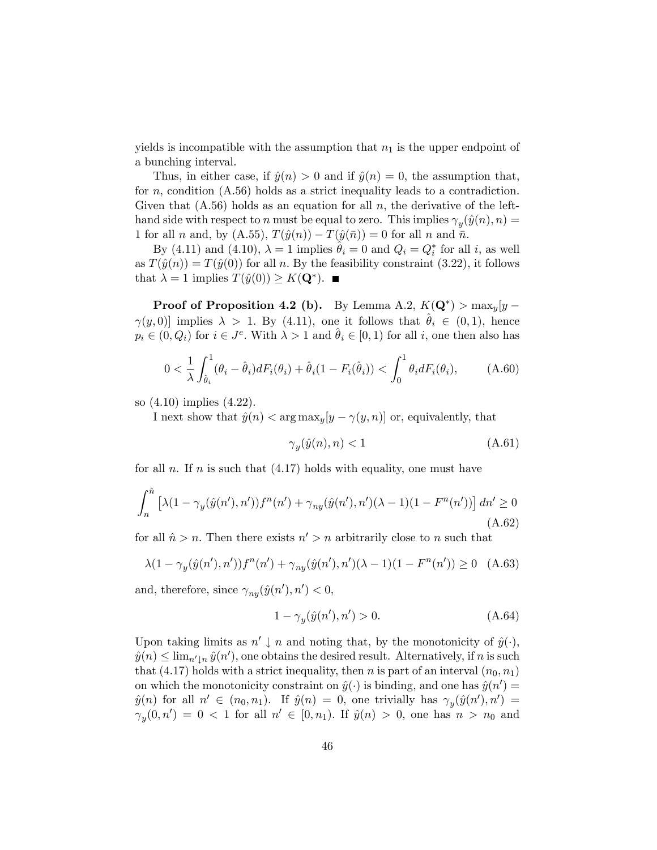yields is incompatible with the assumption that  $n_1$  is the upper endpoint of a bunching interval.

Thus, in either case, if  $\hat{y}(n) > 0$  and if  $\hat{y}(n) = 0$ , the assumption that, for n, condition  $(A.56)$  holds as a strict inequality leads to a contradiction. Given that  $(A.56)$  holds as an equation for all n, the derivative of the lefthand side with respect to n must be equal to zero. This implies  $\gamma_y(\hat{y}(n), n) =$ 1 for all *n* and, by  $(A.55)$ ,  $T(\hat{y}(n)) - T(\hat{y}(\bar{n})) = 0$  for all *n* and  $\bar{n}$ .

By (4.11) and (4.10),  $\lambda = 1$  implies  $\hat{\theta}_i = 0$  and  $Q_i = Q_i^*$  for all i, as well as  $T(\hat{y}(n)) = T(\hat{y}(0))$  for all n. By the feasibility constraint (3.22), it follows that  $\lambda = 1$  implies  $T(\hat{y}(0)) \geq K(\mathbf{Q}^*).$ 

**Proof of Proposition 4.2 (b).** By Lemma A.2,  $K(\mathbf{Q}^*)$  >  $\max_y [y (\gamma(y, 0))$  implies  $\lambda > 1$ . By (4.11), one it follows that  $\theta_i \in (0, 1)$ , hence  $p_i \in (0, Q_i)$  for  $i \in J^e$ . With  $\lambda > 1$  and  $\hat{\theta}_i \in [0, 1)$  for all i, one then also has

$$
0 < \frac{1}{\lambda} \int_{\hat{\theta}_i}^1 (\theta_i - \hat{\theta}_i) dF_i(\theta_i) + \hat{\theta}_i (1 - F_i(\hat{\theta}_i)) < \int_0^1 \theta_i dF_i(\theta_i), \tag{A.60}
$$

so (4.10) implies (4.22).

I next show that  $\hat{y}(n) < \arg \max_{y}[y - \gamma(y, n)]$  or, equivalently, that

$$
\gamma_y(\hat{y}(n), n) < 1\tag{A.61}
$$

for all n. If n is such that  $(4.17)$  holds with equality, one must have

$$
\int_{n}^{\hat{n}} \left[ \lambda (1 - \gamma_y(\hat{y}(n'), n')) f^n(n') + \gamma_{ny}(\hat{y}(n'), n') (\lambda - 1) (1 - F^n(n')) \right] dn' \ge 0
$$
\n(A.62)

for all  $\hat{n} > n$ . Then there exists  $n' > n$  arbitrarily close to n such that

$$
\lambda (1 - \gamma_y(\hat{y}(n'), n')) f^n(n') + \gamma_{ny}(\hat{y}(n'), n') (\lambda - 1)(1 - F^n(n')) \ge 0 \quad (A.63)
$$

and, therefore, since  $\gamma_{ny}(\hat{y}(n'), n') < 0$ ,

$$
1 - \gamma_y(\hat{y}(n'), n') > 0. \tag{A.64}
$$

Upon taking limits as  $n' \downarrow n$  and noting that, by the monotonicity of  $\hat{y}(\cdot)$ ,  $\hat{y}(n) \leq \lim_{n' \downarrow n} \hat{y}(n'),$  one obtains the desired result. Alternatively, if n is such that (4.17) holds with a strict inequality, then n is part of an interval  $(n_0, n_1)$ on which the monotonicity constraint on  $\hat{y}(\cdot)$  is binding, and one has  $\hat{y}(n') =$  $\hat{y}(n)$  for all  $n' \in (n_0, n_1)$ . If  $\hat{y}(n) = 0$ , one trivially has  $\gamma_y(\hat{y}(n'), n') =$  $\gamma_y(0, n') = 0 < 1$  for all  $n' \in [0, n_1)$ . If  $\hat{y}(n) > 0$ , one has  $n > n_0$  and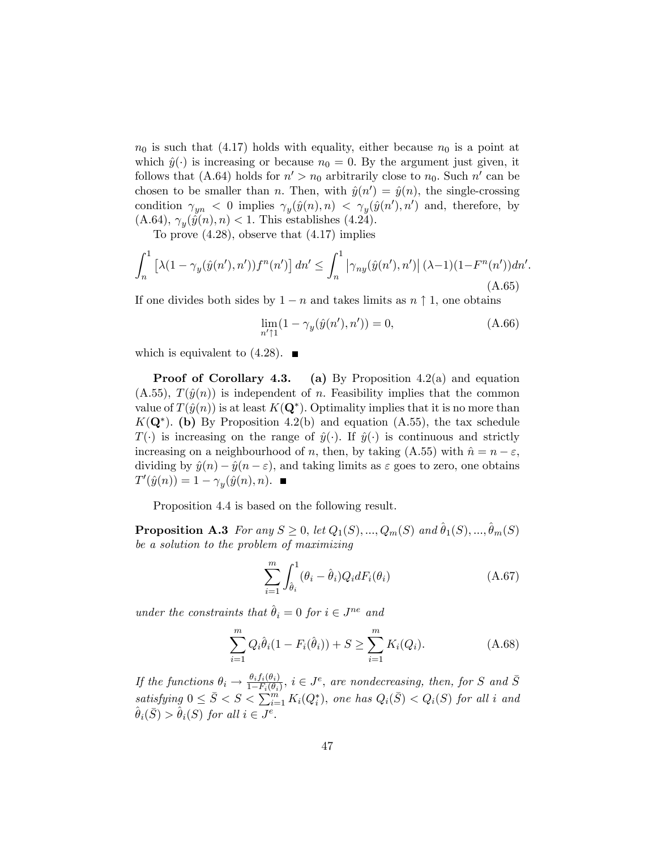$n_0$  is such that (4.17) holds with equality, either because  $n_0$  is a point at which  $\hat{y}(\cdot)$  is increasing or because  $n_0 = 0$ . By the argument just given, it follows that (A.64) holds for  $n' > n_0$  arbitrarily close to  $n_0$ . Such  $n'$  can be chosen to be smaller than *n*. Then, with  $\hat{y}(n') = \hat{y}(n)$ , the single-crossing condition  $\gamma_{yn} < 0$  implies  $\gamma_y(\hat{y}(n), n) < \gamma_y(\hat{y}(n'), n')$  and, therefore, by  $(A.64), \gamma_y(\hat{y}(n), n) < 1.$  This establishes (4.24).

To prove (4.28), observe that (4.17) implies

$$
\int_{n}^{1} \left[ \lambda (1 - \gamma_y(\hat{y}(n'), n')) f^n(n') \right] dn' \le \int_{n}^{1} \left| \gamma_{ny}(\hat{y}(n'), n') \right| (\lambda - 1)(1 - F^n(n')) dn'.
$$
\n(A.65)

If one divides both sides by  $1 - n$  and takes limits as  $n \uparrow 1$ , one obtains

$$
\lim_{n'\uparrow 1} (1 - \gamma_y(\hat{y}(n'), n')) = 0,
$$
\n(A.66)

which is equivalent to  $(4.28)$ .

**Proof of Corollary 4.3.** (a) By Proposition  $4.2(a)$  and equation  $(A.55), T(\hat{y}(n))$  is independent of n. Feasibility implies that the common value of  $T(\hat{y}(n))$  is at least  $K(\mathbf{Q}^*)$ . Optimality implies that it is no more than  $K(\mathbf{Q}^*)$ . (b) By Proposition 4.2(b) and equation (A.55), the tax schedule  $T(\cdot)$  is increasing on the range of  $\hat{y}(\cdot)$ . If  $\hat{y}(\cdot)$  is continuous and strictly increasing on a neighbourhood of n, then, by taking  $(A.55)$  with  $\hat{n} = n - \varepsilon$ , dividing by  $\hat{y}(n) - \hat{y}(n - \varepsilon)$ , and taking limits as  $\varepsilon$  goes to zero, one obtains  $T'(\hat{y}(n)) = 1 - \gamma_y(\hat{y}(n), n).$ 

Proposition 4.4 is based on the following result.

**Proposition A.3** For any  $S \geq 0$ , let  $Q_1(S), ..., Q_m(S)$  and  $\hat{\theta}_1(S), ..., \hat{\theta}_m(S)$ be a solution to the problem of maximizing

$$
\sum_{i=1}^{m} \int_{\hat{\theta}_i}^{1} (\theta_i - \hat{\theta}_i) Q_i dF_i(\theta_i)
$$
\n(A.67)

under the constraints that  $\hat{\theta}_i = 0$  for  $i \in J^{ne}$  and

$$
\sum_{i=1}^{m} Q_i \hat{\theta}_i (1 - F_i(\hat{\theta}_i)) + S \ge \sum_{i=1}^{m} K_i(Q_i).
$$
 (A.68)

If the functions  $\theta_i \to \frac{\theta_i f_i(\theta_i)}{1-F_i(\theta_i)}$ ,  $i \in J^e$ , are nondecreasing, then, for S and  $\overline{S}$ satisfying  $0 \leq \bar{S} < S < \sum_{i=1}^{m} K_i(Q_i^*)$ , one has  $Q_i(\bar{S}) < Q_i(S)$  for all i and  $\hat{\theta}_i(\bar{S}) > \hat{\theta}_i(S)$  for all  $i \in J^e$ .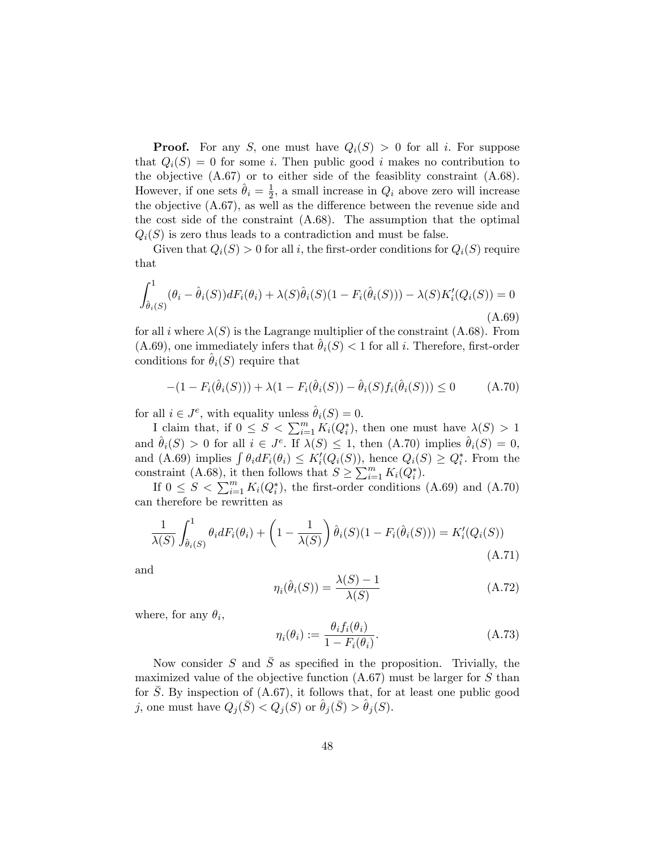**Proof.** For any S, one must have  $Q_i(S) > 0$  for all i. For suppose that  $Q_i(S) = 0$  for some i. Then public good i makes no contribution to the objective (A.67) or to either side of the feasiblity constraint (A.68). However, if one sets  $\hat{\theta}_i = \frac{1}{2}$  $\frac{1}{2}$ , a small increase in  $Q_i$  above zero will increase the objective  $(A.67)$ , as well as the difference between the revenue side and the cost side of the constraint (A.68). The assumption that the optimal  $Q_i(S)$  is zero thus leads to a contradiction and must be false.

Given that  $Q_i(S) > 0$  for all i, the first-order conditions for  $Q_i(S)$  require that

$$
\int_{\hat{\theta}_i(S)}^1 (\theta_i - \hat{\theta}_i(S)) dF_i(\theta_i) + \lambda(S)\hat{\theta}_i(S)(1 - F_i(\hat{\theta}_i(S))) - \lambda(S)K_i'(Q_i(S)) = 0
$$
\n(A.69)

for all i where  $\lambda(S)$  is the Lagrange multiplier of the constraint (A.68). From  $(A.69)$ , one immediately infers that  $\theta_i(S) < 1$  for all i. Therefore, first-order conditions for  $\theta_i(S)$  require that

$$
-(1 - F_i(\hat{\theta}_i(S))) + \lambda(1 - F_i(\hat{\theta}_i(S)) - \hat{\theta}_i(S)f_i(\hat{\theta}_i(S))) \le 0
$$
 (A.70)

for all  $i \in J^e$ , with equality unless  $\hat{\theta}_i(S) = 0$ .

I claim that, if  $0 \leq S < \sum_{i=1}^{m} K_i(Q_i^*)$ , then one must have  $\lambda(S) > 1$ and  $\hat{\theta}_i(S) > 0$  for all  $i \in J^e$ . If  $\lambda(S) \leq 1$ , then  $(A.70)$  implies  $\hat{\theta}_i(S) = 0$ , and (A.69) implies  $\int \theta_i dF_i(\theta_i) \leq K'_i(Q_i(S))$ , hence  $Q_i(S) \geq Q_i^*$ . From the constraint (A.68), it then follows that  $S \ge \sum_{i=1}^{m} K_i(Q_i^*)$ .

If  $0 \leq S < \sum_{i=1}^{m} K_i(Q_i^*)$ , the first-order conditions (A.69) and (A.70) can therefore be rewritten as

$$
\frac{1}{\lambda(S)} \int_{\hat{\theta}_i(S)}^1 \theta_i dF_i(\theta_i) + \left(1 - \frac{1}{\lambda(S)}\right) \hat{\theta}_i(S)(1 - F_i(\hat{\theta}_i(S))) = K'_i(Q_i(S))
$$
\n(A.71)

and

$$
\eta_i(\hat{\theta}_i(S)) = \frac{\lambda(S) - 1}{\lambda(S)}\tag{A.72}
$$

where, for any  $\theta_i$ ,

$$
\eta_i(\theta_i) := \frac{\theta_i f_i(\theta_i)}{1 - F_i(\theta_i)}.
$$
\n(A.73)

Now consider S and  $\overline{S}$  as specified in the proposition. Trivially, the maximized value of the objective function  $(A.67)$  must be larger for S than for S: By inspection of (A.67), it follows that, for at least one public good j, one must have  $Q_j(\bar{S}) < Q_j(S)$  or  $\theta_j(\bar{S}) > \theta_j(S)$ .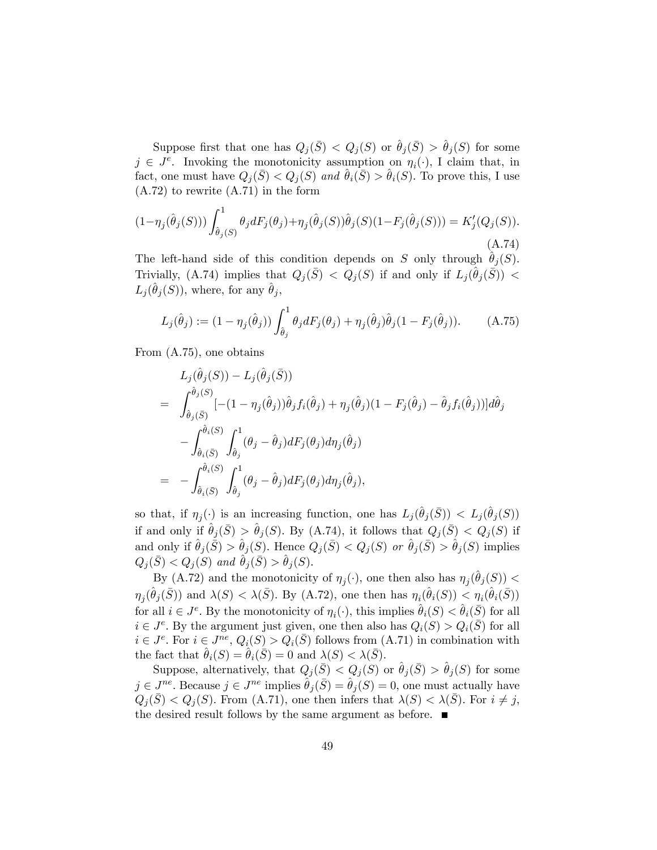Suppose first that one has  $Q_j(\bar{S}) < Q_j(S)$  or  $\hat{\theta}_j(\bar{S}) > \hat{\theta}_j(S)$  for some  $j \in J^e$ . Invoking the monotonicity assumption on  $\eta_i(\cdot)$ , I claim that, in fact, one must have  $Q_i(S) < Q_i(S)$  and  $\theta_i(S) > \theta_i(S)$ . To prove this, I use (A.72) to rewrite (A.71) in the form

$$
(1 - \eta_j(\hat{\theta}_j(S))) \int_{\hat{\theta}_j(S)}^1 \theta_j dF_j(\theta_j) + \eta_j(\hat{\theta}_j(S))\hat{\theta}_j(S)(1 - F_j(\hat{\theta}_j(S))) = K'_j(Q_j(S)).
$$
\n(A.74)

The left-hand side of this condition depends on S only through  $\hat{\theta}_j (S)$ . Trivially, (A.74) implies that  $Q_j(\bar{S}) \leq Q_j(S)$  if and only if  $L_j(\hat{\theta}_j(\bar{S}))$  $L_j(\hat{\theta}_j(S))$ , where, for any  $\hat{\theta}_j$ ,

$$
L_j(\hat{\theta}_j) := (1 - \eta_j(\hat{\theta}_j)) \int_{\hat{\theta}_j}^1 \theta_j dF_j(\theta_j) + \eta_j(\hat{\theta}_j)\hat{\theta}_j(1 - F_j(\hat{\theta}_j)).
$$
 (A.75)

From (A.75), one obtains

$$
L_j(\hat{\theta}_j(S)) - L_j(\hat{\theta}_j(\bar{S}))
$$
  
= 
$$
\int_{\hat{\theta}_j(\bar{S})}^{\hat{\theta}_j(S)} [-(1 - \eta_j(\hat{\theta}_j))\hat{\theta}_j f_i(\hat{\theta}_j) + \eta_j(\hat{\theta}_j)(1 - F_j(\hat{\theta}_j) - \hat{\theta}_j f_i(\hat{\theta}_j))]d\hat{\theta}_j
$$
  

$$
- \int_{\hat{\theta}_i(\bar{S})}^{\hat{\theta}_i(S)} \int_{\hat{\theta}_j}^1 (\theta_j - \hat{\theta}_j) dF_j(\theta_j) d\eta_j(\hat{\theta}_j)
$$
  
= 
$$
- \int_{\hat{\theta}_i(\bar{S})}^{\hat{\theta}_i(S)} \int_{\hat{\theta}_j}^1 (\theta_j - \hat{\theta}_j) dF_j(\theta_j) d\eta_j(\hat{\theta}_j),
$$

so that, if  $\eta_j(\cdot)$  is an increasing function, one has  $L_j(\hat{\theta}_j(\bar{S})) < L_j(\hat{\theta}_j(S))$ if and only if  $\hat{\theta}_j (\bar{S}) > \hat{\theta}_j (S)$ . By (A.74), it follows that  $Q_j (\bar{S}) < Q_j (S)$  if and only if  $\hat{\theta}_j (\bar{S}) > \hat{\theta}_j (S)$ . Hence  $Q_j (\bar{S}) < Q_j (S)$  or  $\hat{\theta}_j (\bar{S}) > \hat{\theta}_j (S)$  implies  $Q_j(\bar{S}) < Q_j(S)$  and  $\hat{\theta}_j(\bar{S}) > \hat{\theta}_j(S).$ 

By (A.72) and the monotonicity of  $\eta_j(\cdot)$ , one then also has  $\eta_j(\hat{\theta}_j(S))$  <  $\eta_j(\hat{\theta}_j(\bar{S}))$  and  $\lambda(S) < \lambda(\bar{S})$ . By (A.72), one then has  $\eta_i(\hat{\theta}_i(S)) < \eta_i(\hat{\theta}_i(\bar{S}))$ for all  $i \in J^e$ . By the monotonicity of  $\eta_i(\cdot)$ , this implies  $\hat{\theta}_i(S) < \hat{\theta}_i(\bar{S})$  for all  $i \in J<sup>e</sup>$ . By the argument just given, one then also has  $Q_i(S) > Q_i(\overline{S})$  for all  $i \in J^e$ . For  $i \in J^{ne}$ ,  $Q_i(S) > Q_i(\overline{S})$  follows from  $(A.71)$  in combination with the fact that  $\hat{\theta}_i(S) = \hat{\theta}_i(\bar{S}) = 0$  and  $\lambda(S) < \lambda(\bar{S}).$ 

Suppose, alternatively, that  $Q_j(\bar{S}) < Q_j(S)$  or  $\hat{\theta}_j(\bar{S}) > \hat{\theta}_j(S)$  for some  $j \in J^{ne}$ . Because  $j \in J^{ne}$  implies  $\hat{\theta}_j(\bar{S}) = \hat{\theta}_j(S) = 0$ , one must actually have  $Q_i(\bar{S}) < Q_i(S)$ . From (A.71), one then infers that  $\lambda(S) < \lambda(\bar{S})$ . For  $i \neq j$ , the desired result follows by the same argument as before.  $\blacksquare$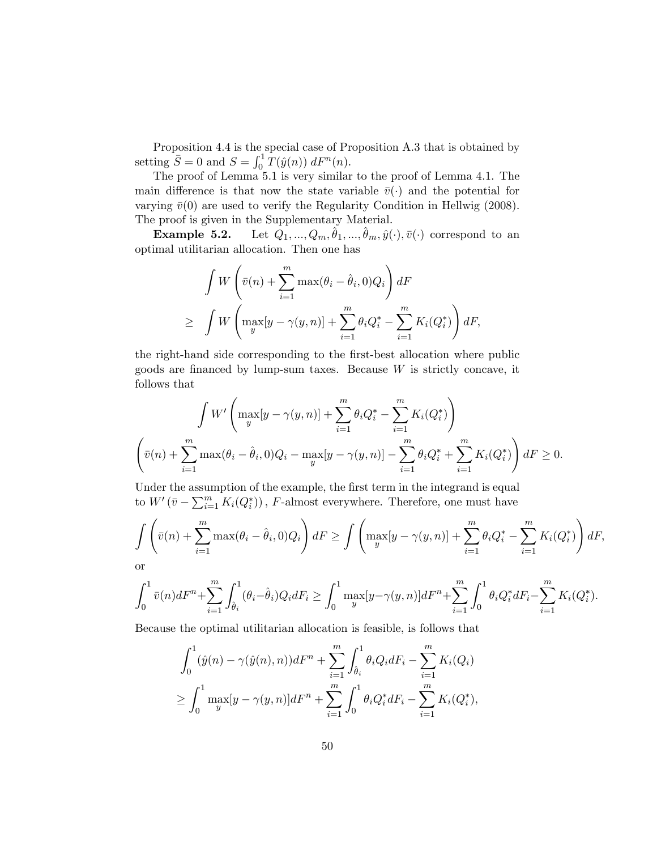Proposition 4.4 is the special case of Proposition A.3 that is obtained by setting  $\overline{S} = 0$  and  $S = \int_0^1 \overline{T}(\hat{y}(n)) dF^n(n)$ .

The proof of Lemma 5.1 is very similar to the proof of Lemma 4.1. The main difference is that now the state variable  $\bar{v}(\cdot)$  and the potential for varying  $\bar{v}(0)$  are used to verify the Regularity Condition in Hellwig (2008). The proof is given in the Supplementary Material.

**Example 5.2.** Let  $Q_1, ..., Q_m, \hat{\theta}_1, ..., \hat{\theta}_m, \hat{y}(\cdot), \bar{v}(\cdot)$  correspond to an optimal utilitarian allocation. Then one has

$$
\int W\left(\bar{v}(n) + \sum_{i=1}^{m} \max(\theta_i - \hat{\theta}_i, 0)Q_i\right) dF
$$
\n
$$
\geq \int W\left(\max_{y} [y - \gamma(y, n)] + \sum_{i=1}^{m} \theta_i Q_i^* - \sum_{i=1}^{m} K_i(Q_i^*)\right) dF,
$$

the right-hand side corresponding to the first-best allocation where public goods are financed by lump-sum taxes. Because  $W$  is strictly concave, it follows that

$$
\int W' \left( \max_{y} [y - \gamma(y, n)] + \sum_{i=1}^{m} \theta_i Q_i^* - \sum_{i=1}^{m} K_i(Q_i^*) \right)
$$

$$
\left( \bar{v}(n) + \sum_{i=1}^{m} \max(\theta_i - \hat{\theta}_i, 0) Q_i - \max_{y} [y - \gamma(y, n)] - \sum_{i=1}^{m} \theta_i Q_i^* + \sum_{i=1}^{m} K_i(Q_i^*) \right) dF \ge 0.
$$

Under the assumption of the example, the first term in the integrand is equal to  $W'(\bar{v} - \sum_{i=1}^{m} K_i(Q_i^*))$ , F-almost everywhere. Therefore, one must have

$$
\int \left(\bar{v}(n) + \sum_{i=1}^m \max(\theta_i - \hat{\theta}_i, 0)Q_i\right)dF \ge \int \left(\max_y[y - \gamma(y, n)] + \sum_{i=1}^m \theta_i Q_i^* - \sum_{i=1}^m K_i(Q_i^*)\right)dF,
$$
 or

or

$$
\int_0^1 \bar{v}(n)dF^n + \sum_{i=1}^m \int_{\hat{\theta}_i}^1 (\theta_i - \hat{\theta}_i) Q_i dF_i \ge \int_0^1 \max_y [y - \gamma(y, n)] dF^n + \sum_{i=1}^m \int_0^1 \theta_i Q_i^* dF_i - \sum_{i=1}^m K_i (Q_i^*).
$$

Because the optimal utilitarian allocation is feasible, is follows that

$$
\int_0^1 (\hat{y}(n) - \gamma(\hat{y}(n), n))dF^n + \sum_{i=1}^m \int_{\hat{\theta}_i}^1 \theta_i Q_i dF_i - \sum_{i=1}^m K_i(Q_i)
$$
  
\n
$$
\geq \int_0^1 \max_y [y - \gamma(y, n)]dF^n + \sum_{i=1}^m \int_0^1 \theta_i Q_i^* dF_i - \sum_{i=1}^m K_i(Q_i^*),
$$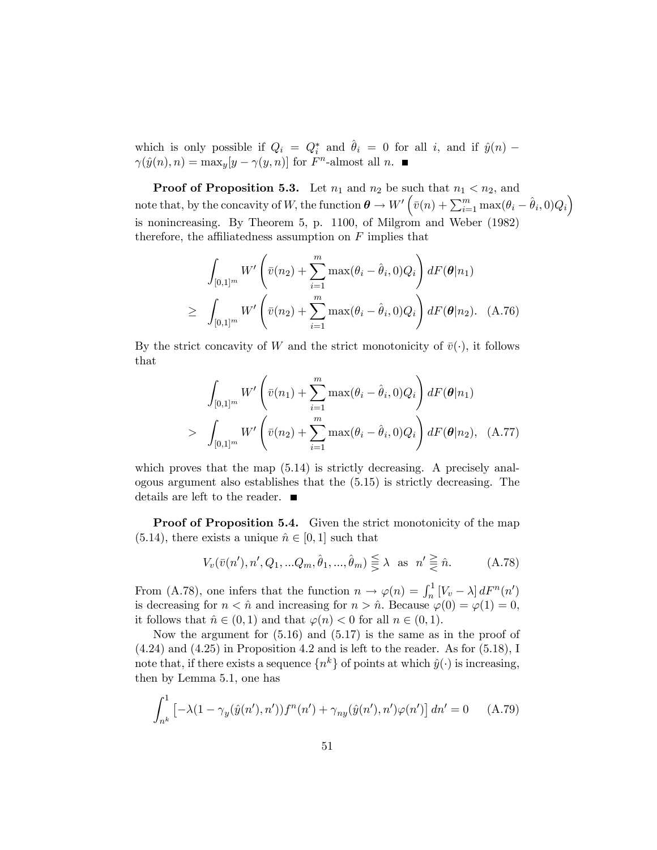which is only possible if  $Q_i = Q_i^*$  and  $\hat{\theta}_i = 0$  for all i, and if  $\hat{y}(n)$  –  $\gamma(\hat{y}(n), n) = \max_{y}[y - \gamma(y, n)]$  for  $F<sup>n</sup>$ -almost all n.

**Proof of Proposition 5.3.** Let  $n_1$  and  $n_2$  be such that  $n_1 < n_2$ , and note that, by the concavity of W, the function  $\theta \to W'\left(\bar{v}(n) + \sum_{i=1}^m \max(\theta_i - \hat{\theta}_i, 0)Q_i\right)$ is nonincreasing. By Theorem 5, p. 1100, of Milgrom and Weber (1982) therefore, the affiliatedness assumption on  $F$  implies that

$$
\int_{[0,1]^m} W' \left( \bar{v}(n_2) + \sum_{i=1}^m \max(\theta_i - \hat{\theta}_i, 0) Q_i \right) dF(\theta | n_1)
$$
  
\n
$$
\geq \int_{[0,1]^m} W' \left( \bar{v}(n_2) + \sum_{i=1}^m \max(\theta_i - \hat{\theta}_i, 0) Q_i \right) dF(\theta | n_2).
$$
 (A.76)

By the strict concavity of W and the strict monotonicity of  $\bar{v}(\cdot)$ , it follows that

$$
\int_{[0,1]^m} W' \left( \bar{v}(n_1) + \sum_{i=1}^m \max(\theta_i - \hat{\theta}_i, 0) Q_i \right) dF(\theta | n_1)
$$
\n
$$
> \int_{[0,1]^m} W' \left( \bar{v}(n_2) + \sum_{i=1}^m \max(\theta_i - \hat{\theta}_i, 0) Q_i \right) dF(\theta | n_2), \quad \text{(A.77)}
$$

which proves that the map  $(5.14)$  is strictly decreasing. A precisely analogous argument also establishes that the (5.15) is strictly decreasing. The details are left to the reader.

**Proof of Proposition 5.4.** Given the strict monotonicity of the map  $(5.14)$ , there exists a unique  $\hat{n} \in [0, 1]$  such that

$$
V_v(\bar{v}(n'), n', Q_1, \dots Q_m, \hat{\theta}_1, \dots, \hat{\theta}_m) \leq \lambda \text{ as } n' \geq \hat{n}.\tag{A.78}
$$

From (A.78), one infers that the function  $n \to \varphi(n) = \int_n^1 [V_v - \lambda] dF^n(n')$ is decreasing for  $n < \hat{n}$  and increasing for  $n > \hat{n}$ . Because  $\varphi(0) = \varphi(1) = 0$ , it follows that  $\hat{n} \in (0, 1)$  and that  $\varphi(n) < 0$  for all  $n \in (0, 1)$ .

Now the argument for (5.16) and (5.17) is the same as in the proof of (4.24) and (4.25) in Proposition 4.2 and is left to the reader. As for (5.18), I note that, if there exists a sequence  $\{n^k\}$  of points at which  $\hat{y}(\cdot)$  is increasing, then by Lemma 5.1, one has

$$
\int_{n^k}^1 \left[ -\lambda (1 - \gamma_y(\hat{y}(n'), n')) f^n(n') + \gamma_{ny}(\hat{y}(n'), n') \varphi(n') \right] dn' = 0 \quad (A.79)
$$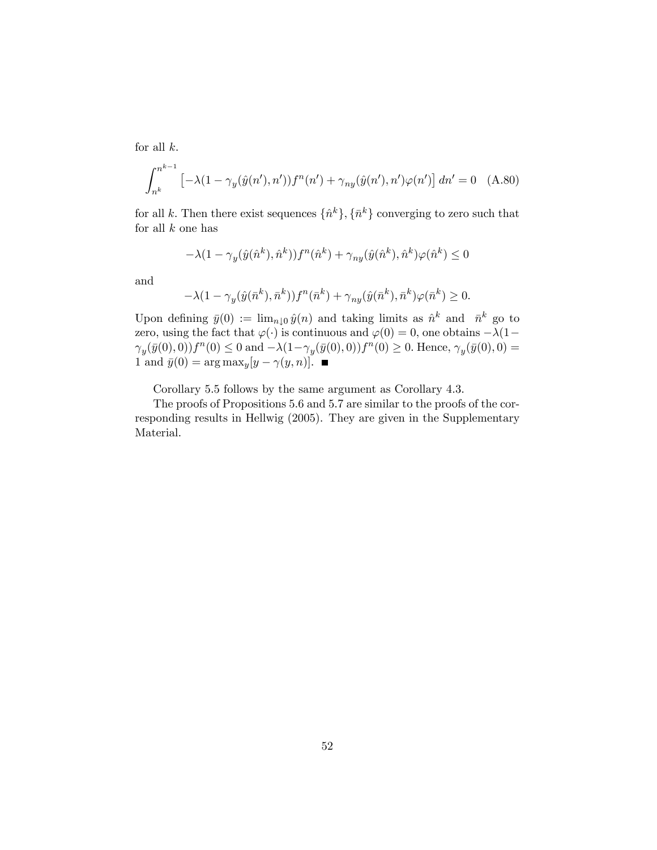for all  $k$ .

$$
\int_{n^k}^{n^{k-1}} \left[ -\lambda (1 - \gamma_y(\hat{y}(n'), n')) f^n(n') + \gamma_{ny}(\hat{y}(n'), n') \varphi(n') \right] dn' = 0 \quad (A.80)
$$

for all k. Then there exist sequences  $\{\hat{n}^k\}, \{\bar{n}^k\}$  converging to zero such that for all  $k$  one has

$$
-\lambda (1 - \gamma_y(\hat{y}(\hat{n}^k), \hat{n}^k)) f^n(\hat{n}^k) + \gamma_{ny}(\hat{y}(\hat{n}^k), \hat{n}^k) \varphi(\hat{n}^k) \le 0
$$

and

$$
-\lambda(1-\gamma_y(\hat{y}(\bar{n}^k),\bar{n}^k))f^n(\bar{n}^k)+\gamma_{ny}(\hat{y}(\bar{n}^k),\bar{n}^k)\varphi(\bar{n}^k)\geq 0.
$$

Upon defining  $\bar{y}(0) := \lim_{n \downarrow 0} \hat{y}(n)$  and taking limits as  $\hat{n}^k$  and  $\bar{n}^k$  go to zero, using the fact that  $\varphi(\cdot)$  is continuous and  $\varphi(0) = 0$ , one obtains  $-\lambda(1-\lambda)$  $\gamma_y(\bar{y}(0),0))f^n(0) \leq 0$  and  $-\lambda(1-\gamma_y(\bar{y}(0),0))f^n(0) \geq 0$ . Hence,  $\gamma_y(\bar{y}(0),0) =$ 1 and  $\bar{y}(0) = \arg \max_y [y - \gamma(y, n)].$ 

Corollary 5.5 follows by the same argument as Corollary 4.3.

The proofs of Propositions 5.6 and 5.7 are similar to the proofs of the corresponding results in Hellwig (2005). They are given in the Supplementary Material.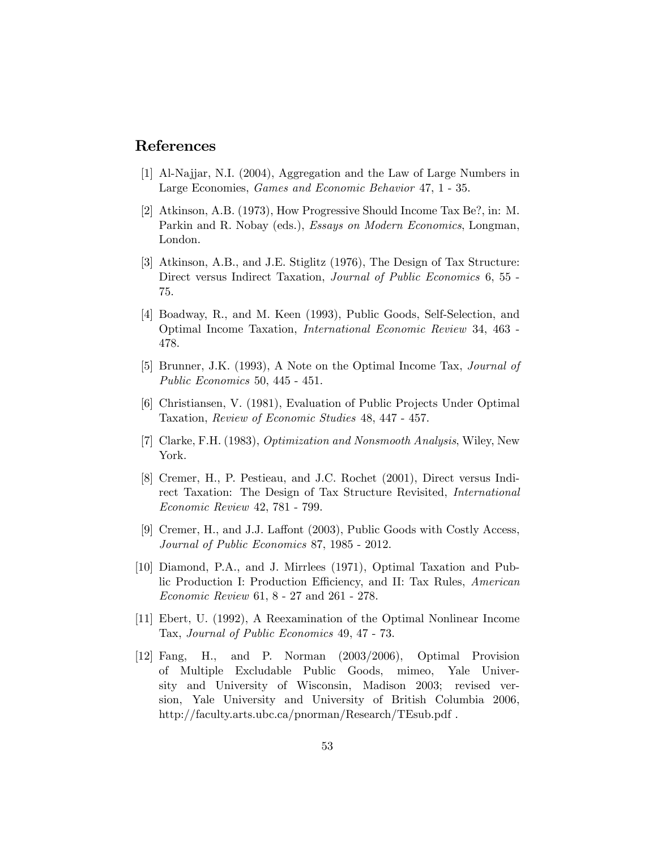# References

- [1] Al-Najjar, N.I. (2004), Aggregation and the Law of Large Numbers in Large Economies, Games and Economic Behavior 47, 1 - 35.
- [2] Atkinson, A.B. (1973), How Progressive Should Income Tax Be?, in: M. Parkin and R. Nobay (eds.), Essays on Modern Economics, Longman, London.
- [3] Atkinson, A.B., and J.E. Stiglitz (1976), The Design of Tax Structure: Direct versus Indirect Taxation, Journal of Public Economics 6, 55 - 75.
- [4] Boadway, R., and M. Keen (1993), Public Goods, Self-Selection, and Optimal Income Taxation, International Economic Review 34, 463 - 478.
- [5] Brunner, J.K. (1993), A Note on the Optimal Income Tax, Journal of Public Economics 50, 445 - 451.
- [6] Christiansen, V. (1981), Evaluation of Public Projects Under Optimal Taxation, Review of Economic Studies 48, 447 - 457.
- [7] Clarke, F.H. (1983), Optimization and Nonsmooth Analysis, Wiley, New York.
- [8] Cremer, H., P. Pestieau, and J.C. Rochet (2001), Direct versus Indirect Taxation: The Design of Tax Structure Revisited, International Economic Review 42, 781 - 799.
- [9] Cremer, H., and J.J. Laffont (2003), Public Goods with Costly Access, Journal of Public Economics 87, 1985 - 2012.
- [10] Diamond, P.A., and J. Mirrlees (1971), Optimal Taxation and Public Production I: Production Efficiency, and II: Tax Rules, American Economic Review 61, 8 - 27 and 261 - 278.
- [11] Ebert, U. (1992), A Reexamination of the Optimal Nonlinear Income Tax, Journal of Public Economics 49, 47 - 73.
- [12] Fang, H., and P. Norman (2003/2006), Optimal Provision of Multiple Excludable Public Goods, mimeo, Yale University and University of Wisconsin, Madison 2003; revised version, Yale University and University of British Columbia 2006, http://faculty.arts.ubc.ca/pnorman/Research/TEsub.pdf .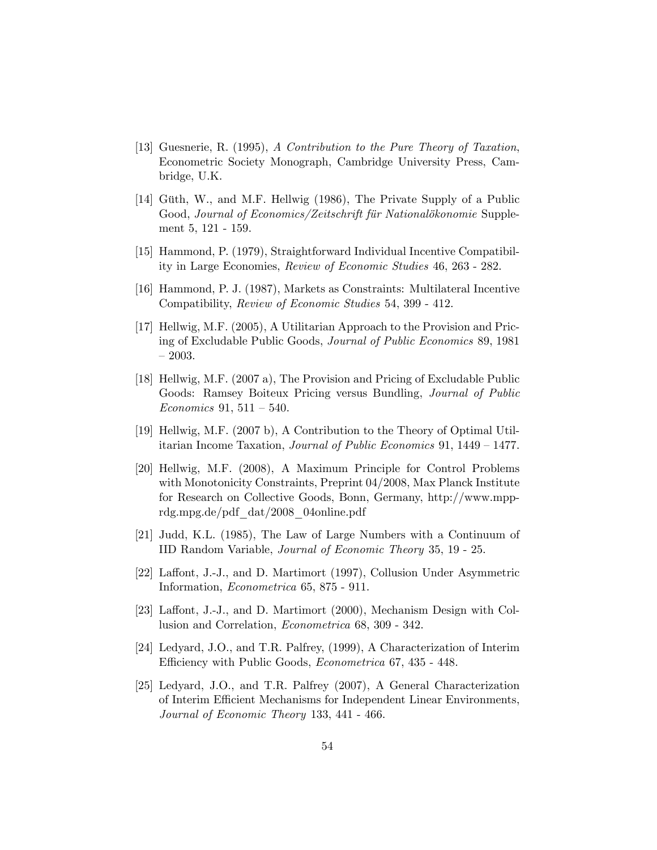- [13] Guesnerie, R. (1995), A Contribution to the Pure Theory of Taxation, Econometric Society Monograph, Cambridge University Press, Cambridge, U.K.
- [14] Güth, W., and M.F. Hellwig (1986), The Private Supply of a Public Good, Journal of Economics/Zeitschrift für Nationalökonomie Supplement 5, 121 - 159.
- [15] Hammond, P. (1979), Straightforward Individual Incentive Compatibility in Large Economies, Review of Economic Studies 46, 263 - 282.
- [16] Hammond, P. J. (1987), Markets as Constraints: Multilateral Incentive Compatibility, Review of Economic Studies 54, 399 - 412.
- [17] Hellwig, M.F. (2005), A Utilitarian Approach to the Provision and Pricing of Excludable Public Goods, Journal of Public Economics 89, 1981  $-2003.$
- [18] Hellwig, M.F. (2007 a), The Provision and Pricing of Excludable Public Goods: Ramsey Boiteux Pricing versus Bundling, Journal of Public Economics 91,  $511 - 540$ .
- [19] Hellwig, M.F. (2007 b), A Contribution to the Theory of Optimal Utilitarian Income Taxation, Journal of Public Economics 91,  $1449 - 1477$ .
- [20] Hellwig, M.F. (2008), A Maximum Principle for Control Problems with Monotonicity Constraints, Preprint 04/2008, Max Planck Institute for Research on Collective Goods, Bonn, Germany, http://www.mpprdg.mpg.de/pdf\_dat/2008\_04online.pdf
- [21] Judd, K.L. (1985), The Law of Large Numbers with a Continuum of IID Random Variable, Journal of Economic Theory 35, 19 - 25.
- [22] Laffont, J.-J., and D. Martimort (1997), Collusion Under Asymmetric Information, Econometrica 65, 875 - 911.
- [23] Laffont, J.-J., and D. Martimort (2000), Mechanism Design with Collusion and Correlation, Econometrica 68, 309 - 342.
- [24] Ledyard, J.O., and T.R. Palfrey, (1999), A Characterization of Interim Efficiency with Public Goods, *Econometrica* 67, 435 - 448.
- [25] Ledyard, J.O., and T.R. Palfrey (2007), A General Characterization of Interim Efficient Mechanisms for Independent Linear Environments, Journal of Economic Theory 133, 441 - 466.